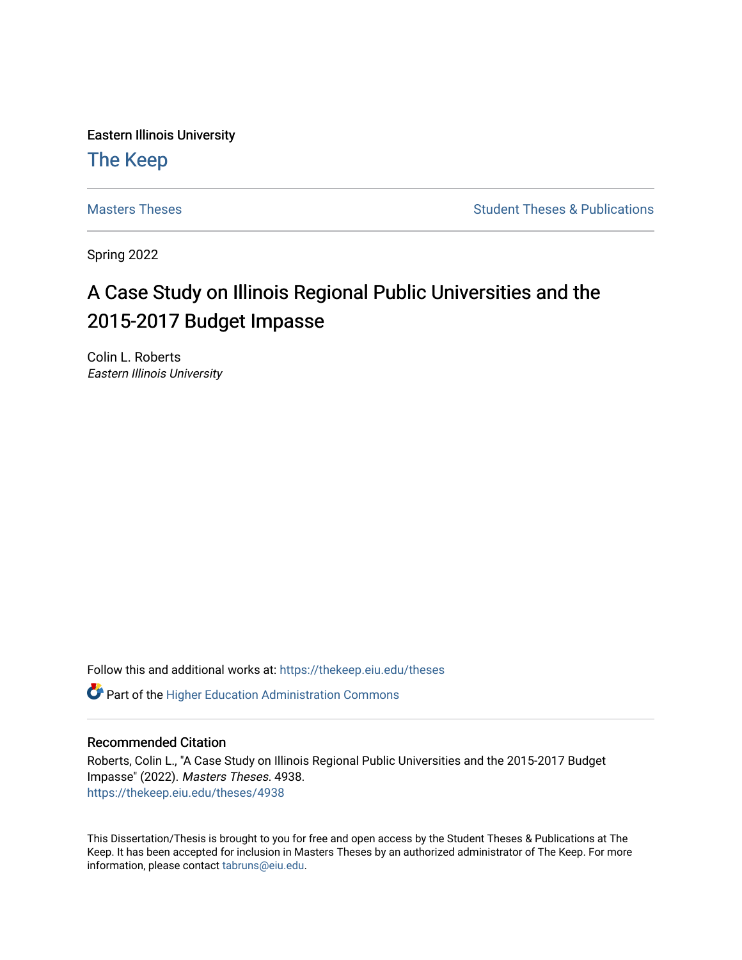Eastern Illinois University

# [The Keep](https://thekeep.eiu.edu/)

[Masters Theses](https://thekeep.eiu.edu/theses) **Student Theses & Publications** Student Theses & Publications

Spring 2022

# A Case Study on Illinois Regional Public Universities and the 2015-2017 Budget Impasse

Colin L. Roberts Eastern Illinois University

Follow this and additional works at: [https://thekeep.eiu.edu/theses](https://thekeep.eiu.edu/theses?utm_source=thekeep.eiu.edu%2Ftheses%2F4938&utm_medium=PDF&utm_campaign=PDFCoverPages)

**C** Part of the Higher Education Administration Commons

# Recommended Citation

Roberts, Colin L., "A Case Study on Illinois Regional Public Universities and the 2015-2017 Budget Impasse" (2022). Masters Theses. 4938. [https://thekeep.eiu.edu/theses/4938](https://thekeep.eiu.edu/theses/4938?utm_source=thekeep.eiu.edu%2Ftheses%2F4938&utm_medium=PDF&utm_campaign=PDFCoverPages) 

This Dissertation/Thesis is brought to you for free and open access by the Student Theses & Publications at The Keep. It has been accepted for inclusion in Masters Theses by an authorized administrator of The Keep. For more information, please contact [tabruns@eiu.edu](mailto:tabruns@eiu.edu).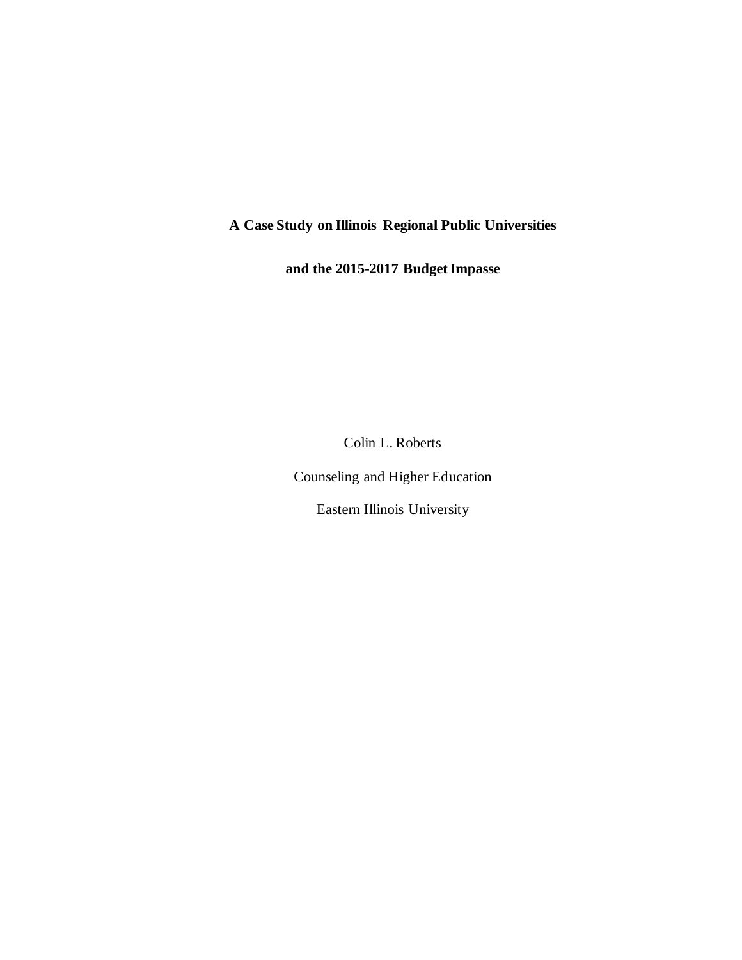# **A Case Study on Illinois Regional Public Universities**

**and the 2015-2017 Budget Impasse**

Colin L. Roberts

Counseling and Higher Education

Eastern Illinois University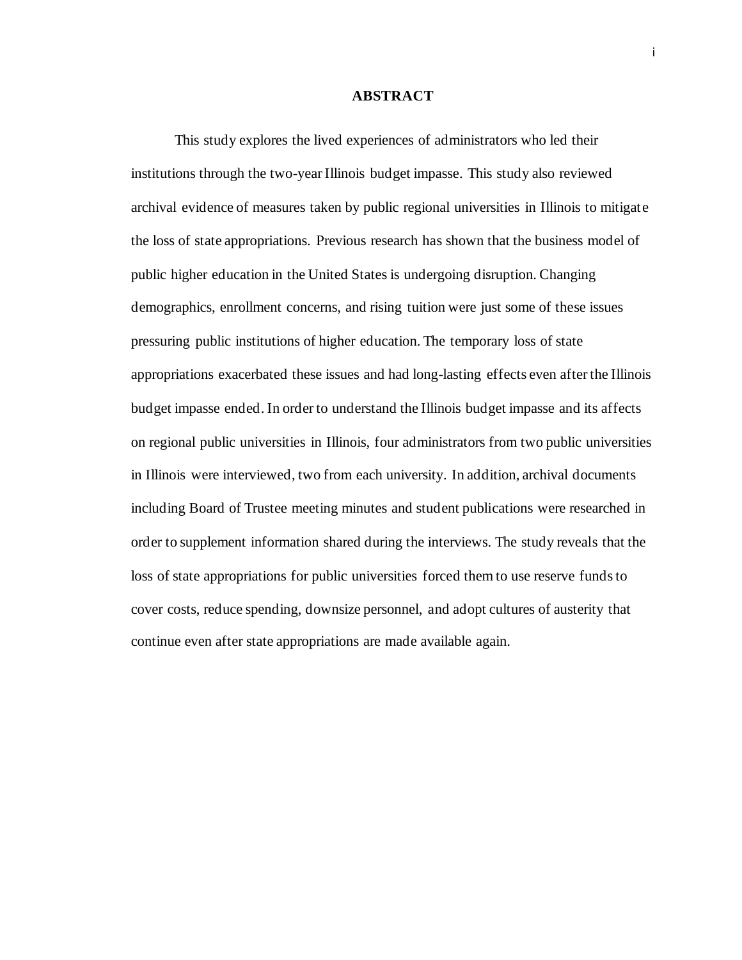### **ABSTRACT**

<span id="page-2-0"></span>This study explores the lived experiences of administrators who led their institutions through the two-year Illinois budget impasse. This study also reviewed archival evidence of measures taken by public regional universities in Illinois to mitigate the loss of state appropriations. Previous research has shown that the business model of public higher education in the United States is undergoing disruption. Changing demographics, enrollment concerns, and rising tuition were just some of these issues pressuring public institutions of higher education. The temporary loss of state appropriations exacerbated these issues and had long-lasting effects even after the Illinois budget impasse ended. In order to understand the Illinois budget impasse and its affects on regional public universities in Illinois, four administrators from two public universities in Illinois were interviewed, two from each university. In addition, archival documents including Board of Trustee meeting minutes and student publications were researched in order to supplement information shared during the interviews. The study reveals that the loss of state appropriations for public universities forced them to use reserve funds to cover costs, reduce spending, downsize personnel, and adopt cultures of austerity that continue even after state appropriations are made available again.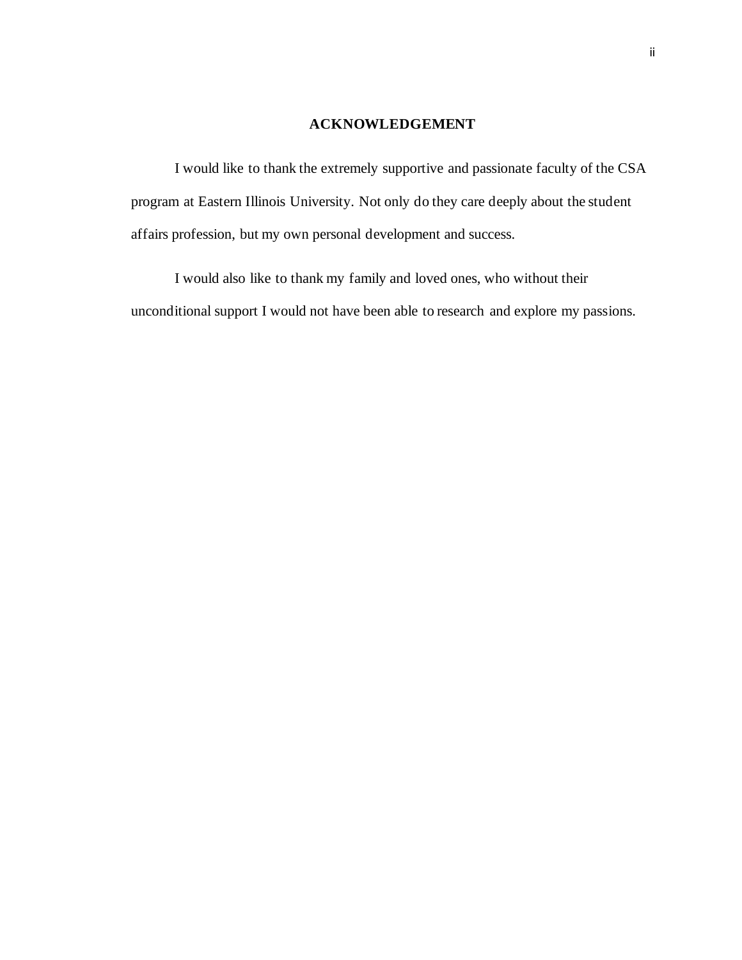# **ACKNOWLEDGEMENT**

<span id="page-3-0"></span>I would like to thank the extremely supportive and passionate faculty of the CSA program at Eastern Illinois University. Not only do they care deeply about the student affairs profession, but my own personal development and success.

I would also like to thank my family and loved ones, who without their unconditional support I would not have been able to research and explore my passions.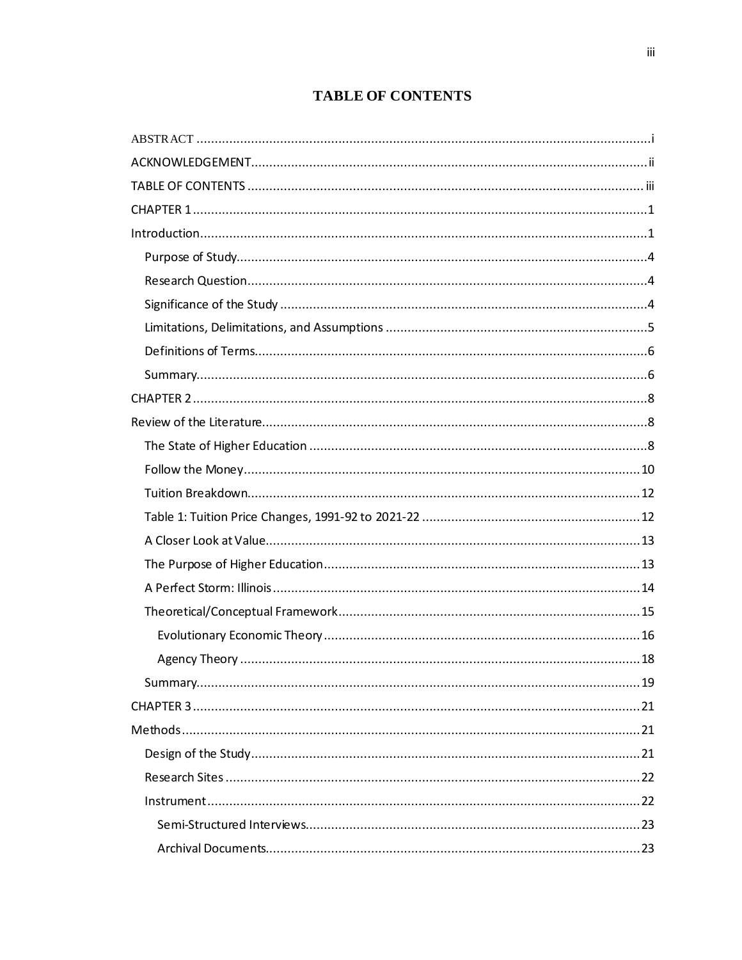# **TABLE OF CONTENTS**

<span id="page-4-0"></span>

| $\label{eq:interadd} \textit{Introduction}$ |
|---------------------------------------------|
|                                             |
|                                             |
|                                             |
|                                             |
|                                             |
|                                             |
|                                             |
|                                             |
|                                             |
|                                             |
|                                             |
|                                             |
|                                             |
|                                             |
|                                             |
|                                             |
|                                             |
|                                             |
|                                             |
|                                             |
|                                             |
|                                             |
|                                             |
|                                             |
|                                             |
|                                             |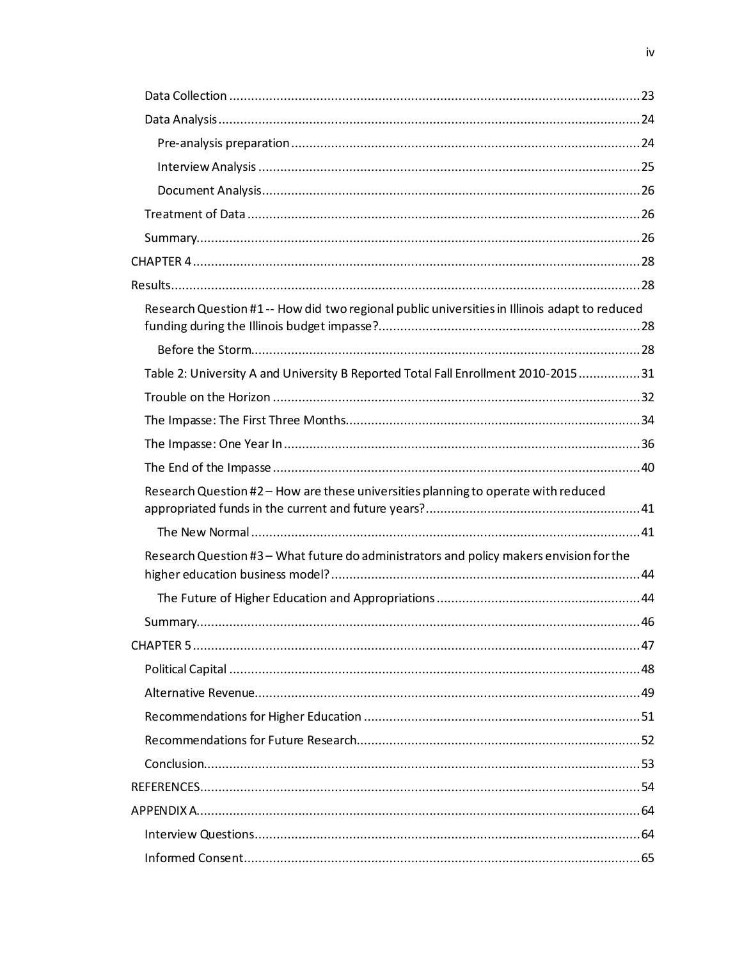| Research Question #1 -- How did two regional public universities in Illinois adapt to reduced |  |
|-----------------------------------------------------------------------------------------------|--|
|                                                                                               |  |
| Table 2: University A and University B Reported Total Fall Enrollment 2010-201531             |  |
|                                                                                               |  |
|                                                                                               |  |
|                                                                                               |  |
|                                                                                               |  |
| Research Question #2 - How are these universities planning to operate with reduced            |  |
|                                                                                               |  |
| Research Question #3 - What future do administrators and policy makers envision for the       |  |
|                                                                                               |  |
|                                                                                               |  |
|                                                                                               |  |
|                                                                                               |  |
|                                                                                               |  |
|                                                                                               |  |
|                                                                                               |  |
|                                                                                               |  |
|                                                                                               |  |
|                                                                                               |  |
|                                                                                               |  |
|                                                                                               |  |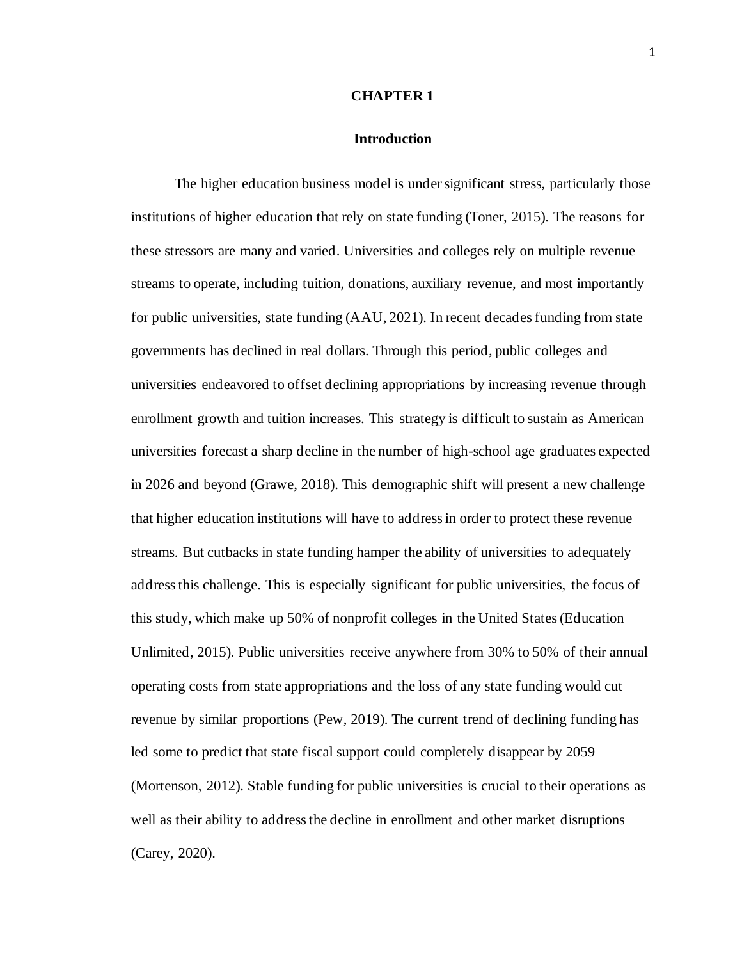#### **CHAPTER 1**

# **Introduction**

<span id="page-6-1"></span><span id="page-6-0"></span>The higher education business model is under significant stress, particularly those institutions of higher education that rely on state funding (Toner, 2015). The reasons for these stressors are many and varied. Universities and colleges rely on multiple revenue streams to operate, including tuition, donations, auxiliary revenue, and most importantly for public universities, state funding (AAU, 2021). In recent decades funding from state governments has declined in real dollars. Through this period, public colleges and universities endeavored to offset declining appropriations by increasing revenue through enrollment growth and tuition increases. This strategy is difficult to sustain as American universities forecast a sharp decline in the number of high-school age graduates expected in 2026 and beyond (Grawe, 2018). This demographic shift will present a new challenge that higher education institutions will have to address in order to protect these revenue streams. But cutbacks in state funding hamper the ability of universities to adequately address this challenge. This is especially significant for public universities, the focus of this study, which make up 50% of nonprofit colleges in the United States (Education Unlimited, 2015). Public universities receive anywhere from 30% to 50% of their annual operating costs from state appropriations and the loss of any state funding would cut revenue by similar proportions (Pew, 2019). The current trend of declining funding has led some to predict that state fiscal support could completely disappear by 2059 (Mortenson, 2012). Stable funding for public universities is crucial to their operations as well as their ability to address the decline in enrollment and other market disruptions (Carey, 2020).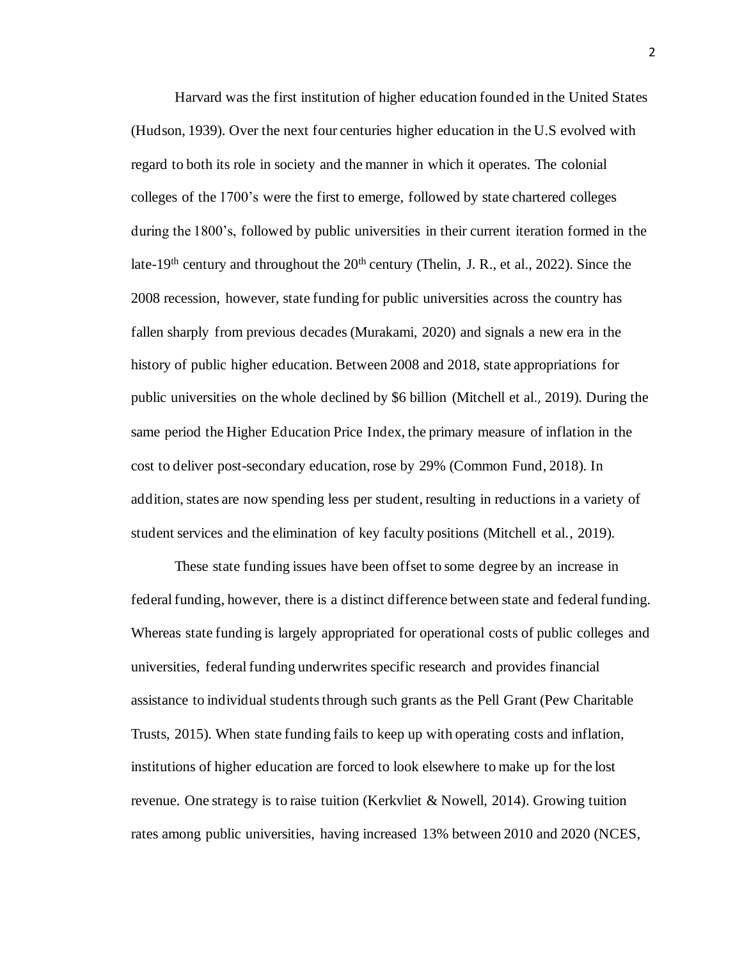Harvard was the first institution of higher education founded in the United States (Hudson, 1939). Over the next four centuries higher education in the U.S evolved with regard to both its role in society and the manner in which it operates. The colonial colleges of the 1700's were the first to emerge, followed by state chartered colleges during the 1800's, followed by public universities in their current iteration formed in the late-19<sup>th</sup> century and throughout the  $20<sup>th</sup>$  century (Thelin, J. R., et al., 2022). Since the 2008 recession, however, state funding for public universities across the country has fallen sharply from previous decades (Murakami, 2020) and signals a new era in the history of public higher education. Between 2008 and 2018, state appropriations for public universities on the whole declined by \$6 billion (Mitchell et al., 2019). During the same period the Higher Education Price Index, the primary measure of inflation in the cost to deliver post-secondary education, rose by 29% (Common Fund, 2018). In addition, states are now spending less per student, resulting in reductions in a variety of student services and the elimination of key faculty positions (Mitchell et al., 2019).

These state funding issues have been offset to some degree by an increase in federal funding, however, there is a distinct difference between state and federal funding. Whereas state funding is largely appropriated for operational costs of public colleges and universities, federal funding underwrites specific research and provides financial assistance to individual students through such grants as the Pell Grant (Pew Charitable Trusts, 2015). When state funding fails to keep up with operating costs and inflation, institutions of higher education are forced to look elsewhere to make up for the lost revenue. One strategy is to raise tuition (Kerkvliet & Nowell, 2014). Growing tuition rates among public universities, having increased 13% between 2010 and 2020 (NCES,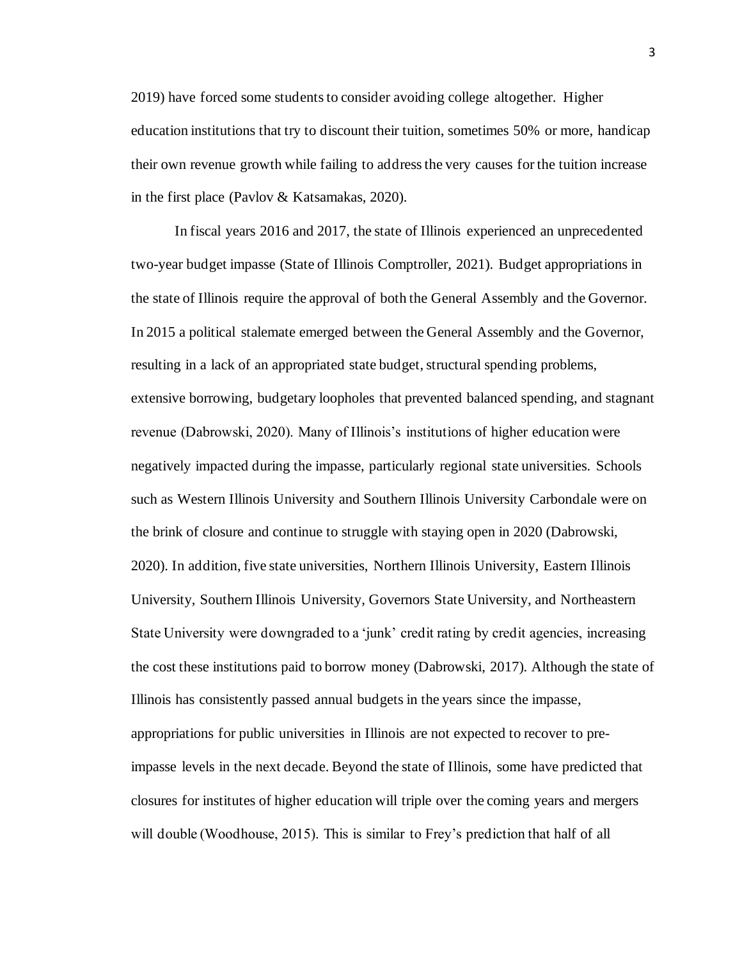2019) have forced some students to consider avoiding college altogether. Higher education institutions that try to discount their tuition, sometimes 50% or more, handicap their own revenue growth while failing to address the very causes for the tuition increase in the first place (Pavlov & Katsamakas, 2020).

In fiscal years 2016 and 2017, the state of Illinois experienced an unprecedented two-year budget impasse (State of Illinois Comptroller, 2021). Budget appropriations in the state of Illinois require the approval of both the General Assembly and the Governor. In 2015 a political stalemate emerged between the General Assembly and the Governor, resulting in a lack of an appropriated state budget, structural spending problems, extensive borrowing, budgetary loopholes that prevented balanced spending, and stagnant revenue (Dabrowski, 2020). Many of Illinois's institutions of higher education were negatively impacted during the impasse, particularly regional state universities. Schools such as Western Illinois University and Southern Illinois University Carbondale were on the brink of closure and continue to struggle with staying open in 2020 (Dabrowski, 2020). In addition, five state universities, Northern Illinois University, Eastern Illinois University, Southern Illinois University, Governors State University, and Northeastern State University were downgraded to a 'junk' credit rating by credit agencies, increasing the cost these institutions paid to borrow money (Dabrowski, 2017). Although the state of Illinois has consistently passed annual budgets in the years since the impasse, appropriations for public universities in Illinois are not expected to recover to preimpasse levels in the next decade. Beyond the state of Illinois, some have predicted that closures for institutes of higher education will triple over the coming years and mergers will double (Woodhouse, 2015). This is similar to Frey's prediction that half of all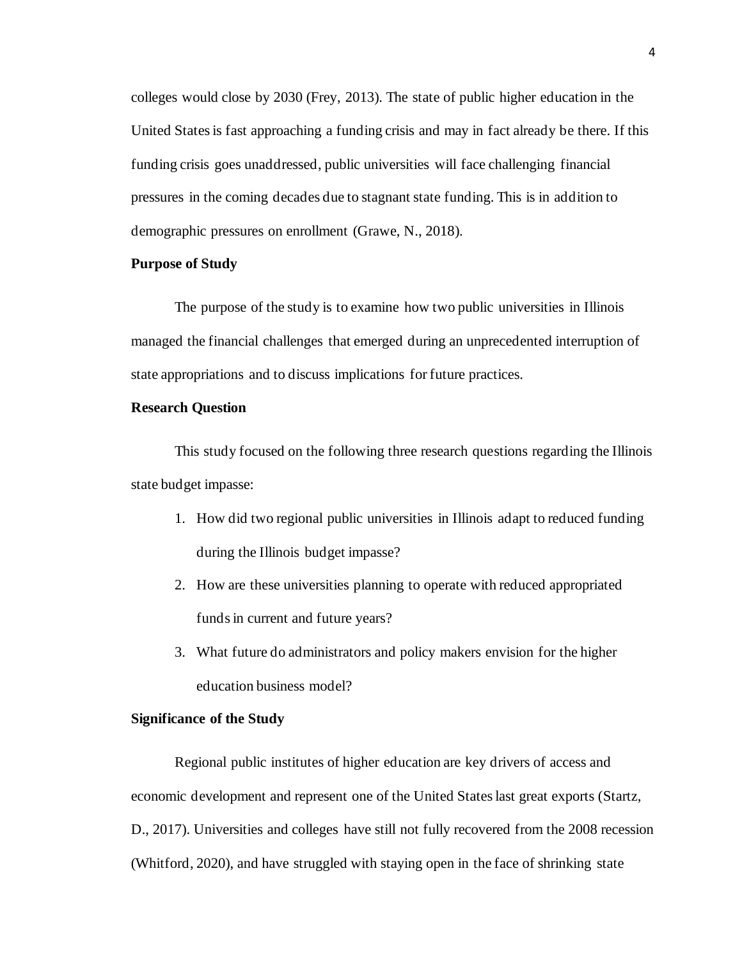colleges would close by 2030 (Frey, 2013). The state of public higher education in the United States is fast approaching a funding crisis and may in fact already be there. If this funding crisis goes unaddressed, public universities will face challenging financial pressures in the coming decades due to stagnant state funding. This is in addition to demographic pressures on enrollment (Grawe, N., 2018).

# <span id="page-9-0"></span>**Purpose of Study**

The purpose of the study is to examine how two public universities in Illinois managed the financial challenges that emerged during an unprecedented interruption of state appropriations and to discuss implications for future practices.

# <span id="page-9-1"></span>**Research Question**

This study focused on the following three research questions regarding the Illinois state budget impasse:

- 1. How did two regional public universities in Illinois adapt to reduced funding during the Illinois budget impasse?
- 2. How are these universities planning to operate with reduced appropriated funds in current and future years?
- 3. What future do administrators and policy makers envision for the higher education business model?

# <span id="page-9-2"></span>**Significance of the Study**

Regional public institutes of higher education are key drivers of access and economic development and represent one of the United States last great exports (Startz, D., 2017). Universities and colleges have still not fully recovered from the 2008 recession (Whitford, 2020), and have struggled with staying open in the face of shrinking state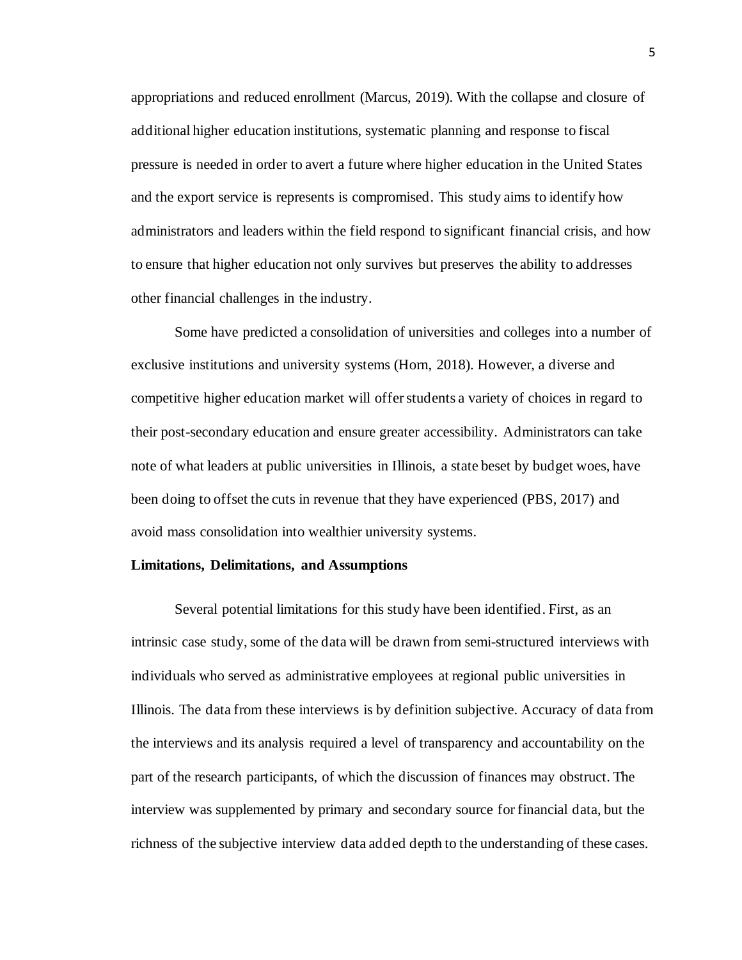appropriations and reduced enrollment (Marcus, 2019). With the collapse and closure of additional higher education institutions, systematic planning and response to fiscal pressure is needed in order to avert a future where higher education in the United States and the export service is represents is compromised. This study aims to identify how administrators and leaders within the field respond to significant financial crisis, and how to ensure that higher education not only survives but preserves the ability to addresses other financial challenges in the industry.

Some have predicted a consolidation of universities and colleges into a number of exclusive institutions and university systems (Horn, 2018). However, a diverse and competitive higher education market will offer students a variety of choices in regard to their post-secondary education and ensure greater accessibility. Administrators can take note of what leaders at public universities in Illinois, a state beset by budget woes, have been doing to offset the cuts in revenue that they have experienced (PBS, 2017) and avoid mass consolidation into wealthier university systems.

#### <span id="page-10-0"></span>**Limitations, Delimitations, and Assumptions**

Several potential limitations for this study have been identified. First, as an intrinsic case study, some of the data will be drawn from semi-structured interviews with individuals who served as administrative employees at regional public universities in Illinois. The data from these interviews is by definition subjective. Accuracy of data from the interviews and its analysis required a level of transparency and accountability on the part of the research participants, of which the discussion of finances may obstruct. The interview was supplemented by primary and secondary source for financial data, but the richness of the subjective interview data added depth to the understanding of these cases.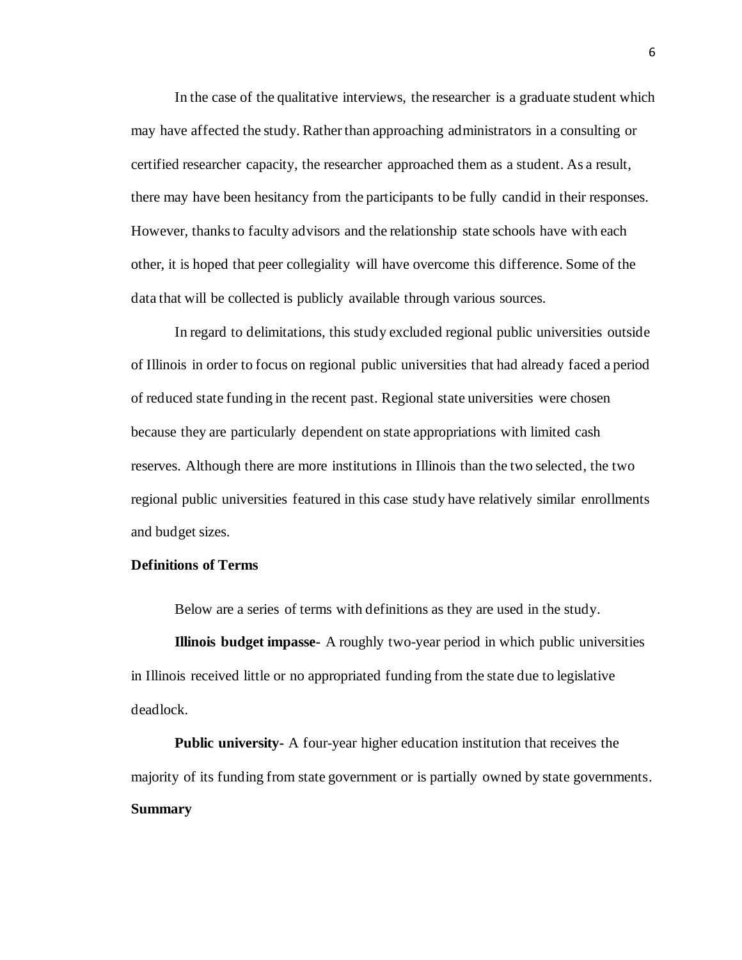In the case of the qualitative interviews, the researcher is a graduate student which may have affected the study. Rather than approaching administrators in a consulting or certified researcher capacity, the researcher approached them as a student. As a result, there may have been hesitancy from the participants to be fully candid in their responses. However, thanks to faculty advisors and the relationship state schools have with each other, it is hoped that peer collegiality will have overcome this difference. Some of the data that will be collected is publicly available through various sources.

In regard to delimitations, this study excluded regional public universities outside of Illinois in order to focus on regional public universities that had already faced a period of reduced state funding in the recent past. Regional state universities were chosen because they are particularly dependent on state appropriations with limited cash reserves. Although there are more institutions in Illinois than the two selected, the two regional public universities featured in this case study have relatively similar enrollments and budget sizes.

# <span id="page-11-0"></span>**Definitions of Terms**

Below are a series of terms with definitions as they are used in the study.

**Illinois budget impasse-** A roughly two-year period in which public universities in Illinois received little or no appropriated funding from the state due to legislative deadlock.

<span id="page-11-1"></span>**Public university-** A four-year higher education institution that receives the majority of its funding from state government or is partially owned by state governments. **Summary**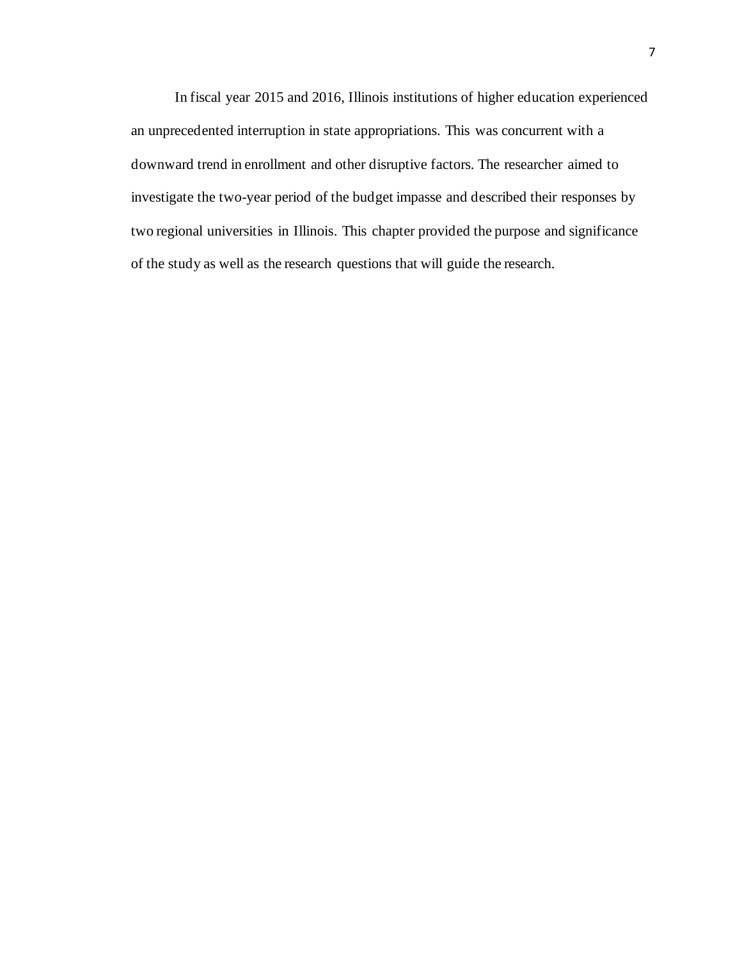In fiscal year 2015 and 2016, Illinois institutions of higher education experienced an unprecedented interruption in state appropriations. This was concurrent with a downward trend in enrollment and other disruptive factors. The researcher aimed to investigate the two-year period of the budget impasse and described their responses by two regional universities in Illinois. This chapter provided the purpose and significance of the study as well as the research questions that will guide the research.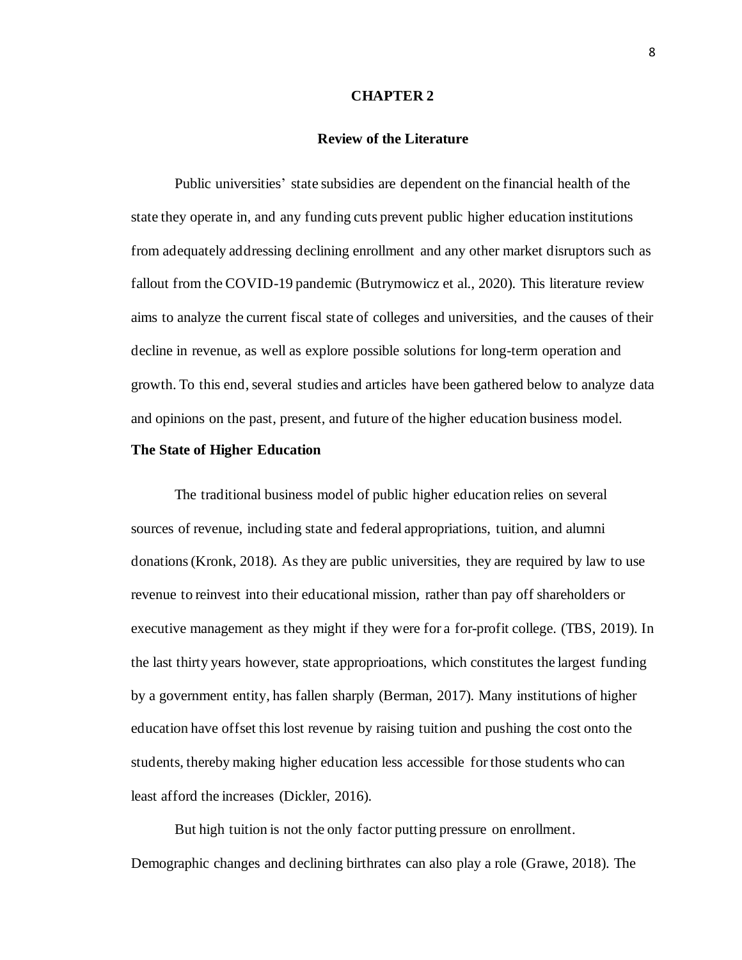#### **CHAPTER 2**

#### **Review of the Literature**

<span id="page-13-1"></span><span id="page-13-0"></span>Public universities' state subsidies are dependent on the financial health of the state they operate in, and any funding cuts prevent public higher education institutions from adequately addressing declining enrollment and any other market disruptors such as fallout from the COVID-19 pandemic (Butrymowicz et al., 2020). This literature review aims to analyze the current fiscal state of colleges and universities, and the causes of their decline in revenue, as well as explore possible solutions for long-term operation and growth. To this end, several studies and articles have been gathered below to analyze data and opinions on the past, present, and future of the higher education business model.

#### <span id="page-13-2"></span>**The State of Higher Education**

The traditional business model of public higher education relies on several sources of revenue, including state and federal appropriations, tuition, and alumni donations (Kronk, 2018). As they are public universities, they are required by law to use revenue to reinvest into their educational mission, rather than pay off shareholders or executive management as they might if they were for a for-profit college. (TBS, 2019). In the last thirty years however, state approprioations, which constitutes the largest funding by a government entity, has fallen sharply (Berman, 2017). Many institutions of higher education have offset this lost revenue by raising tuition and pushing the cost onto the students, thereby making higher education less accessible for those students who can least afford the increases (Dickler, 2016).

But high tuition is not the only factor putting pressure on enrollment. Demographic changes and declining birthrates can also play a role (Grawe, 2018). The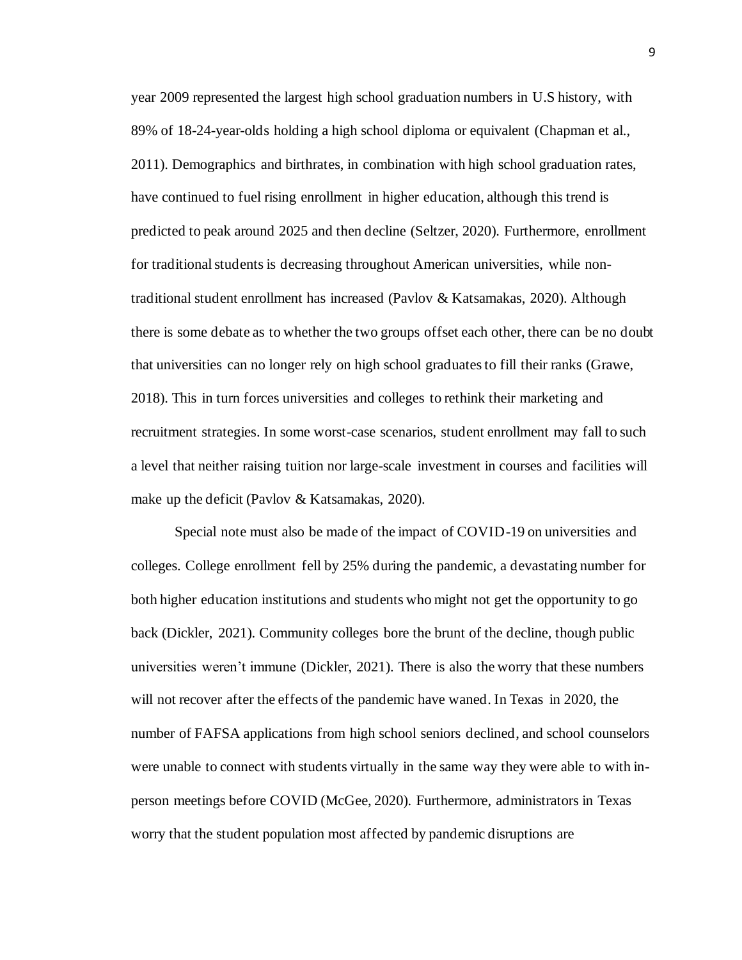year 2009 represented the largest high school graduation numbers in U.S history, with 89% of 18-24-year-olds holding a high school diploma or equivalent (Chapman et al., 2011). Demographics and birthrates, in combination with high school graduation rates, have continued to fuel rising enrollment in higher education, although this trend is predicted to peak around 2025 and then decline (Seltzer, 2020). Furthermore, enrollment for traditional studentsis decreasing throughout American universities, while nontraditional student enrollment has increased (Pavlov & Katsamakas, 2020). Although there is some debate as to whether the two groups offset each other, there can be no doubt that universities can no longer rely on high school graduates to fill their ranks (Grawe, 2018). This in turn forces universities and colleges to rethink their marketing and recruitment strategies. In some worst-case scenarios, student enrollment may fall to such a level that neither raising tuition nor large-scale investment in courses and facilities will make up the deficit (Pavlov & Katsamakas, 2020).

Special note must also be made of the impact of COVID-19 on universities and colleges. College enrollment fell by 25% during the pandemic, a devastating number for both higher education institutions and students who might not get the opportunity to go back (Dickler, 2021). Community colleges bore the brunt of the decline, though public universities weren't immune (Dickler, 2021). There is also the worry that these numbers will not recover after the effects of the pandemic have waned. In Texas in 2020, the number of FAFSA applications from high school seniors declined, and school counselors were unable to connect with students virtually in the same way they were able to with inperson meetings before COVID (McGee, 2020). Furthermore, administrators in Texas worry that the student population most affected by pandemic disruptions are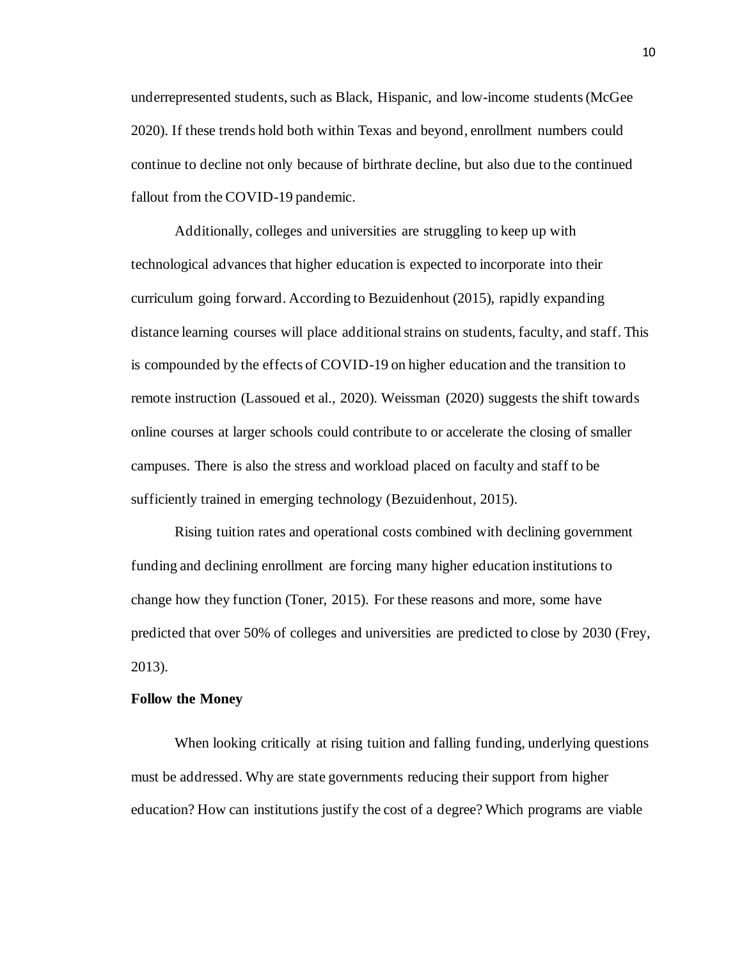underrepresented students, such as Black, Hispanic, and low-income students (McGee 2020). If these trends hold both within Texas and beyond, enrollment numbers could continue to decline not only because of birthrate decline, but also due to the continued fallout from the COVID-19 pandemic.

Additionally, colleges and universities are struggling to keep up with technological advances that higher education is expected to incorporate into their curriculum going forward. According to Bezuidenhout (2015), rapidly expanding distance learning courses will place additional strains on students, faculty, and staff. This is compounded by the effects of COVID-19 on higher education and the transition to remote instruction (Lassoued et al., 2020). Weissman (2020) suggests the shift towards online courses at larger schools could contribute to or accelerate the closing of smaller campuses. There is also the stress and workload placed on faculty and staff to be sufficiently trained in emerging technology (Bezuidenhout, 2015).

Rising tuition rates and operational costs combined with declining government funding and declining enrollment are forcing many higher education institutions to change how they function (Toner, 2015). For these reasons and more, some have predicted that over 50% of colleges and universities are predicted to close by 2030 (Frey, 2013).

# <span id="page-15-0"></span>**Follow the Money**

When looking critically at rising tuition and falling funding, underlying questions must be addressed. Why are state governments reducing their support from higher education? How can institutions justify the cost of a degree? Which programs are viable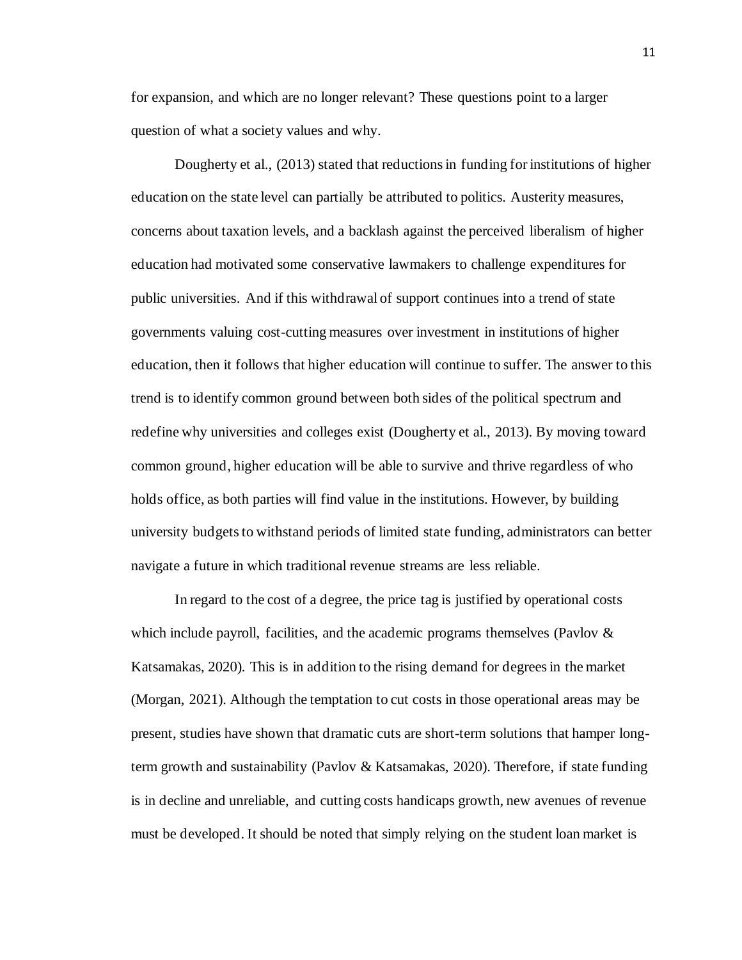for expansion, and which are no longer relevant? These questions point to a larger question of what a society values and why.

Dougherty et al., (2013) stated that reductions in funding for institutions of higher education on the state level can partially be attributed to politics. Austerity measures, concerns about taxation levels, and a backlash against the perceived liberalism of higher education had motivated some conservative lawmakers to challenge expenditures for public universities. And if this withdrawal of support continues into a trend of state governments valuing cost-cutting measures over investment in institutions of higher education, then it follows that higher education will continue to suffer. The answer to this trend is to identify common ground between both sides of the political spectrum and redefine why universities and colleges exist (Dougherty et al., 2013). By moving toward common ground, higher education will be able to survive and thrive regardless of who holds office, as both parties will find value in the institutions. However, by building university budgets to withstand periods of limited state funding, administrators can better navigate a future in which traditional revenue streams are less reliable.

In regard to the cost of a degree, the price tag is justified by operational costs which include payroll, facilities, and the academic programs themselves (Pavlov & Katsamakas, 2020). This is in addition to the rising demand for degrees in the market (Morgan, 2021). Although the temptation to cut costs in those operational areas may be present, studies have shown that dramatic cuts are short-term solutions that hamper longterm growth and sustainability (Pavlov & Katsamakas, 2020). Therefore, if state funding is in decline and unreliable, and cutting costs handicaps growth, new avenues of revenue must be developed. It should be noted that simply relying on the student loan market is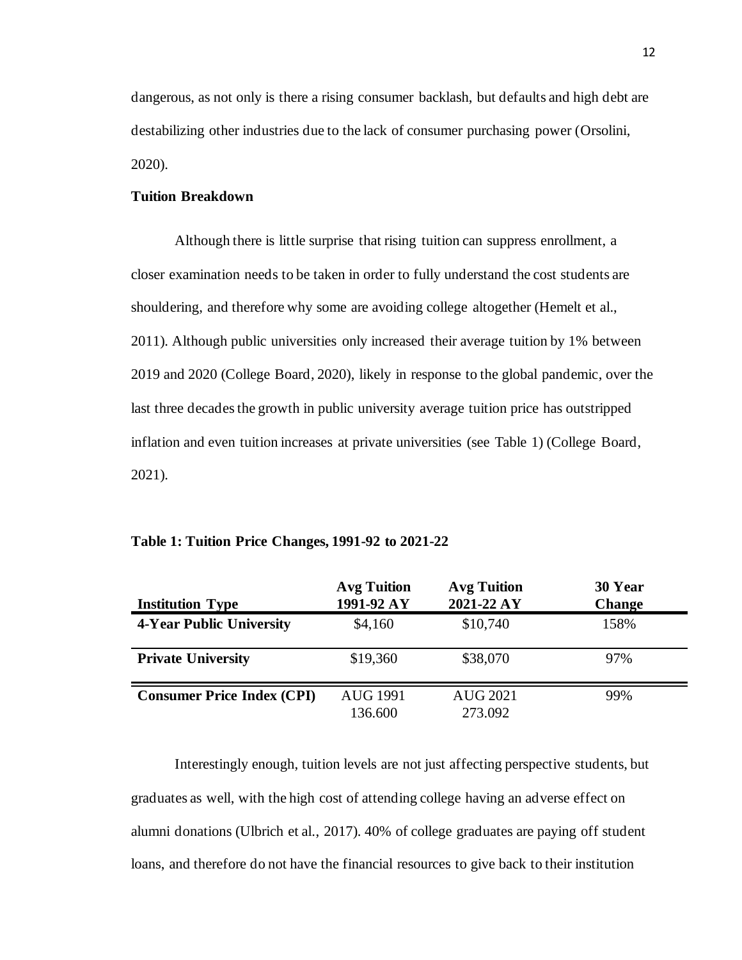dangerous, as not only is there a rising consumer backlash, but defaults and high debt are destabilizing other industries due to the lack of consumer purchasing power (Orsolini, 2020).

# <span id="page-17-0"></span>**Tuition Breakdown**

Although there is little surprise that rising tuition can suppress enrollment, a closer examination needs to be taken in order to fully understand the cost students are shouldering, and therefore why some are avoiding college altogether (Hemelt et al., 2011). Although public universities only increased their average tuition by 1% between 2019 and 2020 (College Board, 2020), likely in response to the global pandemic, over the last three decades the growth in public university average tuition price has outstripped inflation and even tuition increases at private universities (see Table 1) (College Board, 2021).

| <b>Institution Type</b>           | <b>Avg Tuition</b><br>1991-92 AY | <b>Avg Tuition</b><br>2021-22 AY | 30 Year<br><b>Change</b> |
|-----------------------------------|----------------------------------|----------------------------------|--------------------------|
| <b>4-Year Public University</b>   | \$4,160                          | \$10,740                         | 158%                     |
| <b>Private University</b>         | \$19,360                         | \$38,070                         | 97%                      |
| <b>Consumer Price Index (CPI)</b> | <b>AUG 1991</b><br>136.600       | <b>AUG 2021</b><br>273.092       | 99%                      |

#### <span id="page-17-1"></span>**Table 1: Tuition Price Changes, 1991-92 to 2021-22**

Interestingly enough, tuition levels are not just affecting perspective students, but graduates as well, with the high cost of attending college having an adverse effect on alumni donations (Ulbrich et al., 2017). 40% of college graduates are paying off student loans, and therefore do not have the financial resources to give back to their institution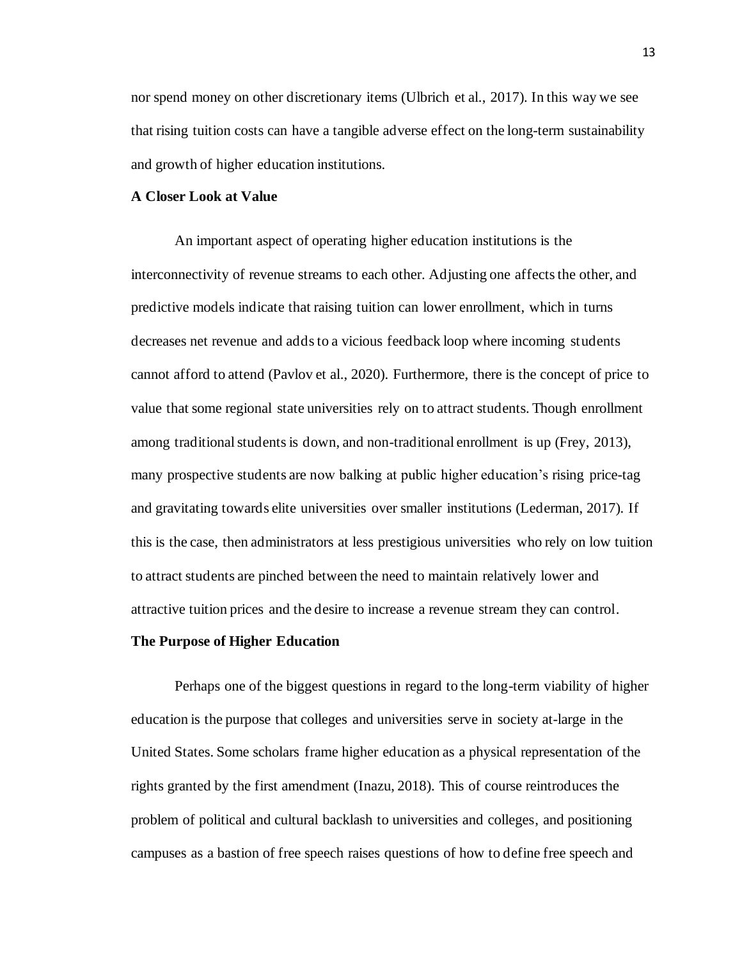nor spend money on other discretionary items (Ulbrich et al., 2017). In this way we see that rising tuition costs can have a tangible adverse effect on the long-term sustainability and growth of higher education institutions.

#### <span id="page-18-0"></span>**A Closer Look at Value**

An important aspect of operating higher education institutions is the interconnectivity of revenue streams to each other. Adjusting one affects the other, and predictive models indicate that raising tuition can lower enrollment, which in turns decreases net revenue and adds to a vicious feedback loop where incoming students cannot afford to attend (Pavlov et al., 2020). Furthermore, there is the concept of price to value that some regional state universities rely on to attract students. Though enrollment among traditional students is down, and non-traditional enrollment is up (Frey, 2013), many prospective students are now balking at public higher education's rising price-tag and gravitating towards elite universities over smaller institutions (Lederman, 2017). If this is the case, then administrators at less prestigious universities who rely on low tuition to attract students are pinched between the need to maintain relatively lower and attractive tuition prices and the desire to increase a revenue stream they can control.

# <span id="page-18-1"></span>**The Purpose of Higher Education**

Perhaps one of the biggest questions in regard to the long-term viability of higher education is the purpose that colleges and universities serve in society at-large in the United States. Some scholars frame higher education as a physical representation of the rights granted by the first amendment (Inazu, 2018). This of course reintroduces the problem of political and cultural backlash to universities and colleges, and positioning campuses as a bastion of free speech raises questions of how to define free speech and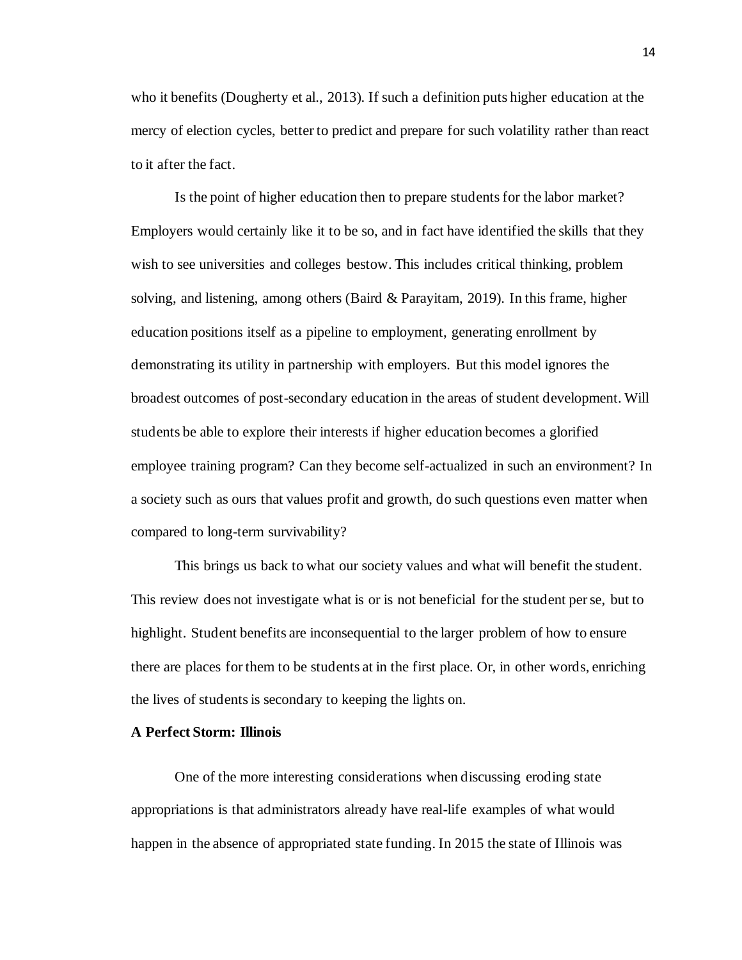who it benefits (Dougherty et al., 2013). If such a definition puts higher education at the mercy of election cycles, better to predict and prepare for such volatility rather than react to it after the fact.

Is the point of higher education then to prepare students for the labor market? Employers would certainly like it to be so, and in fact have identified the skills that they wish to see universities and colleges bestow. This includes critical thinking, problem solving, and listening, among others (Baird & Parayitam, 2019). In this frame, higher education positions itself as a pipeline to employment, generating enrollment by demonstrating its utility in partnership with employers. But this model ignores the broadest outcomes of post-secondary education in the areas of student development. Will students be able to explore their interests if higher education becomes a glorified employee training program? Can they become self-actualized in such an environment? In a society such as ours that values profit and growth, do such questions even matter when compared to long-term survivability?

This brings us back to what our society values and what will benefit the student. This review does not investigate what is or is not beneficial for the student per se, but to highlight. Student benefits are inconsequential to the larger problem of how to ensure there are places for them to be students at in the first place. Or, in other words, enriching the lives of students is secondary to keeping the lights on.

# <span id="page-19-0"></span>**A Perfect Storm: Illinois**

One of the more interesting considerations when discussing eroding state appropriations is that administrators already have real-life examples of what would happen in the absence of appropriated state funding. In 2015 the state of Illinois was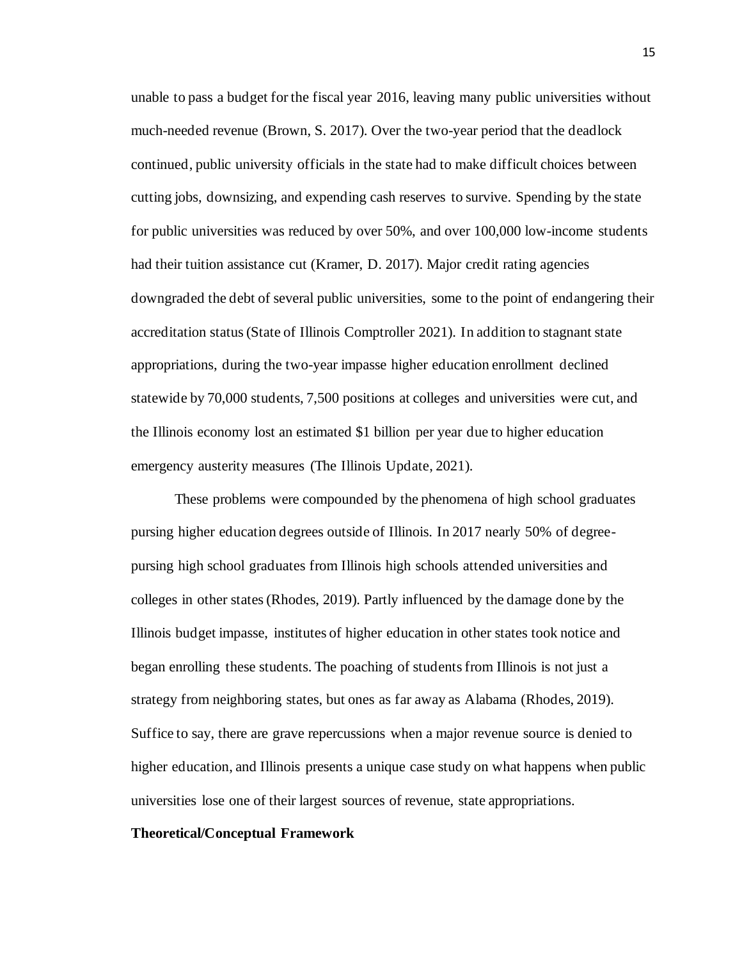unable to pass a budget for the fiscal year 2016, leaving many public universities without much-needed revenue (Brown, S. 2017). Over the two-year period that the deadlock continued, public university officials in the state had to make difficult choices between cutting jobs, downsizing, and expending cash reserves to survive. Spending by the state for public universities was reduced by over 50%, and over 100,000 low-income students had their tuition assistance cut (Kramer, D. 2017). Major credit rating agencies downgraded the debt of several public universities, some to the point of endangering their accreditation status (State of Illinois Comptroller 2021). In addition to stagnant state appropriations, during the two-year impasse higher education enrollment declined statewide by 70,000 students, 7,500 positions at colleges and universities were cut, and the Illinois economy lost an estimated \$1 billion per year due to higher education emergency austerity measures (The Illinois Update, 2021).

These problems were compounded by the phenomena of high school graduates pursing higher education degrees outside of Illinois. In 2017 nearly 50% of degreepursing high school graduates from Illinois high schools attended universities and colleges in other states (Rhodes, 2019). Partly influenced by the damage done by the Illinois budget impasse, institutes of higher education in other states took notice and began enrolling these students. The poaching of students from Illinois is not just a strategy from neighboring states, but ones as far away as Alabama (Rhodes, 2019). Suffice to say, there are grave repercussions when a major revenue source is denied to higher education, and Illinois presents a unique case study on what happens when public universities lose one of their largest sources of revenue, state appropriations.

# <span id="page-20-0"></span>**Theoretical/Conceptual Framework**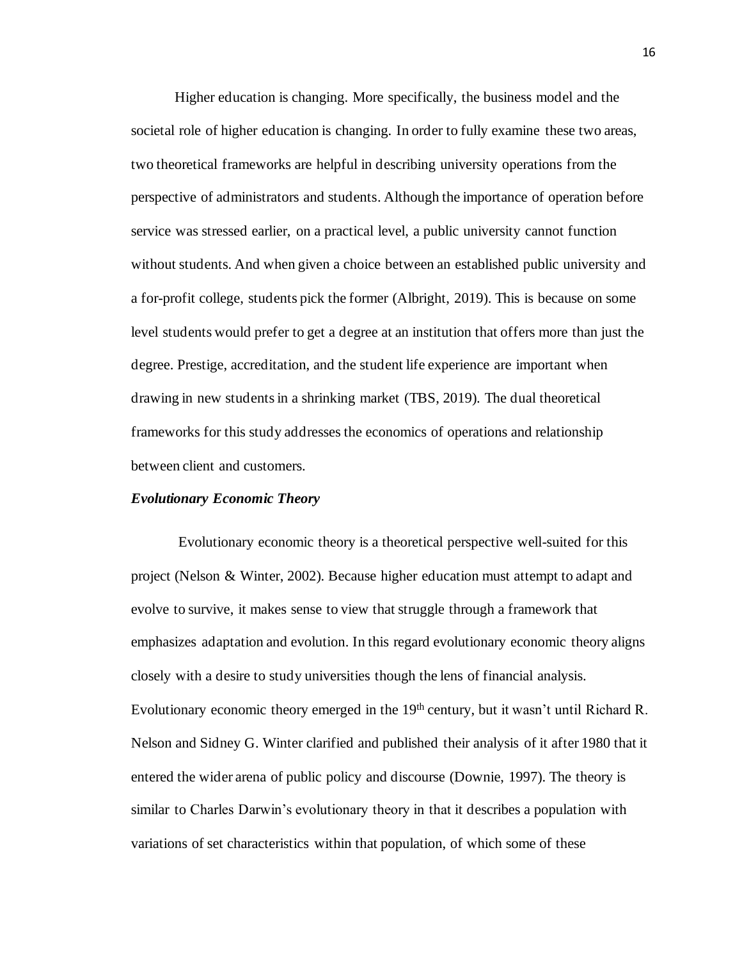Higher education is changing. More specifically, the business model and the societal role of higher education is changing. In order to fully examine these two areas, two theoretical frameworks are helpful in describing university operations from the perspective of administrators and students. Although the importance of operation before service was stressed earlier, on a practical level, a public university cannot function without students. And when given a choice between an established public university and a for-profit college, students pick the former (Albright, 2019). This is because on some level students would prefer to get a degree at an institution that offers more than just the degree. Prestige, accreditation, and the student life experience are important when drawing in new students in a shrinking market (TBS, 2019). The dual theoretical frameworks for this study addresses the economics of operations and relationship between client and customers.

# <span id="page-21-0"></span>*Evolutionary Economic Theory*

Evolutionary economic theory is a theoretical perspective well-suited for this project (Nelson & Winter, 2002). Because higher education must attempt to adapt and evolve to survive, it makes sense to view that struggle through a framework that emphasizes adaptation and evolution. In this regard evolutionary economic theory aligns closely with a desire to study universities though the lens of financial analysis. Evolutionary economic theory emerged in the 19<sup>th</sup> century, but it wasn't until Richard R. Nelson and Sidney G. Winter clarified and published their analysis of it after 1980 that it entered the wider arena of public policy and discourse (Downie, 1997). The theory is similar to Charles Darwin's evolutionary theory in that it describes a population with variations of set characteristics within that population, of which some of these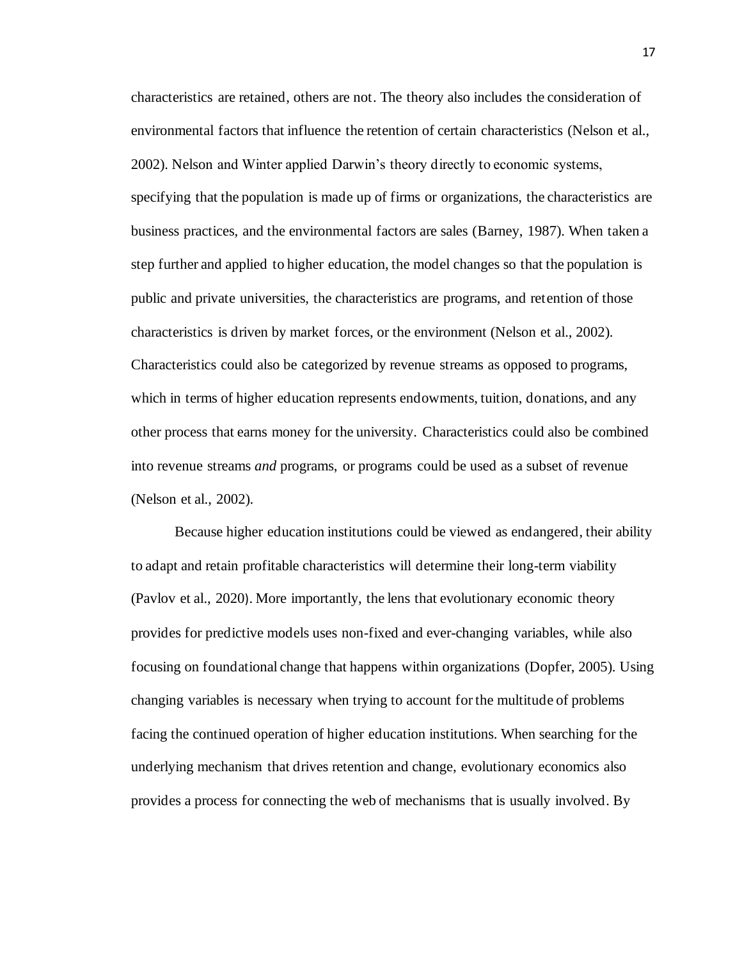characteristics are retained, others are not. The theory also includes the consideration of environmental factors that influence the retention of certain characteristics (Nelson et al., 2002). Nelson and Winter applied Darwin's theory directly to economic systems, specifying that the population is made up of firms or organizations, the characteristics are business practices, and the environmental factors are sales (Barney, 1987). When taken a step further and applied to higher education, the model changes so that the population is public and private universities, the characteristics are programs, and retention of those characteristics is driven by market forces, or the environment (Nelson et al., 2002). Characteristics could also be categorized by revenue streams as opposed to programs, which in terms of higher education represents endowments, tuition, donations, and any other process that earns money for the university. Characteristics could also be combined into revenue streams *and* programs, or programs could be used as a subset of revenue (Nelson et al., 2002).

Because higher education institutions could be viewed as endangered, their ability to adapt and retain profitable characteristics will determine their long-term viability (Pavlov et al., 2020). More importantly, the lens that evolutionary economic theory provides for predictive models uses non-fixed and ever-changing variables, while also focusing on foundational change that happens within organizations (Dopfer, 2005). Using changing variables is necessary when trying to account for the multitude of problems facing the continued operation of higher education institutions. When searching for the underlying mechanism that drives retention and change, evolutionary economics also provides a process for connecting the web of mechanisms that is usually involved. By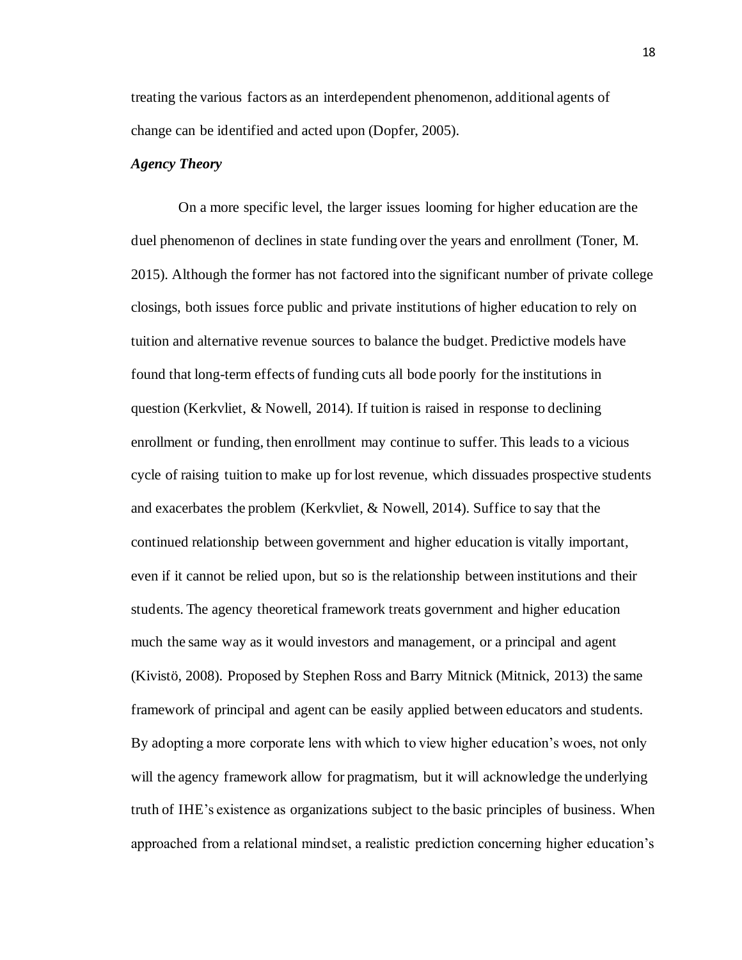treating the various factors as an interdependent phenomenon, additional agents of change can be identified and acted upon (Dopfer, 2005).

## <span id="page-23-0"></span>*Agency Theory*

On a more specific level, the larger issues looming for higher education are the duel phenomenon of declines in state funding over the years and enrollment (Toner, M. 2015). Although the former has not factored into the significant number of private college closings, both issues force public and private institutions of higher education to rely on tuition and alternative revenue sources to balance the budget. Predictive models have found that long-term effects of funding cuts all bode poorly for the institutions in question (Kerkvliet, & Nowell, 2014). If tuition is raised in response to declining enrollment or funding, then enrollment may continue to suffer. This leads to a vicious cycle of raising tuition to make up for lost revenue, which dissuades prospective students and exacerbates the problem (Kerkvliet, & Nowell, 2014). Suffice to say that the continued relationship between government and higher education is vitally important, even if it cannot be relied upon, but so is the relationship between institutions and their students. The agency theoretical framework treats government and higher education much the same way as it would investors and management, or a principal and agent (Kivistö, 2008). Proposed by Stephen Ross and Barry Mitnick (Mitnick, 2013) the same framework of principal and agent can be easily applied between educators and students. By adopting a more corporate lens with which to view higher education's woes, not only will the agency framework allow for pragmatism, but it will acknowledge the underlying truth of IHE's existence as organizations subject to the basic principles of business. When approached from a relational mindset, a realistic prediction concerning higher education's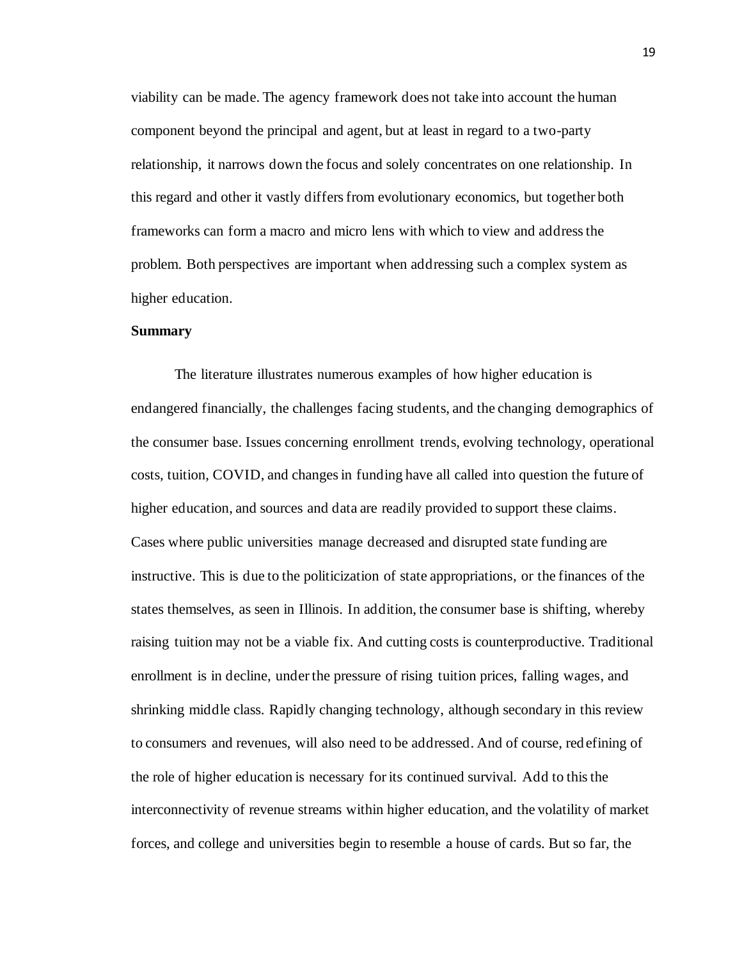viability can be made. The agency framework does not take into account the human component beyond the principal and agent, but at least in regard to a two-party relationship, it narrows down the focus and solely concentrates on one relationship. In this regard and other it vastly differs from evolutionary economics, but together both frameworks can form a macro and micro lens with which to view and address the problem. Both perspectives are important when addressing such a complex system as higher education.

#### <span id="page-24-0"></span>**Summary**

The literature illustrates numerous examples of how higher education is endangered financially, the challenges facing students, and the changing demographics of the consumer base. Issues concerning enrollment trends, evolving technology, operational costs, tuition, COVID, and changes in funding have all called into question the future of higher education, and sources and data are readily provided to support these claims. Cases where public universities manage decreased and disrupted state funding are instructive. This is due to the politicization of state appropriations, or the finances of the states themselves, as seen in Illinois. In addition, the consumer base is shifting, whereby raising tuition may not be a viable fix. And cutting costs is counterproductive. Traditional enrollment is in decline, under the pressure of rising tuition prices, falling wages, and shrinking middle class. Rapidly changing technology, although secondary in this review to consumers and revenues, will also need to be addressed. And of course, red efining of the role of higher education is necessary for its continued survival. Add to this the interconnectivity of revenue streams within higher education, and the volatility of market forces, and college and universities begin to resemble a house of cards. But so far, the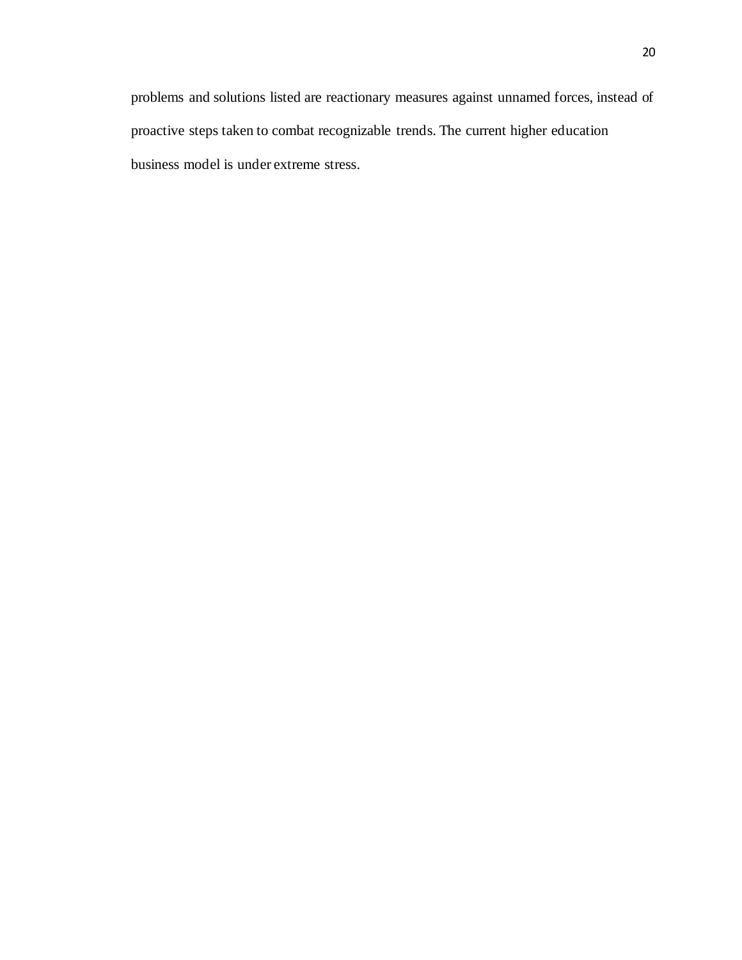problems and solutions listed are reactionary measures against unnamed forces, instead of proactive steps taken to combat recognizable trends. The current higher education business model is under extreme stress.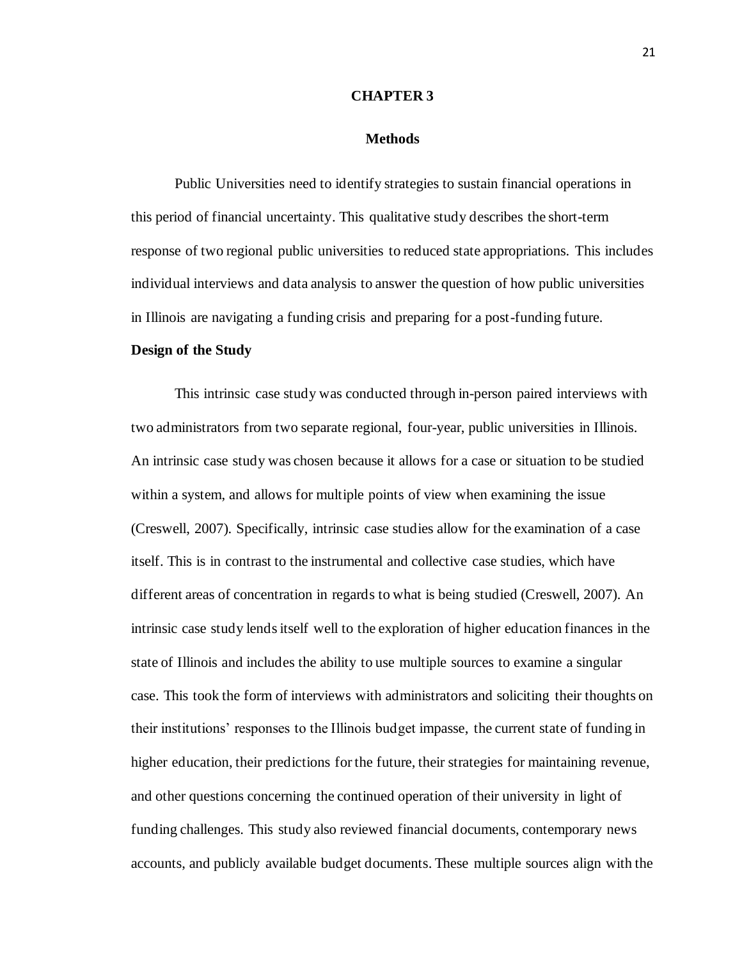#### **CHAPTER 3**

# **Methods**

<span id="page-26-1"></span><span id="page-26-0"></span>Public Universities need to identify strategies to sustain financial operations in this period of financial uncertainty. This qualitative study describes the short-term response of two regional public universities to reduced state appropriations. This includes individual interviews and data analysis to answer the question of how public universities in Illinois are navigating a funding crisis and preparing for a post-funding future.

#### <span id="page-26-2"></span>**Design of the Study**

This intrinsic case study was conducted through in-person paired interviews with two administrators from two separate regional, four-year, public universities in Illinois. An intrinsic case study was chosen because it allows for a case or situation to be studied within a system, and allows for multiple points of view when examining the issue (Creswell, 2007). Specifically, intrinsic case studies allow for the examination of a case itself. This is in contrast to the instrumental and collective case studies, which have different areas of concentration in regards to what is being studied (Creswell, 2007). An intrinsic case study lends itself well to the exploration of higher education finances in the state of Illinois and includes the ability to use multiple sources to examine a singular case. This took the form of interviews with administrators and soliciting their thoughts on their institutions' responses to the Illinois budget impasse, the current state of funding in higher education, their predictions for the future, their strategies for maintaining revenue, and other questions concerning the continued operation of their university in light of funding challenges. This study also reviewed financial documents, contemporary news accounts, and publicly available budget documents. These multiple sources align with the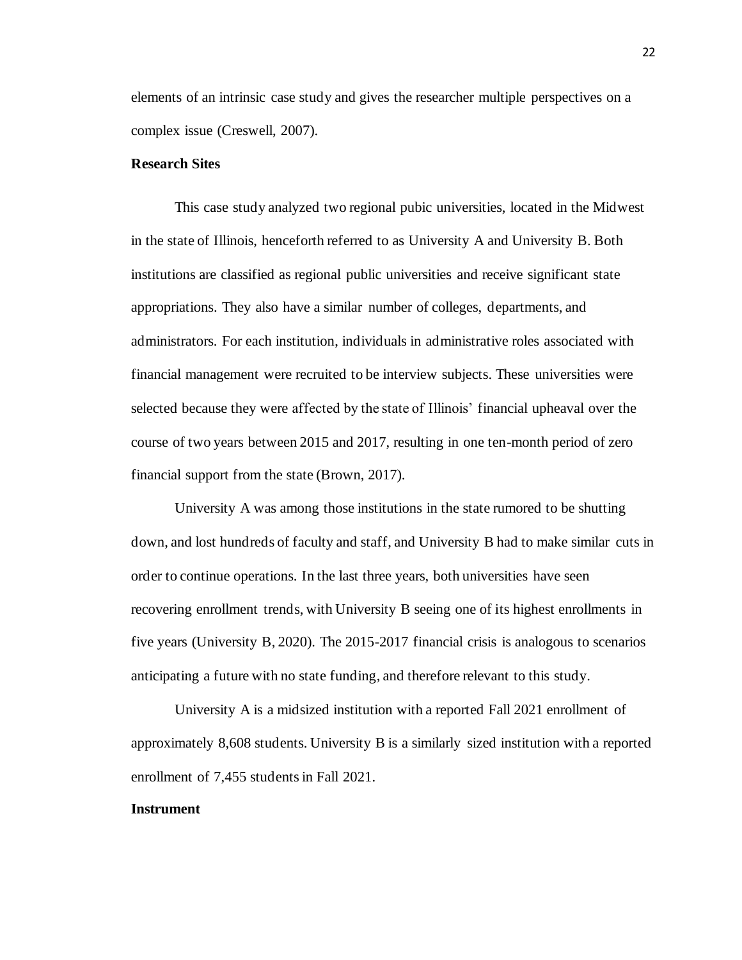elements of an intrinsic case study and gives the researcher multiple perspectives on a complex issue (Creswell, 2007).

# <span id="page-27-0"></span>**Research Sites**

This case study analyzed two regional pubic universities, located in the Midwest in the state of Illinois, henceforth referred to as University A and University B. Both institutions are classified as regional public universities and receive significant state appropriations. They also have a similar number of colleges, departments, and administrators. For each institution, individuals in administrative roles associated with financial management were recruited to be interview subjects. These universities were selected because they were affected by the state of Illinois' financial upheaval over the course of two years between 2015 and 2017, resulting in one ten-month period of zero financial support from the state (Brown, 2017).

University A was among those institutions in the state rumored to be shutting down, and lost hundreds of faculty and staff, and University B had to make similar cuts in order to continue operations. In the last three years, both universities have seen recovering enrollment trends, with University B seeing one of its highest enrollments in five years (University B, 2020). The 2015-2017 financial crisis is analogous to scenarios anticipating a future with no state funding, and therefore relevant to this study.

University A is a midsized institution with a reported Fall 2021 enrollment of approximately 8,608 students. University B is a similarly sized institution with a reported enrollment of 7,455 students in Fall 2021.

#### <span id="page-27-1"></span>**Instrument**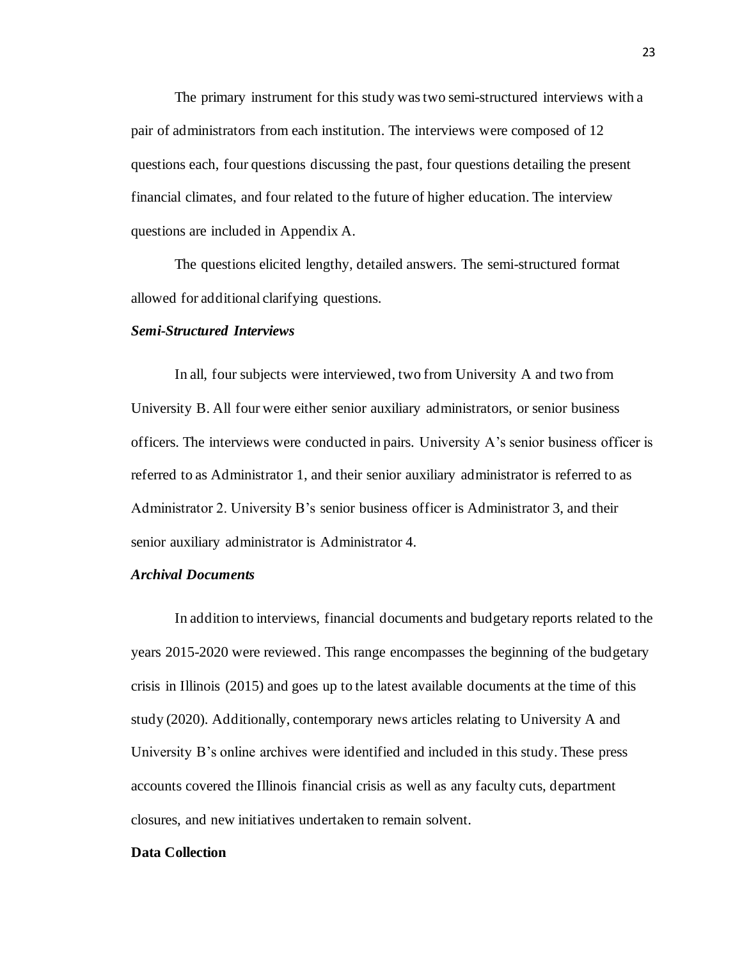The primary instrument for this study was two semi-structured interviews with a pair of administrators from each institution. The interviews were composed of 12 questions each, four questions discussing the past, four questions detailing the present financial climates, and four related to the future of higher education. The interview questions are included in Appendix A.

The questions elicited lengthy, detailed answers. The semi-structured format allowed for additional clarifying questions.

#### <span id="page-28-0"></span>*Semi-Structured Interviews*

In all, four subjects were interviewed, two from University A and two from University B. All four were either senior auxiliary administrators, or senior business officers. The interviews were conducted in pairs. University A's senior business officer is referred to as Administrator 1, and their senior auxiliary administrator is referred to as Administrator 2. University B's senior business officer is Administrator 3, and their senior auxiliary administrator is Administrator 4.

# <span id="page-28-1"></span>*Archival Documents*

In addition to interviews, financial documents and budgetary reports related to the years 2015-2020 were reviewed. This range encompasses the beginning of the budgetary crisis in Illinois (2015) and goes up to the latest available documents at the time of this study (2020). Additionally, contemporary news articles relating to University A and University B's online archives were identified and included in this study. These press accounts covered the Illinois financial crisis as well as any faculty cuts, department closures, and new initiatives undertaken to remain solvent.

#### <span id="page-28-2"></span>**Data Collection**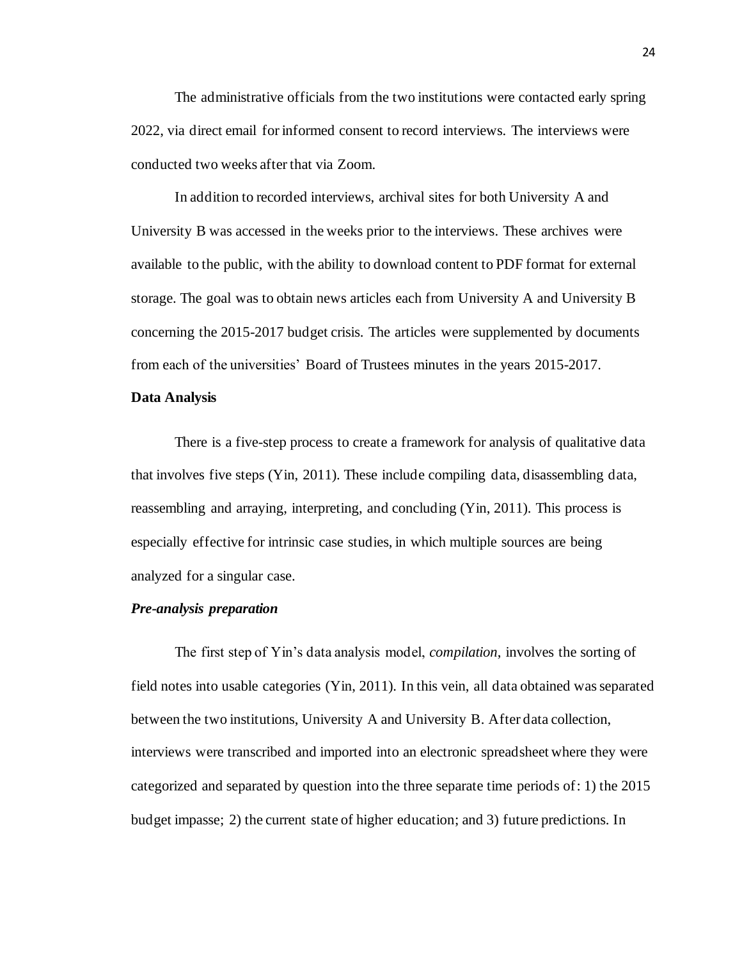The administrative officials from the two institutions were contacted early spring 2022, via direct email for informed consent to record interviews. The interviews were conducted two weeks after that via Zoom.

In addition to recorded interviews, archival sites for both University A and University B was accessed in the weeks prior to the interviews. These archives were available to the public, with the ability to download content to PDF format for external storage. The goal was to obtain news articles each from University A and University B concerning the 2015-2017 budget crisis. The articles were supplemented by documents from each of the universities' Board of Trustees minutes in the years 2015-2017.

#### <span id="page-29-0"></span>**Data Analysis**

There is a five-step process to create a framework for analysis of qualitative data that involves five steps (Yin, 2011). These include compiling data, disassembling data, reassembling and arraying, interpreting, and concluding (Yin, 2011). This process is especially effective for intrinsic case studies, in which multiple sources are being analyzed for a singular case.

# <span id="page-29-1"></span>*Pre-analysis preparation*

The first step of Yin's data analysis model, *compilation*, involves the sorting of field notes into usable categories (Yin, 2011). In this vein, all data obtained wasseparated between the two institutions, University A and University B. After data collection, interviews were transcribed and imported into an electronic spreadsheet where they were categorized and separated by question into the three separate time periods of: 1) the 2015 budget impasse; 2) the current state of higher education; and 3) future predictions. In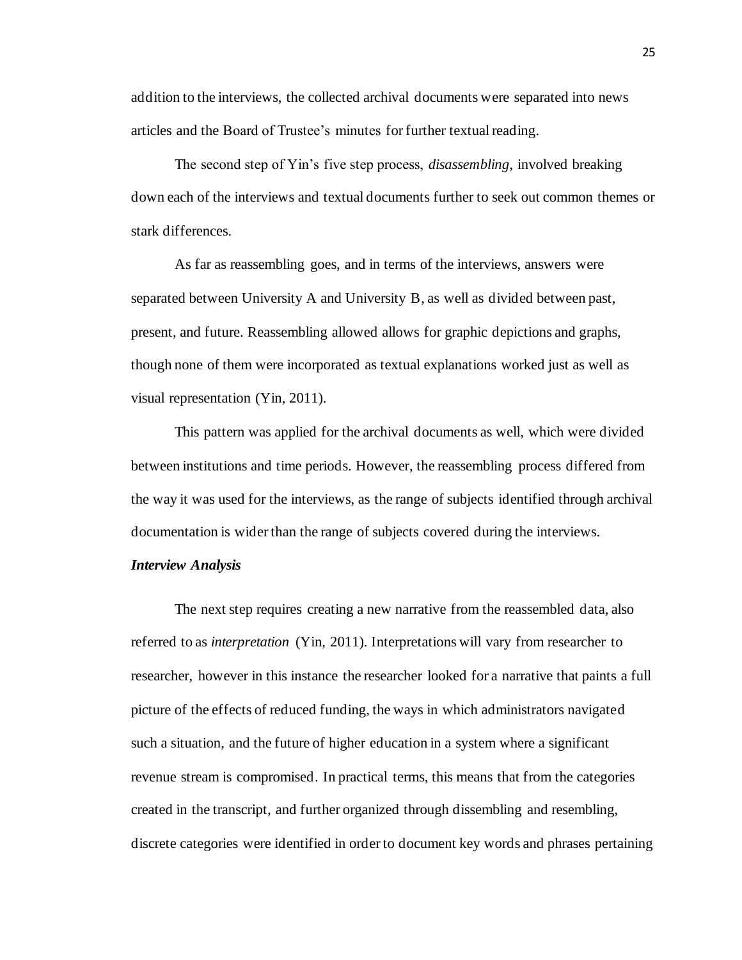addition to the interviews, the collected archival documents were separated into news articles and the Board of Trustee's minutes for further textual reading.

The second step of Yin's five step process, *disassembling*, involved breaking down each of the interviews and textual documents further to seek out common themes or stark differences.

As far as reassembling goes, and in terms of the interviews, answers were separated between University A and University B, as well as divided between past, present, and future. Reassembling allowed allows for graphic depictions and graphs, though none of them were incorporated as textual explanations worked just as well as visual representation (Yin, 2011).

This pattern was applied for the archival documents as well, which were divided between institutions and time periods. However, the reassembling process differed from the way it was used for the interviews, as the range of subjects identified through archival documentation is wider than the range of subjects covered during the interviews.

#### <span id="page-30-0"></span>*Interview Analysis*

The next step requires creating a new narrative from the reassembled data, also referred to as *interpretation* (Yin, 2011). Interpretations will vary from researcher to researcher, however in this instance the researcher looked for a narrative that paints a full picture of the effects of reduced funding, the ways in which administrators navigated such a situation, and the future of higher education in a system where a significant revenue stream is compromised. In practical terms, this means that from the categories created in the transcript, and further organized through dissembling and resembling, discrete categories were identified in order to document key words and phrases pertaining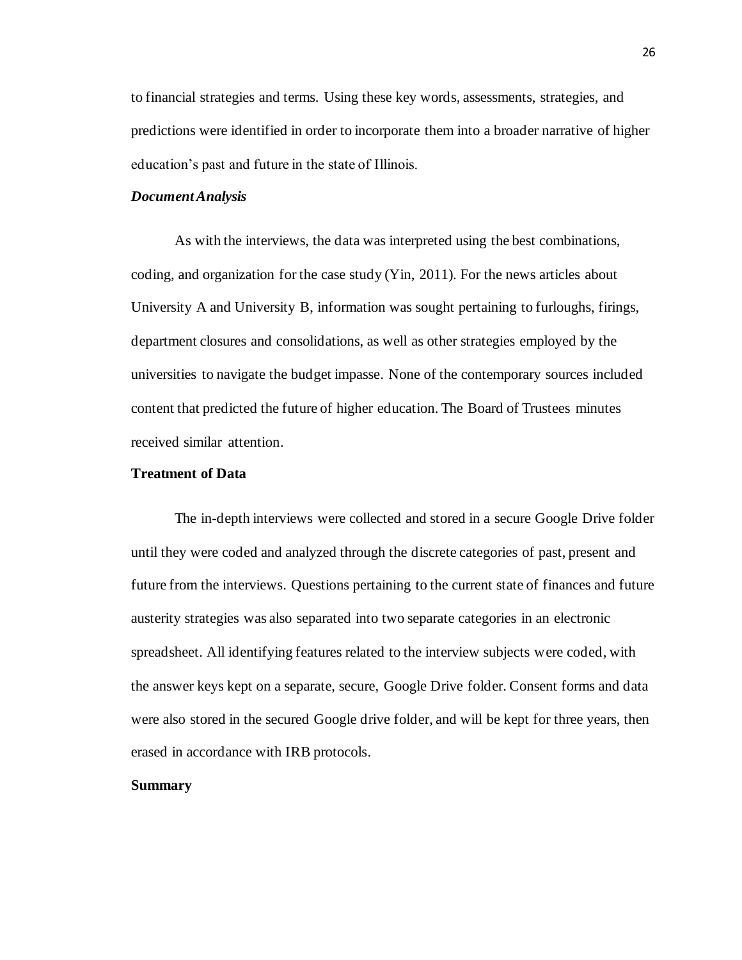to financial strategies and terms. Using these key words, assessments, strategies, and predictions were identified in order to incorporate them into a broader narrative of higher education's past and future in the state of Illinois.

# <span id="page-31-0"></span>*Document Analysis*

As with the interviews, the data was interpreted using the best combinations, coding, and organization for the case study (Yin, 2011). For the news articles about University A and University B, information was sought pertaining to furloughs, firings, department closures and consolidations, as well as other strategies employed by the universities to navigate the budget impasse. None of the contemporary sources included content that predicted the future of higher education. The Board of Trustees minutes received similar attention.

# <span id="page-31-1"></span>**Treatment of Data**

The in-depth interviews were collected and stored in a secure Google Drive folder until they were coded and analyzed through the discrete categories of past, present and future from the interviews. Questions pertaining to the current state of finances and future austerity strategies was also separated into two separate categories in an electronic spreadsheet. All identifying features related to the interview subjects were coded, with the answer keys kept on a separate, secure, Google Drive folder. Consent forms and data were also stored in the secured Google drive folder, and will be kept for three years, then erased in accordance with IRB protocols.

#### <span id="page-31-2"></span>**Summary**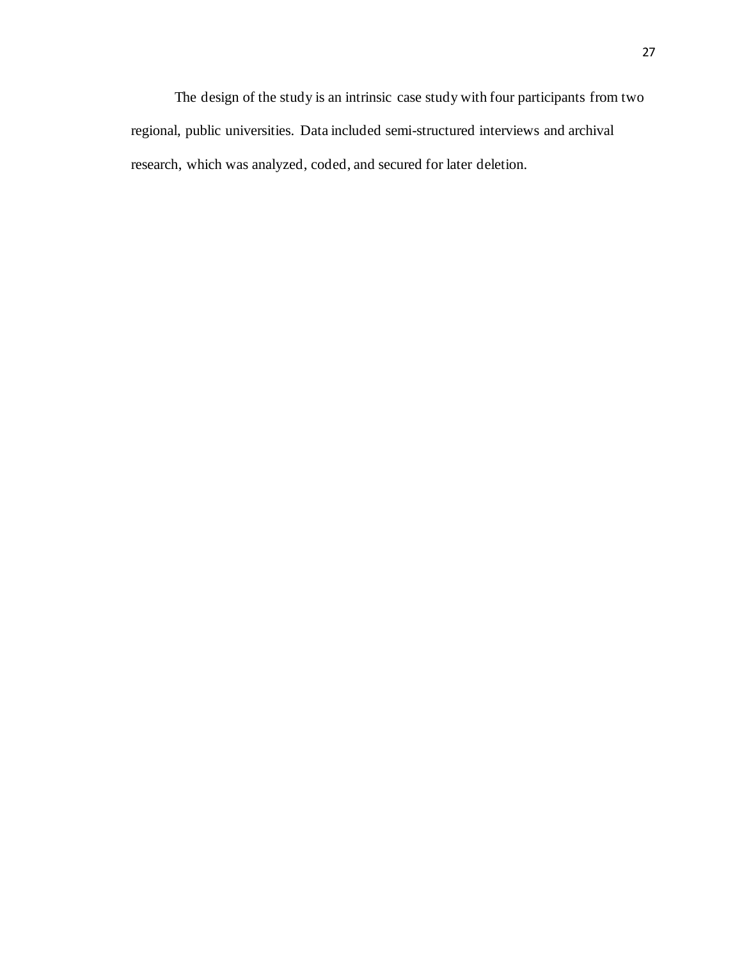The design of the study is an intrinsic case study with four participants from two regional, public universities. Data included semi-structured interviews and archival research, which was analyzed, coded, and secured for later deletion.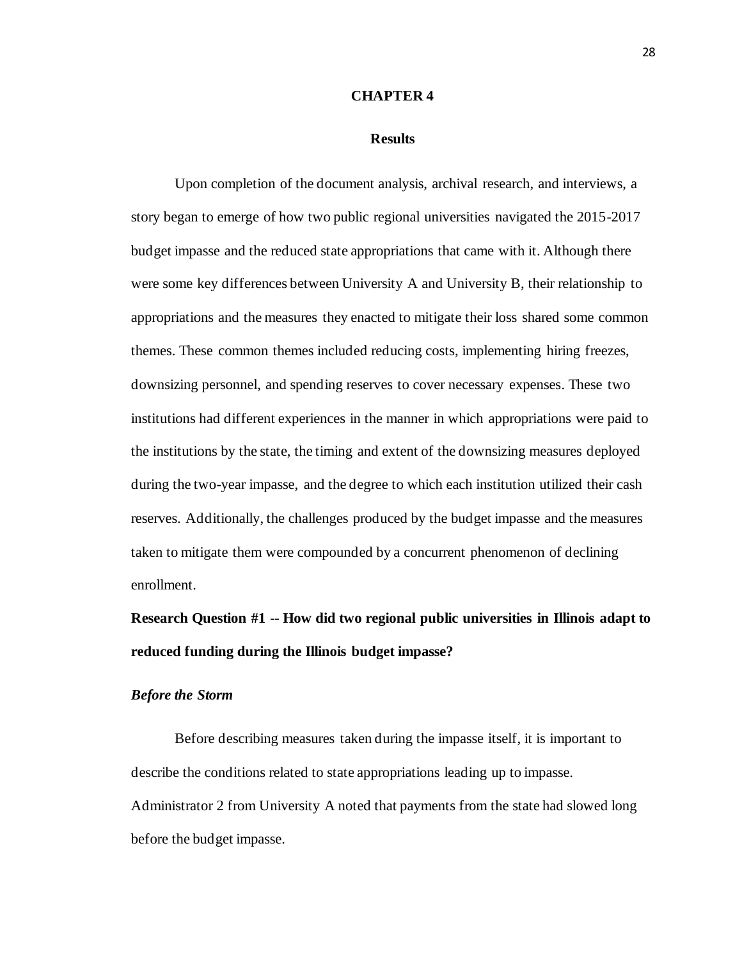#### **CHAPTER 4**

#### **Results**

<span id="page-33-1"></span><span id="page-33-0"></span>Upon completion of the document analysis, archival research, and interviews, a story began to emerge of how two public regional universities navigated the 2015-2017 budget impasse and the reduced state appropriations that came with it. Although there were some key differences between University A and University B, their relationship to appropriations and the measures they enacted to mitigate their loss shared some common themes. These common themes included reducing costs, implementing hiring freezes, downsizing personnel, and spending reserves to cover necessary expenses. These two institutions had different experiences in the manner in which appropriations were paid to the institutions by the state, the timing and extent of the downsizing measures deployed during the two-year impasse, and the degree to which each institution utilized their cash reserves. Additionally, the challenges produced by the budget impasse and the measures taken to mitigate them were compounded by a concurrent phenomenon of declining enrollment.

<span id="page-33-2"></span>**Research Question #1 -- How did two regional public universities in Illinois adapt to reduced funding during the Illinois budget impasse?**

# <span id="page-33-3"></span>*Before the Storm*

Before describing measures taken during the impasse itself, it is important to describe the conditions related to state appropriations leading up to impasse. Administrator 2 from University A noted that payments from the state had slowed long before the budget impasse.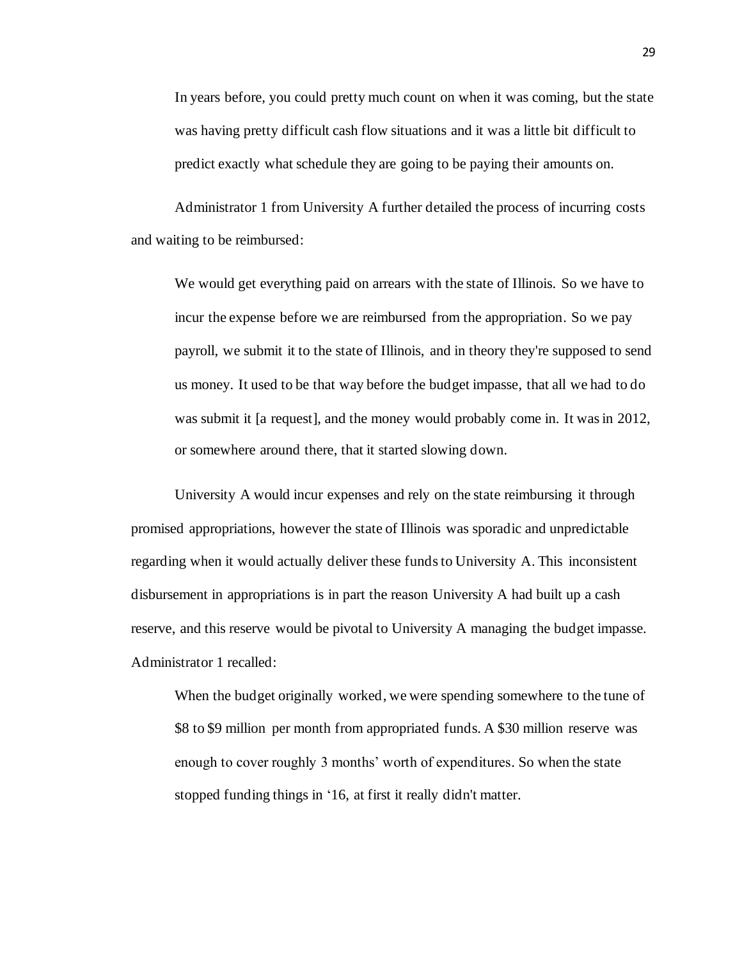In years before, you could pretty much count on when it was coming, but the state was having pretty difficult cash flow situations and it was a little bit difficult to predict exactly what schedule they are going to be paying their amounts on.

Administrator 1 from University A further detailed the process of incurring costs and waiting to be reimbursed:

We would get everything paid on arrears with the state of Illinois. So we have to incur the expense before we are reimbursed from the appropriation. So we pay payroll, we submit it to the state of Illinois, and in theory they're supposed to send us money. It used to be that way before the budget impasse, that all we had to do was submit it [a request], and the money would probably come in. It was in 2012, or somewhere around there, that it started slowing down.

University A would incur expenses and rely on the state reimbursing it through promised appropriations, however the state of Illinois was sporadic and unpredictable regarding when it would actually deliver these funds to University A. This inconsistent disbursement in appropriations is in part the reason University A had built up a cash reserve, and this reserve would be pivotal to University A managing the budget impasse. Administrator 1 recalled:

When the budget originally worked, we were spending somewhere to the tune of \$8 to \$9 million per month from appropriated funds. A \$30 million reserve was enough to cover roughly 3 months' worth of expenditures. So when the state stopped funding things in '16, at first it really didn't matter.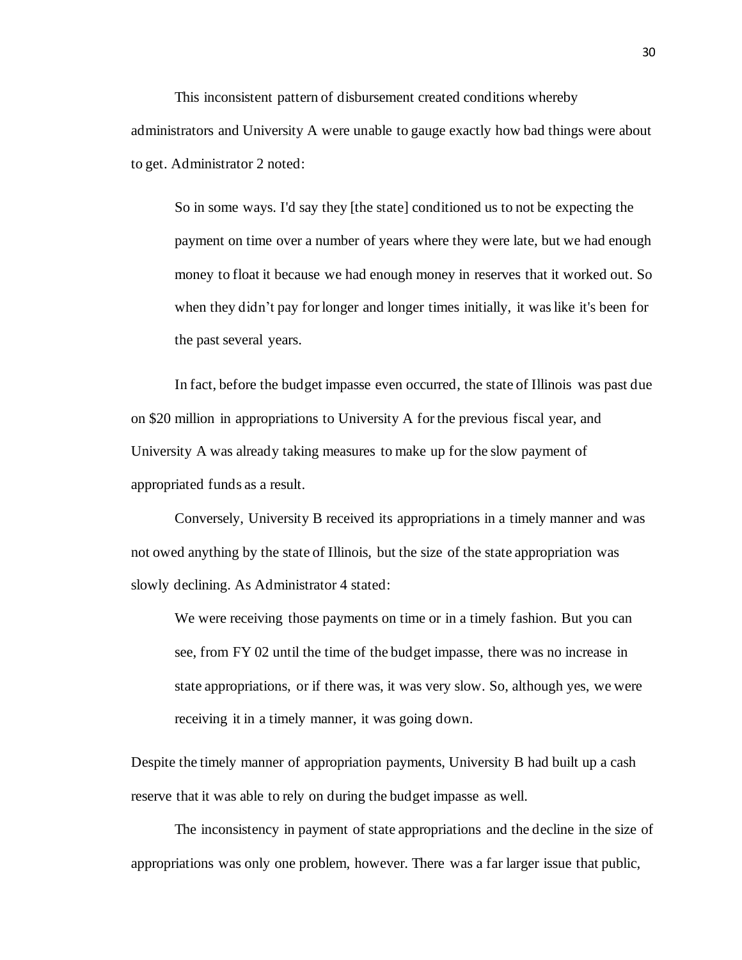This inconsistent pattern of disbursement created conditions whereby administrators and University A were unable to gauge exactly how bad things were about to get. Administrator 2 noted:

So in some ways. I'd say they [the state] conditioned us to not be expecting the payment on time over a number of years where they were late, but we had enough money to float it because we had enough money in reserves that it worked out. So when they didn't pay for longer and longer times initially, it was like it's been for the past several years.

In fact, before the budget impasse even occurred, the state of Illinois was past due on \$20 million in appropriations to University A for the previous fiscal year, and University A was already taking measures to make up for the slow payment of appropriated funds as a result.

Conversely, University B received its appropriations in a timely manner and was not owed anything by the state of Illinois, but the size of the state appropriation was slowly declining. As Administrator 4 stated:

We were receiving those payments on time or in a timely fashion. But you can see, from FY 02 until the time of the budget impasse, there was no increase in state appropriations, or if there was, it was very slow. So, although yes, we were receiving it in a timely manner, it was going down.

Despite the timely manner of appropriation payments, University B had built up a cash reserve that it was able to rely on during the budget impasse as well.

The inconsistency in payment of state appropriations and the decline in the size of appropriations was only one problem, however. There was a far larger issue that public,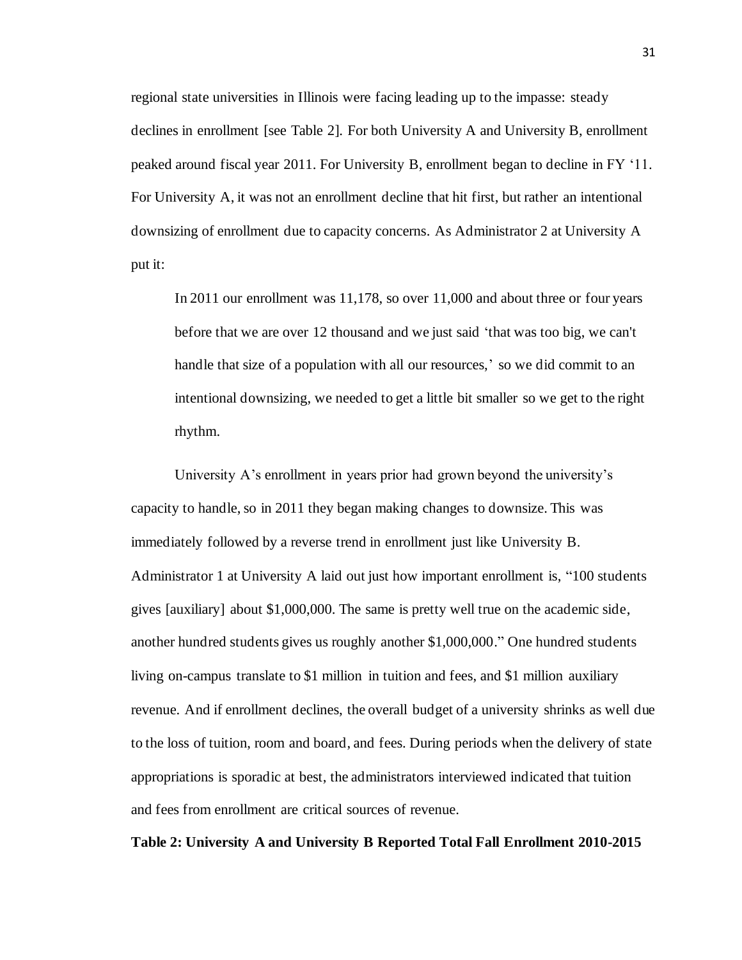regional state universities in Illinois were facing leading up to the impasse: steady declines in enrollment [see Table 2]. For both University A and University B, enrollment peaked around fiscal year 2011. For University B, enrollment began to decline in FY '11. For University A, it was not an enrollment decline that hit first, but rather an intentional downsizing of enrollment due to capacity concerns. As Administrator 2 at University A put it:

In 2011 our enrollment was 11,178, so over 11,000 and about three or four years before that we are over 12 thousand and we just said 'that was too big, we can't handle that size of a population with all our resources,' so we did commit to an intentional downsizing, we needed to get a little bit smaller so we get to the right rhythm.

University A's enrollment in years prior had grown beyond the university's capacity to handle, so in 2011 they began making changes to downsize. This was immediately followed by a reverse trend in enrollment just like University B. Administrator 1 at University A laid out just how important enrollment is, "100 students gives [auxiliary] about \$1,000,000. The same is pretty well true on the academic side, another hundred students gives us roughly another \$1,000,000." One hundred students living on-campus translate to \$1 million in tuition and fees, and \$1 million auxiliary revenue. And if enrollment declines, the overall budget of a university shrinks as well due to the loss of tuition, room and board, and fees. During periods when the delivery of state appropriations is sporadic at best, the administrators interviewed indicated that tuition and fees from enrollment are critical sources of revenue.

**Table 2: University A and University B Reported Total Fall Enrollment 2010-2015**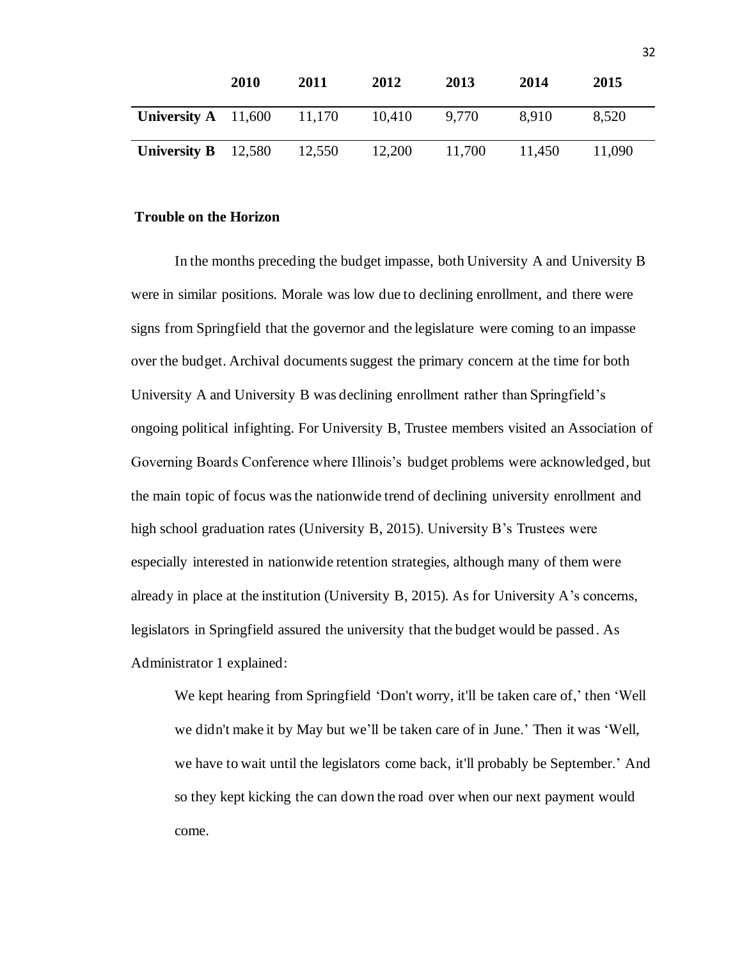|                       | 2010 | 2011   | 2012   | 2013   | 2014   | 2015   |
|-----------------------|------|--------|--------|--------|--------|--------|
| University $A$ 11,600 |      | 11,170 | 10,410 | 9.770  | 8.910  | 8,520  |
| University $B$ 12,580 |      | 12,550 | 12,200 | 11,700 | 11,450 | 11.090 |

#### **Trouble on the Horizon**

In the months preceding the budget impasse, both University A and University B were in similar positions. Morale was low due to declining enrollment, and there were signs from Springfield that the governor and the legislature were coming to an impasse over the budget. Archival documents suggest the primary concern at the time for both University A and University B was declining enrollment rather than Springfield's ongoing political infighting. For University B, Trustee members visited an Association of Governing Boards Conference where Illinois's budget problems were acknowledged, but the main topic of focus was the nationwide trend of declining university enrollment and high school graduation rates (University B, 2015). University B's Trustees were especially interested in nationwide retention strategies, although many of them were already in place at the institution (University B, 2015). As for University A's concerns, legislators in Springfield assured the university that the budget would be passed. As Administrator 1 explained:

We kept hearing from Springfield 'Don't worry, it'll be taken care of,' then 'Well we didn't make it by May but we'll be taken care of in June.' Then it was 'Well, we have to wait until the legislators come back, it'll probably be September.' And so they kept kicking the can down the road over when our next payment would come.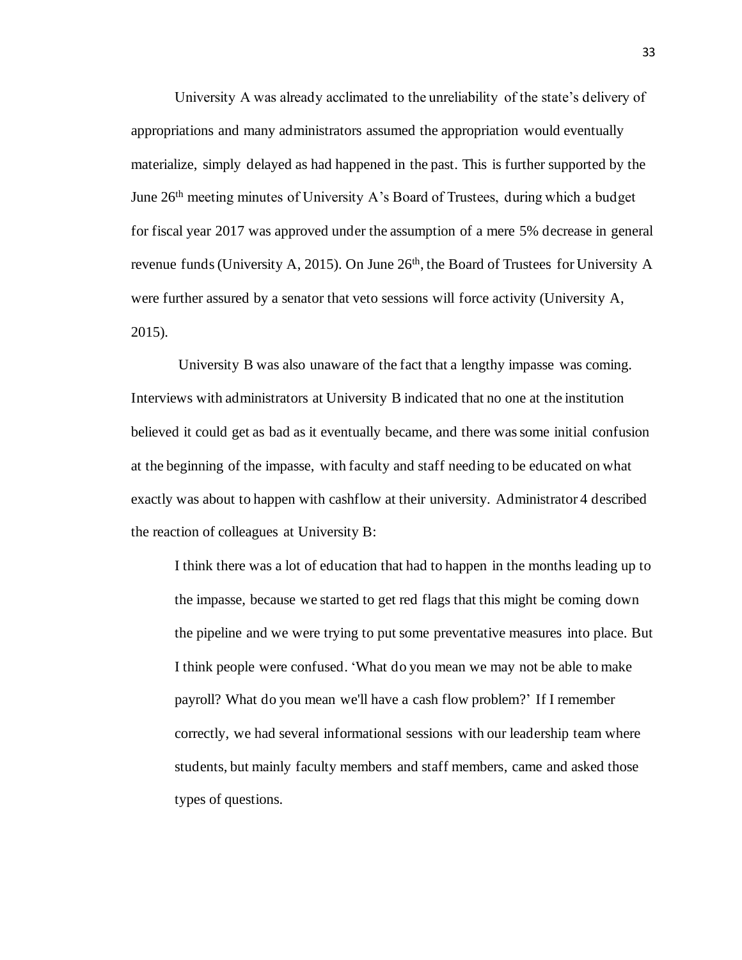University A was already acclimated to the unreliability of the state's delivery of appropriations and many administrators assumed the appropriation would eventually materialize, simply delayed as had happened in the past. This is further supported by the June 26<sup>th</sup> meeting minutes of University A's Board of Trustees, during which a budget for fiscal year 2017 was approved under the assumption of a mere 5% decrease in general revenue funds (University A, 2015). On June  $26<sup>th</sup>$ , the Board of Trustees for University A were further assured by a senator that veto sessions will force activity (University A, 2015).

University B was also unaware of the fact that a lengthy impasse was coming. Interviews with administrators at University B indicated that no one at the institution believed it could get as bad as it eventually became, and there was some initial confusion at the beginning of the impasse, with faculty and staff needing to be educated on what exactly was about to happen with cashflow at their university. Administrator 4 described the reaction of colleagues at University B:

I think there was a lot of education that had to happen in the months leading up to the impasse, because we started to get red flags that this might be coming down the pipeline and we were trying to put some preventative measures into place. But I think people were confused. 'What do you mean we may not be able to make payroll? What do you mean we'll have a cash flow problem?' If I remember correctly, we had several informational sessions with our leadership team where students, but mainly faculty members and staff members, came and asked those types of questions.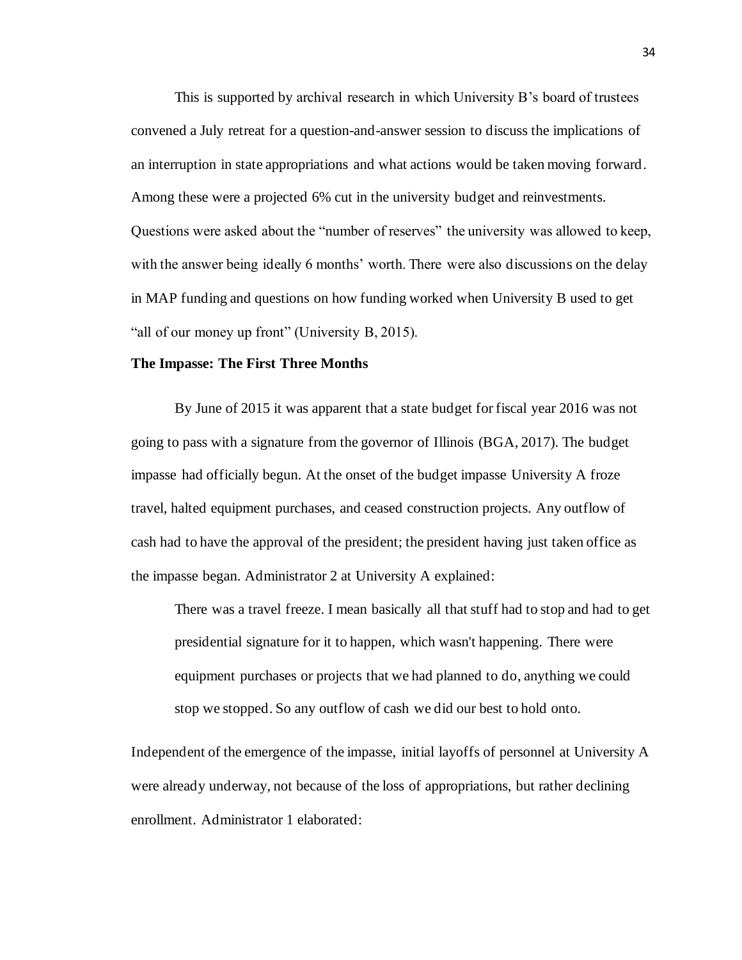This is supported by archival research in which University B's board of trustees convened a July retreat for a question-and-answer session to discuss the implications of an interruption in state appropriations and what actions would be taken moving forward. Among these were a projected 6% cut in the university budget and reinvestments. Questions were asked about the "number of reserves" the university was allowed to keep, with the answer being ideally 6 months' worth. There were also discussions on the delay in MAP funding and questions on how funding worked when University B used to get "all of our money up front" (University B, 2015).

#### **The Impasse: The First Three Months**

By June of 2015 it was apparent that a state budget for fiscal year 2016 was not going to pass with a signature from the governor of Illinois (BGA, 2017). The budget impasse had officially begun. At the onset of the budget impasse University A froze travel, halted equipment purchases, and ceased construction projects. Any outflow of cash had to have the approval of the president; the president having just taken office as the impasse began. Administrator 2 at University A explained:

There was a travel freeze. I mean basically all that stuff had to stop and had to get presidential signature for it to happen, which wasn't happening. There were equipment purchases or projects that we had planned to do, anything we could stop we stopped. So any outflow of cash we did our best to hold onto.

Independent of the emergence of the impasse, initial layoffs of personnel at University A were already underway, not because of the loss of appropriations, but rather declining enrollment. Administrator 1 elaborated: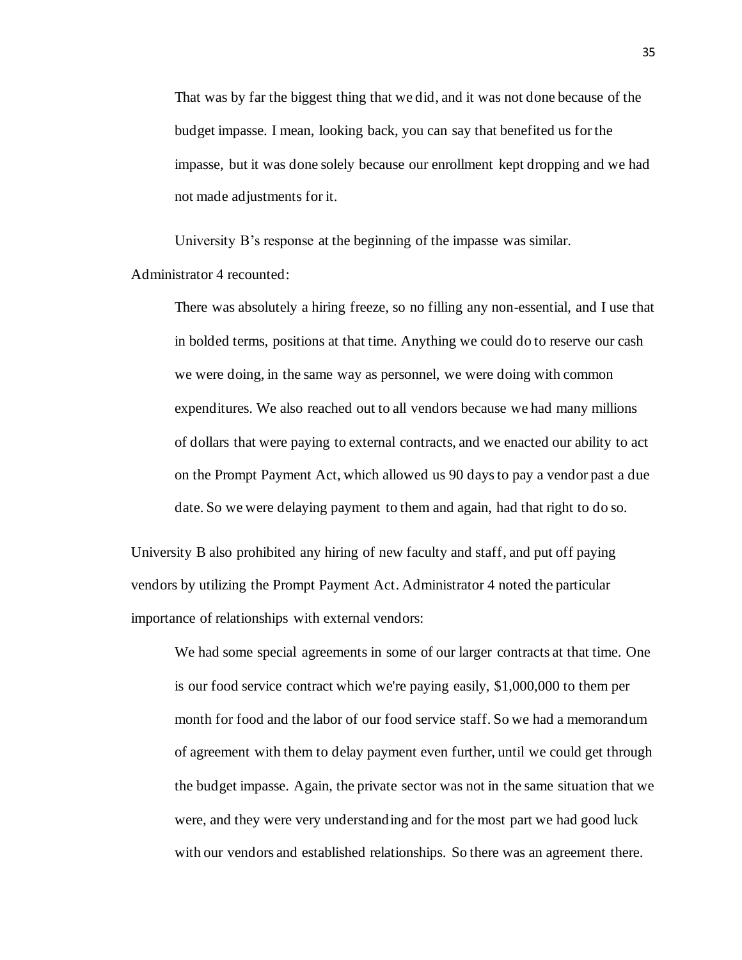That was by far the biggest thing that we did, and it was not done because of the budget impasse. I mean, looking back, you can say that benefited us for the impasse, but it was done solely because our enrollment kept dropping and we had not made adjustments for it.

University B's response at the beginning of the impasse was similar.

Administrator 4 recounted:

There was absolutely a hiring freeze, so no filling any non-essential, and I use that in bolded terms, positions at that time. Anything we could do to reserve our cash we were doing, in the same way as personnel, we were doing with common expenditures. We also reached out to all vendors because we had many millions of dollars that were paying to external contracts, and we enacted our ability to act on the Prompt Payment Act, which allowed us 90 days to pay a vendor past a due date. So we were delaying payment to them and again, had that right to do so.

University B also prohibited any hiring of new faculty and staff, and put off paying vendors by utilizing the Prompt Payment Act. Administrator 4 noted the particular importance of relationships with external vendors:

We had some special agreements in some of our larger contracts at that time. One is our food service contract which we're paying easily, \$1,000,000 to them per month for food and the labor of our food service staff. So we had a memorandum of agreement with them to delay payment even further, until we could get through the budget impasse. Again, the private sector was not in the same situation that we were, and they were very understanding and for the most part we had good luck with our vendors and established relationships. So there was an agreement there.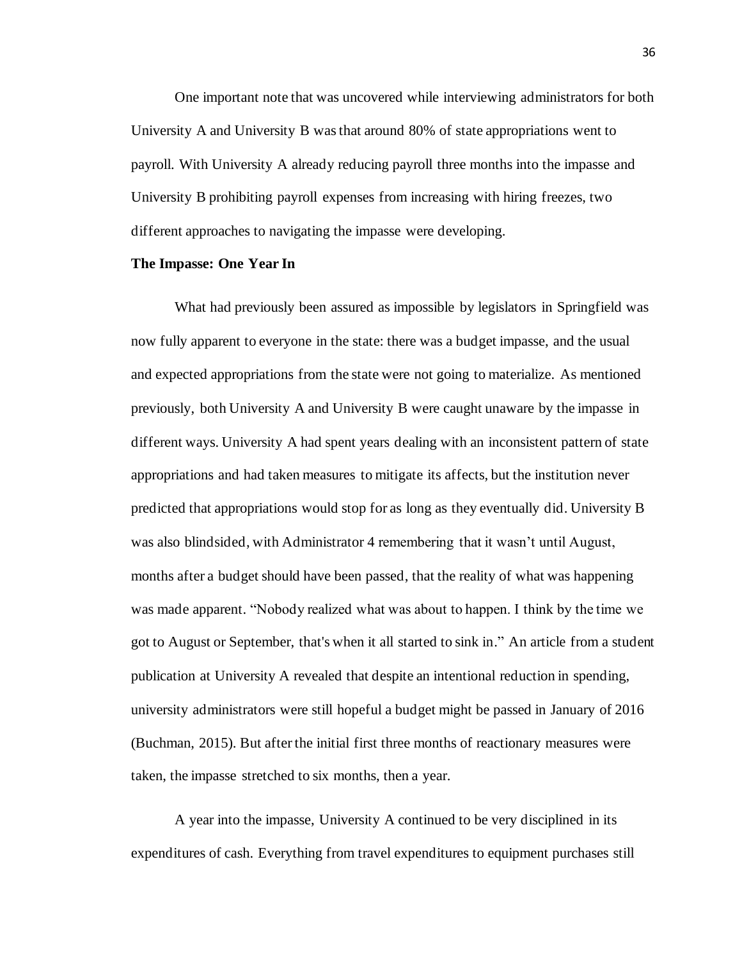One important note that was uncovered while interviewing administrators for both University A and University B was that around 80% of state appropriations went to payroll. With University A already reducing payroll three months into the impasse and University B prohibiting payroll expenses from increasing with hiring freezes, two different approaches to navigating the impasse were developing.

#### **The Impasse: One Year In**

What had previously been assured as impossible by legislators in Springfield was now fully apparent to everyone in the state: there was a budget impasse, and the usual and expected appropriations from the state were not going to materialize. As mentioned previously, both University A and University B were caught unaware by the impasse in different ways. University A had spent years dealing with an inconsistent pattern of state appropriations and had taken measures to mitigate its affects, but the institution never predicted that appropriations would stop for as long as they eventually did. University B was also blindsided, with Administrator 4 remembering that it wasn't until August, months after a budget should have been passed, that the reality of what was happening was made apparent. "Nobody realized what was about to happen. I think by the time we got to August or September, that's when it all started to sink in." An article from a student publication at University A revealed that despite an intentional reduction in spending, university administrators were still hopeful a budget might be passed in January of 2016 (Buchman, 2015). But after the initial first three months of reactionary measures were taken, the impasse stretched to six months, then a year.

A year into the impasse, University A continued to be very disciplined in its expenditures of cash. Everything from travel expenditures to equipment purchases still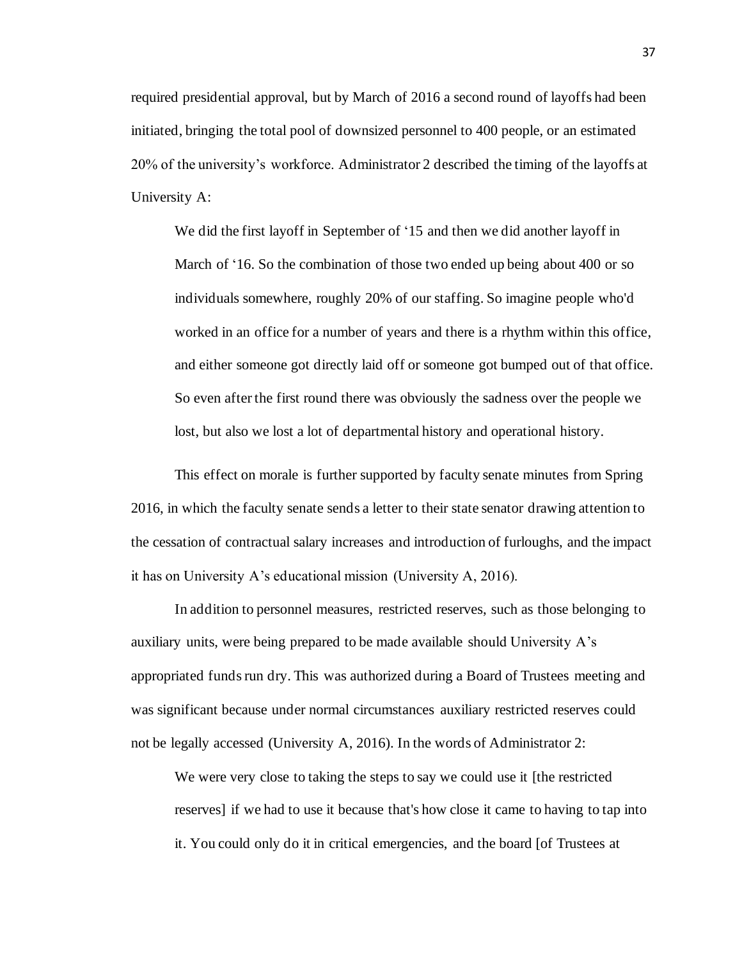required presidential approval, but by March of 2016 a second round of layoffs had been initiated, bringing the total pool of downsized personnel to 400 people, or an estimated 20% of the university's workforce. Administrator 2 described the timing of the layoffs at University A:

We did the first layoff in September of '15 and then we did another layoff in March of '16. So the combination of those two ended up being about 400 or so individuals somewhere, roughly 20% of our staffing. So imagine people who'd worked in an office for a number of years and there is a rhythm within this office, and either someone got directly laid off or someone got bumped out of that office. So even after the first round there was obviously the sadness over the people we lost, but also we lost a lot of departmental history and operational history.

This effect on morale is further supported by faculty senate minutes from Spring 2016, in which the faculty senate sends a letter to their state senator drawing attention to the cessation of contractual salary increases and introduction of furloughs, and the impact it has on University A's educational mission (University A, 2016).

In addition to personnel measures, restricted reserves, such as those belonging to auxiliary units, were being prepared to be made available should University A's appropriated funds run dry. This was authorized during a Board of Trustees meeting and was significant because under normal circumstances auxiliary restricted reserves could not be legally accessed (University A, 2016). In the words of Administrator 2:

We were very close to taking the steps to say we could use it [the restricted reserves] if we had to use it because that's how close it came to having to tap into it. You could only do it in critical emergencies, and the board [of Trustees at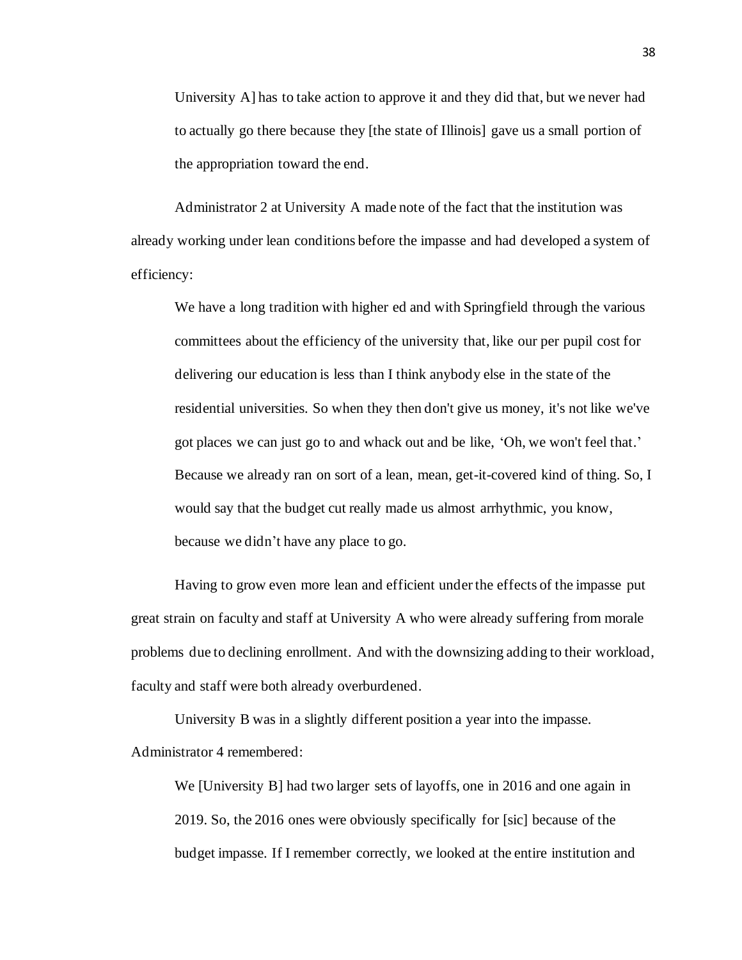University A] has to take action to approve it and they did that, but we never had to actually go there because they [the state of Illinois] gave us a small portion of the appropriation toward the end.

Administrator 2 at University A made note of the fact that the institution was already working under lean conditions before the impasse and had developed a system of efficiency:

We have a long tradition with higher ed and with Springfield through the various committees about the efficiency of the university that, like our per pupil cost for delivering our education is less than I think anybody else in the state of the residential universities. So when they then don't give us money, it's not like we've got places we can just go to and whack out and be like, 'Oh, we won't feel that.' Because we already ran on sort of a lean, mean, get-it-covered kind of thing. So, I would say that the budget cut really made us almost arrhythmic, you know, because we didn't have any place to go.

Having to grow even more lean and efficient under the effects of the impasse put great strain on faculty and staff at University A who were already suffering from morale problems due to declining enrollment. And with the downsizing adding to their workload, faculty and staff were both already overburdened.

University B was in a slightly different position a year into the impasse. Administrator 4 remembered:

We [University B] had two larger sets of layoffs, one in 2016 and one again in 2019. So, the 2016 ones were obviously specifically for [sic] because of the budget impasse. If I remember correctly, we looked at the entire institution and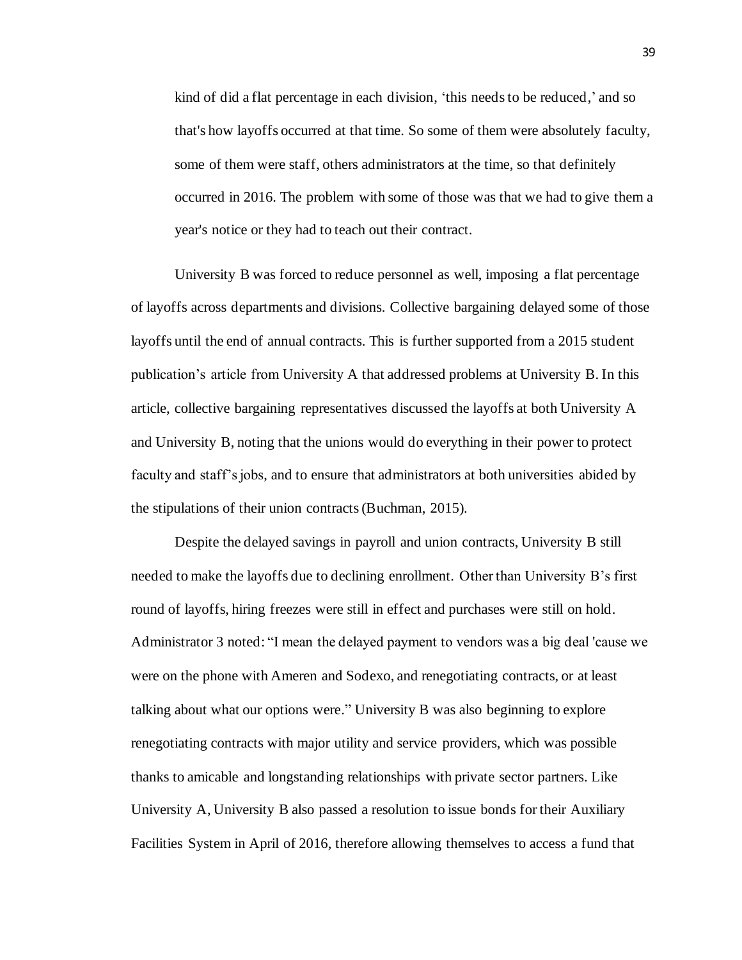kind of did a flat percentage in each division, 'this needs to be reduced,' and so that's how layoffs occurred at that time. So some of them were absolutely faculty, some of them were staff, others administrators at the time, so that definitely occurred in 2016. The problem with some of those was that we had to give them a year's notice or they had to teach out their contract.

University B was forced to reduce personnel as well, imposing a flat percentage of layoffs across departments and divisions. Collective bargaining delayed some of those layoffs until the end of annual contracts. This is further supported from a 2015 student publication's article from University A that addressed problems at University B. In this article, collective bargaining representatives discussed the layoffs at both University A and University B, noting that the unions would do everything in their power to protect faculty and staff's jobs, and to ensure that administrators at both universities abided by the stipulations of their union contracts (Buchman, 2015).

Despite the delayed savings in payroll and union contracts, University B still needed to make the layoffs due to declining enrollment. Other than University B's first round of layoffs, hiring freezes were still in effect and purchases were still on hold. Administrator 3 noted: "I mean the delayed payment to vendors was a big deal 'cause we were on the phone with Ameren and Sodexo, and renegotiating contracts, or at least talking about what our options were." University B was also beginning to explore renegotiating contracts with major utility and service providers, which was possible thanks to amicable and longstanding relationships with private sector partners. Like University A, University B also passed a resolution to issue bonds for their Auxiliary Facilities System in April of 2016, therefore allowing themselves to access a fund that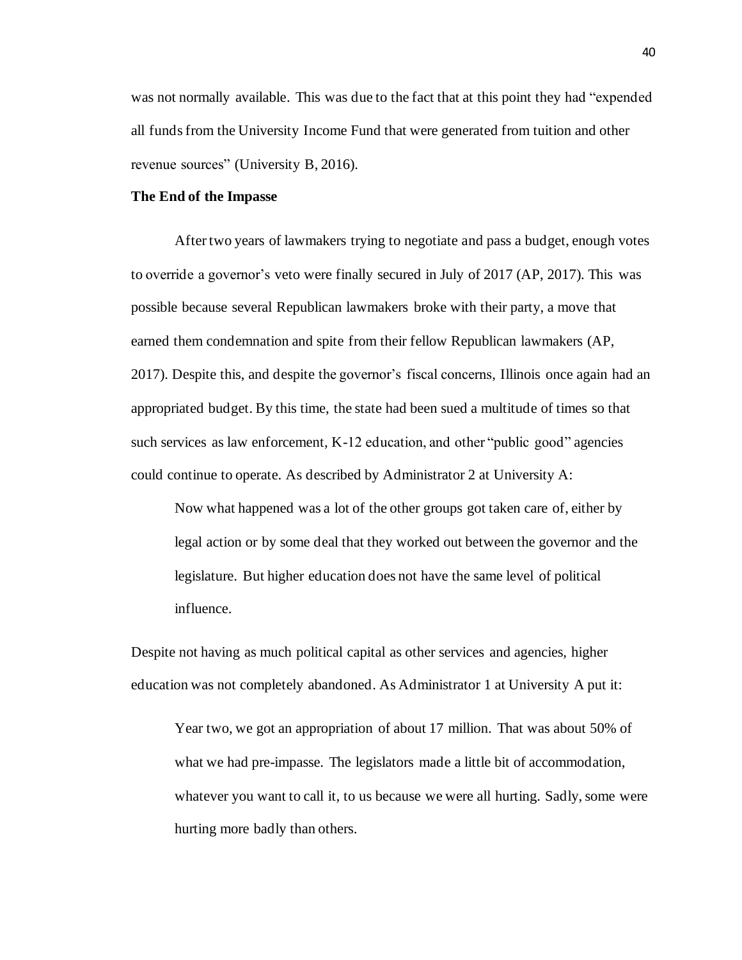was not normally available. This was due to the fact that at this point they had "expended all funds from the University Income Fund that were generated from tuition and other revenue sources" (University B, 2016).

#### **The End of the Impasse**

After two years of lawmakers trying to negotiate and pass a budget, enough votes to override a governor's veto were finally secured in July of 2017 (AP, 2017). This was possible because several Republican lawmakers broke with their party, a move that earned them condemnation and spite from their fellow Republican lawmakers (AP, 2017). Despite this, and despite the governor's fiscal concerns, Illinois once again had an appropriated budget. By this time, the state had been sued a multitude of times so that such services as law enforcement, K-12 education, and other "public good" agencies could continue to operate. As described by Administrator 2 at University A:

Now what happened was a lot of the other groups got taken care of, either by legal action or by some deal that they worked out between the governor and the legislature. But higher education does not have the same level of political influence.

Despite not having as much political capital as other services and agencies, higher education was not completely abandoned. As Administrator 1 at University A put it:

Year two, we got an appropriation of about 17 million. That was about 50% of what we had pre-impasse. The legislators made a little bit of accommodation, whatever you want to call it, to us because we were all hurting. Sadly, some were hurting more badly than others.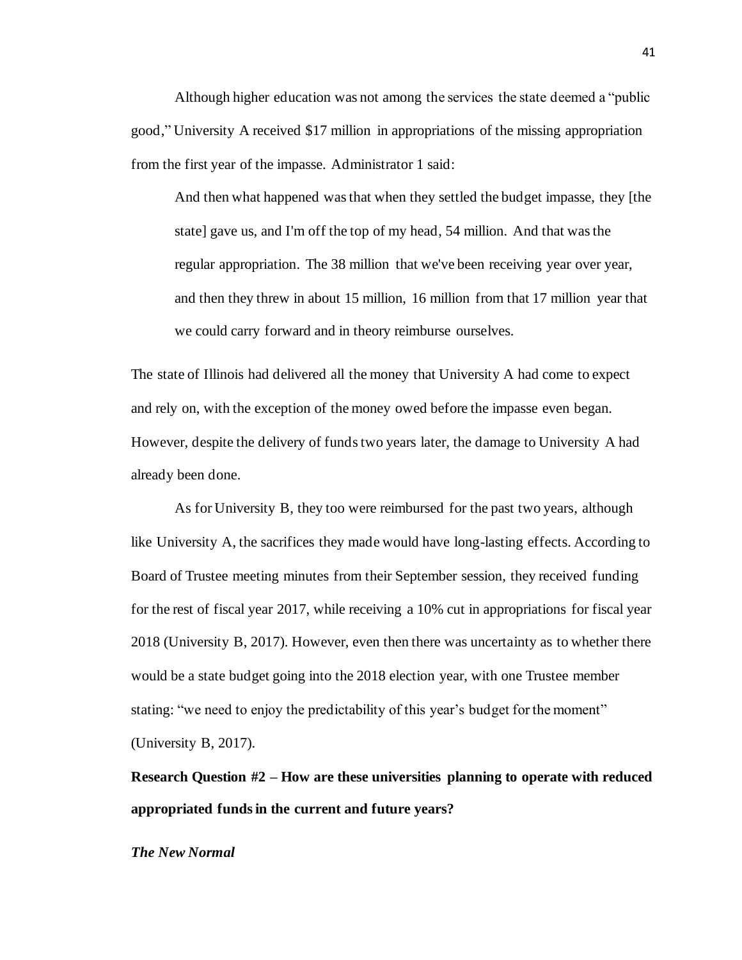Although higher education was not among the services the state deemed a "public good," University A received \$17 million in appropriations of the missing appropriation from the first year of the impasse. Administrator 1 said:

And then what happened was that when they settled the budget impasse, they [the state] gave us, and I'm off the top of my head, 54 million. And that was the regular appropriation. The 38 million that we've been receiving year over year, and then they threw in about 15 million, 16 million from that 17 million year that we could carry forward and in theory reimburse ourselves.

The state of Illinois had delivered all the money that University A had come to expect and rely on, with the exception of the money owed before the impasse even began. However, despite the delivery of funds two years later, the damage to University A had already been done.

As for University B, they too were reimbursed for the past two years, although like University A, the sacrifices they made would have long-lasting effects. According to Board of Trustee meeting minutes from their September session, they received funding for the rest of fiscal year 2017, while receiving a 10% cut in appropriations for fiscal year 2018 (University B, 2017). However, even then there was uncertainty as to whether there would be a state budget going into the 2018 election year, with one Trustee member stating: "we need to enjoy the predictability of this year's budget for the moment" (University B, 2017).

**Research Question #2 – How are these universities planning to operate with reduced appropriated funds in the current and future years?**

*The New Normal*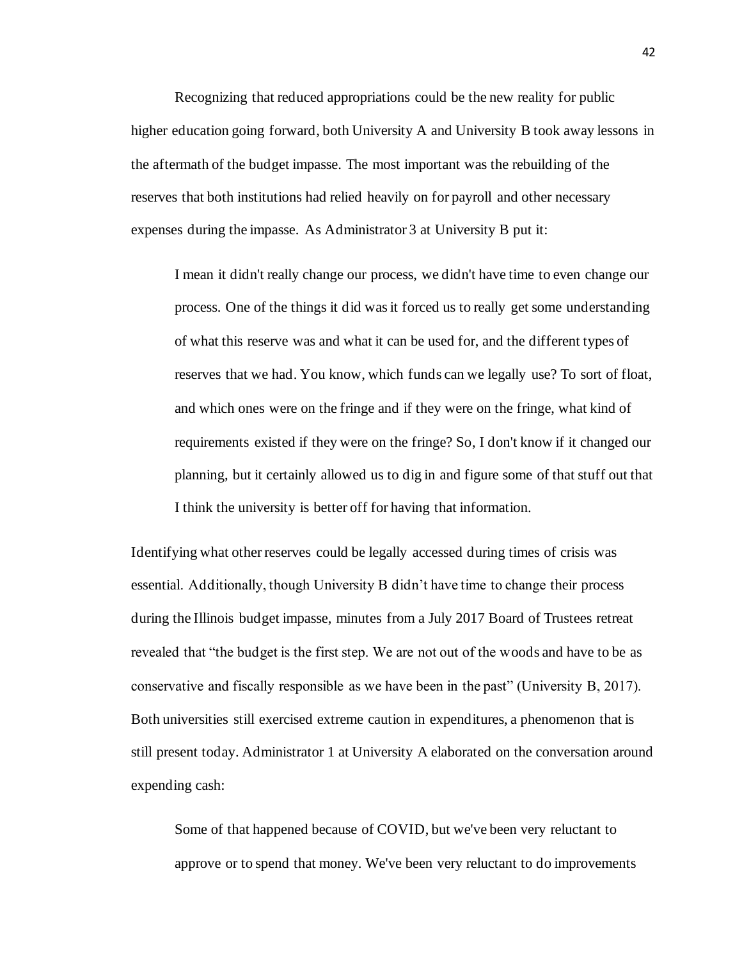Recognizing that reduced appropriations could be the new reality for public higher education going forward, both University A and University B took away lessons in the aftermath of the budget impasse. The most important was the rebuilding of the reserves that both institutions had relied heavily on for payroll and other necessary expenses during the impasse. As Administrator 3 at University B put it:

I mean it didn't really change our process, we didn't have time to even change our process. One of the things it did was it forced us to really get some understanding of what this reserve was and what it can be used for, and the different types of reserves that we had. You know, which funds can we legally use? To sort of float, and which ones were on the fringe and if they were on the fringe, what kind of requirements existed if they were on the fringe? So, I don't know if it changed our planning, but it certainly allowed us to dig in and figure some of that stuff out that I think the university is better off for having that information.

Identifying what other reserves could be legally accessed during times of crisis was essential. Additionally, though University B didn't have time to change their process during the Illinois budget impasse, minutes from a July 2017 Board of Trustees retreat revealed that "the budget is the first step. We are not out of the woods and have to be as conservative and fiscally responsible as we have been in the past" (University B, 2017). Both universities still exercised extreme caution in expenditures, a phenomenon that is still present today. Administrator 1 at University A elaborated on the conversation around expending cash:

Some of that happened because of COVID, but we've been very reluctant to approve or to spend that money. We've been very reluctant to do improvements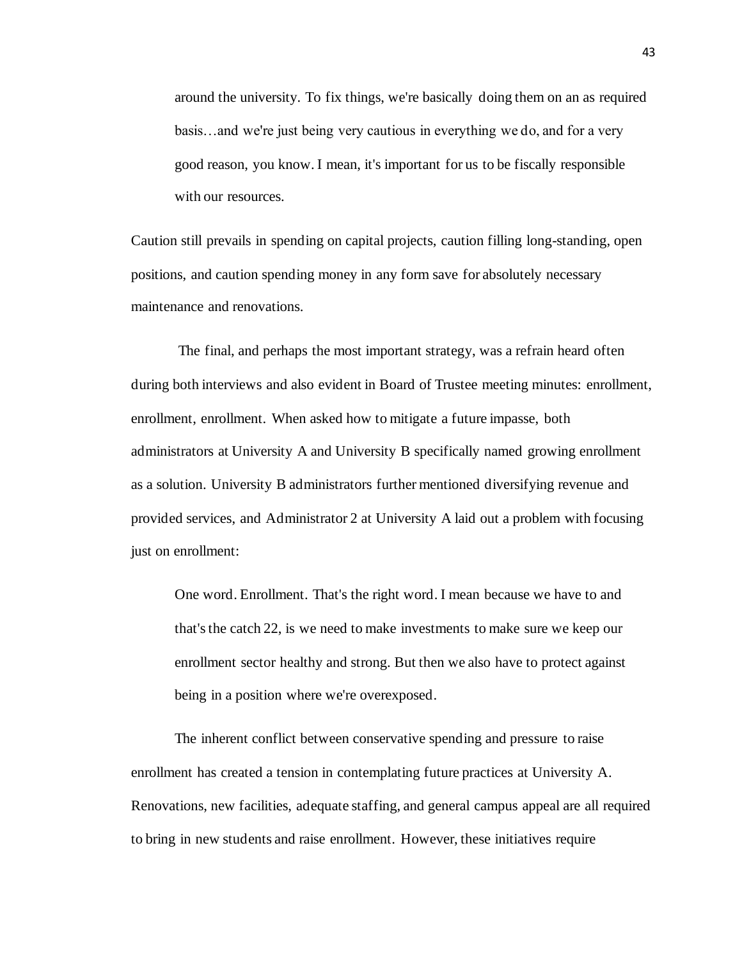around the university. To fix things, we're basically doing them on an as required basis…and we're just being very cautious in everything we do, and for a very good reason, you know. I mean, it's important for us to be fiscally responsible with our resources.

Caution still prevails in spending on capital projects, caution filling long-standing, open positions, and caution spending money in any form save for absolutely necessary maintenance and renovations.

The final, and perhaps the most important strategy, was a refrain heard often during both interviews and also evident in Board of Trustee meeting minutes: enrollment, enrollment, enrollment. When asked how to mitigate a future impasse, both administrators at University A and University B specifically named growing enrollment as a solution. University B administrators further mentioned diversifying revenue and provided services, and Administrator 2 at University A laid out a problem with focusing just on enrollment:

One word. Enrollment. That's the right word. I mean because we have to and that'sthe catch 22, is we need to make investments to make sure we keep our enrollment sector healthy and strong. But then we also have to protect against being in a position where we're overexposed.

The inherent conflict between conservative spending and pressure to raise enrollment has created a tension in contemplating future practices at University A. Renovations, new facilities, adequate staffing, and general campus appeal are all required to bring in new students and raise enrollment. However, these initiatives require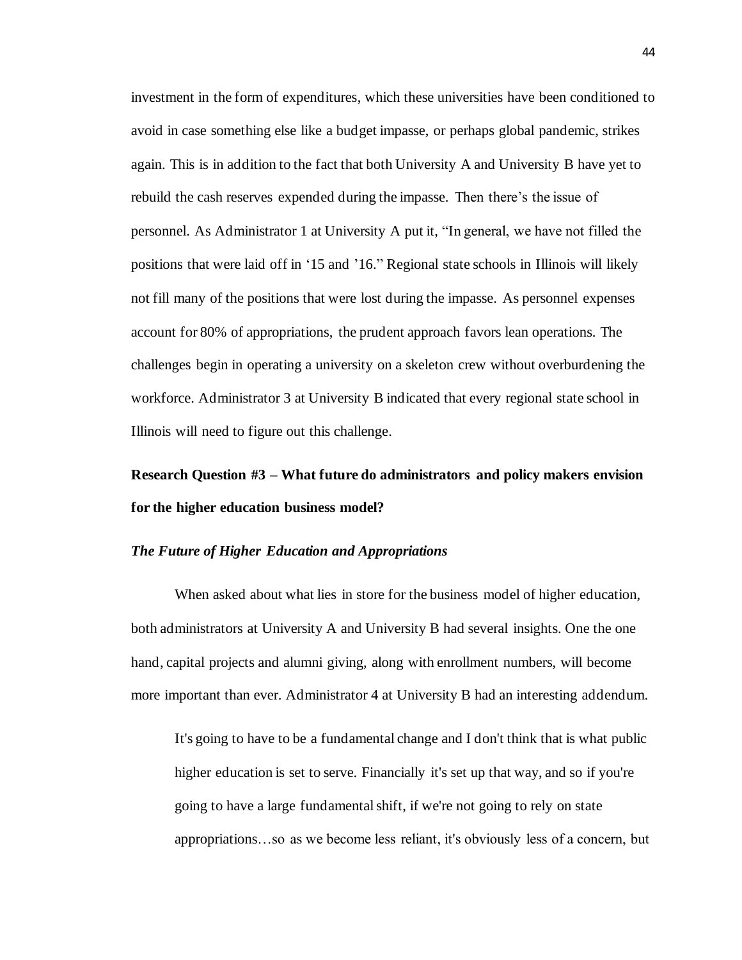investment in the form of expenditures, which these universities have been conditioned to avoid in case something else like a budget impasse, or perhaps global pandemic, strikes again. This is in addition to the fact that both University A and University B have yet to rebuild the cash reserves expended during the impasse. Then there's the issue of personnel. As Administrator 1 at University A put it, "In general, we have not filled the positions that were laid off in '15 and '16." Regional state schools in Illinois will likely not fill many of the positions that were lost during the impasse. As personnel expenses account for 80% of appropriations, the prudent approach favors lean operations. The challenges begin in operating a university on a skeleton crew without overburdening the workforce. Administrator 3 at University B indicated that every regional state school in Illinois will need to figure out this challenge.

# **Research Question #3 – What future do administrators and policy makers envision for the higher education business model?**

#### *The Future of Higher Education and Appropriations*

When asked about what lies in store for the business model of higher education, both administrators at University A and University B had several insights. One the one hand, capital projects and alumni giving, along with enrollment numbers, will become more important than ever. Administrator 4 at University B had an interesting addendum.

It's going to have to be a fundamental change and I don't think that is what public higher education is set to serve. Financially it's set up that way, and so if you're going to have a large fundamental shift, if we're not going to rely on state appropriations…so as we become less reliant, it's obviously less of a concern, but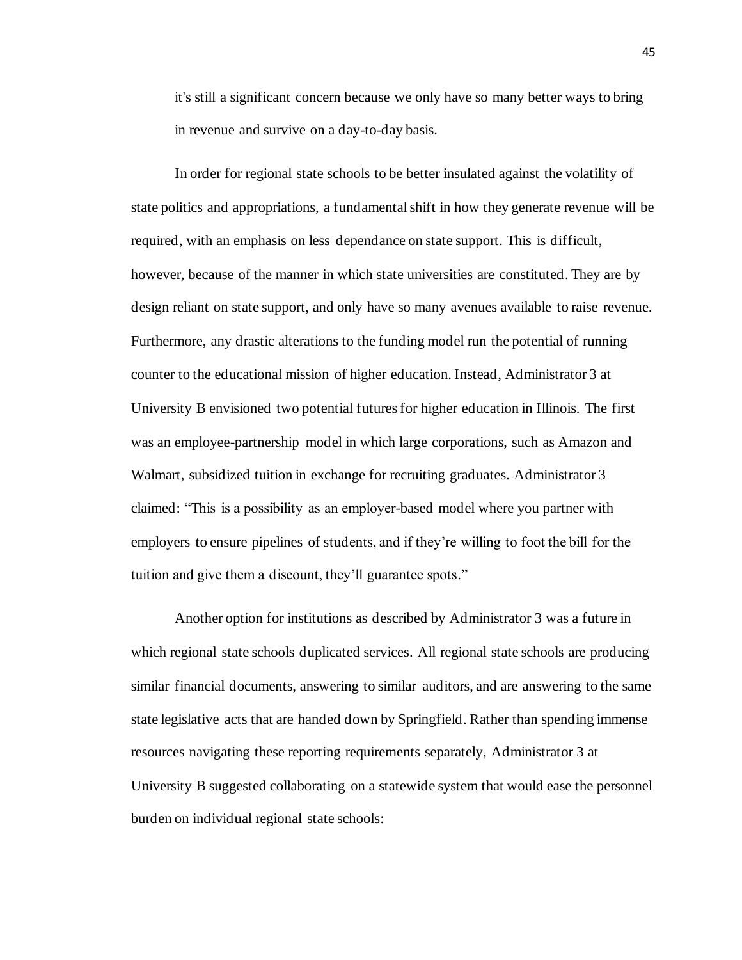it's still a significant concern because we only have so many better ways to bring in revenue and survive on a day-to-day basis.

In order for regional state schools to be better insulated against the volatility of state politics and appropriations, a fundamental shift in how they generate revenue will be required, with an emphasis on less dependance on state support. This is difficult, however, because of the manner in which state universities are constituted. They are by design reliant on state support, and only have so many avenues available to raise revenue. Furthermore, any drastic alterations to the funding model run the potential of running counter to the educational mission of higher education. Instead, Administrator 3 at University B envisioned two potential futures for higher education in Illinois. The first was an employee-partnership model in which large corporations, such as Amazon and Walmart, subsidized tuition in exchange for recruiting graduates. Administrator 3 claimed: "This is a possibility as an employer-based model where you partner with employers to ensure pipelines of students, and if they're willing to foot the bill for the tuition and give them a discount, they'll guarantee spots."

Another option for institutions as described by Administrator 3 was a future in which regional state schools duplicated services. All regional state schools are producing similar financial documents, answering to similar auditors, and are answering to the same state legislative acts that are handed down by Springfield. Rather than spending immense resources navigating these reporting requirements separately, Administrator 3 at University B suggested collaborating on a statewide system that would ease the personnel burden on individual regional state schools: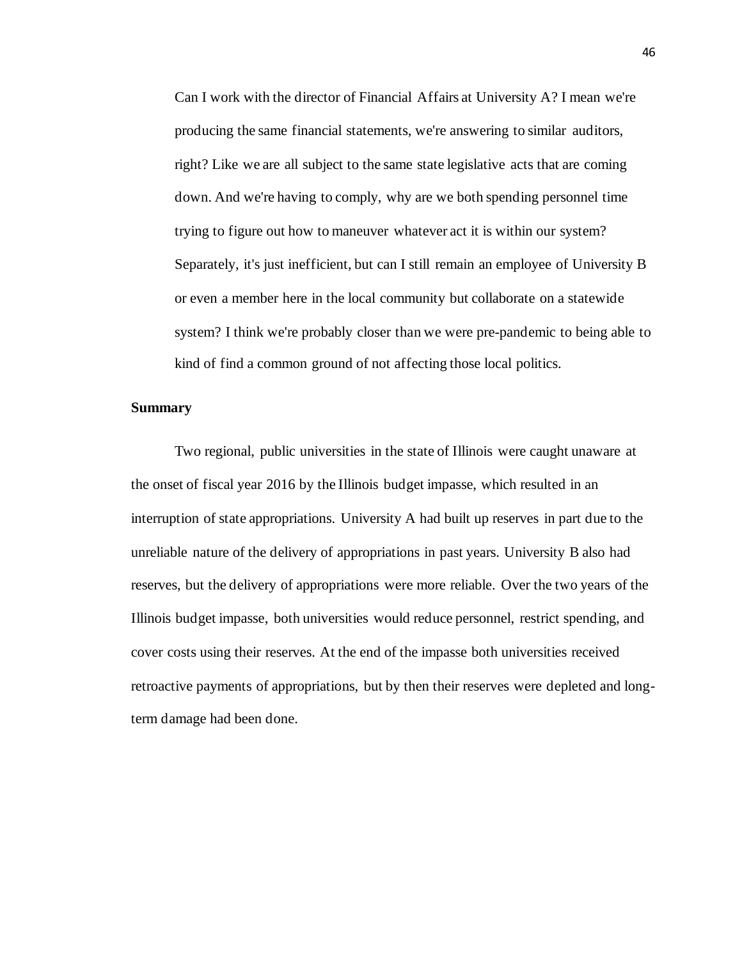Can I work with the director of Financial Affairs at University A? I mean we're producing the same financial statements, we're answering to similar auditors, right? Like we are all subject to the same state legislative acts that are coming down. And we're having to comply, why are we both spending personnel time trying to figure out how to maneuver whatever act it is within our system? Separately, it's just inefficient, but can I still remain an employee of University B or even a member here in the local community but collaborate on a statewide system? I think we're probably closer than we were pre-pandemic to being able to kind of find a common ground of not affecting those local politics.

#### **Summary**

Two regional, public universities in the state of Illinois were caught unaware at the onset of fiscal year 2016 by the Illinois budget impasse, which resulted in an interruption of state appropriations. University A had built up reserves in part due to the unreliable nature of the delivery of appropriations in past years. University B also had reserves, but the delivery of appropriations were more reliable. Over the two years of the Illinois budget impasse, both universities would reduce personnel, restrict spending, and cover costs using their reserves. At the end of the impasse both universities received retroactive payments of appropriations, but by then their reserves were depleted and longterm damage had been done.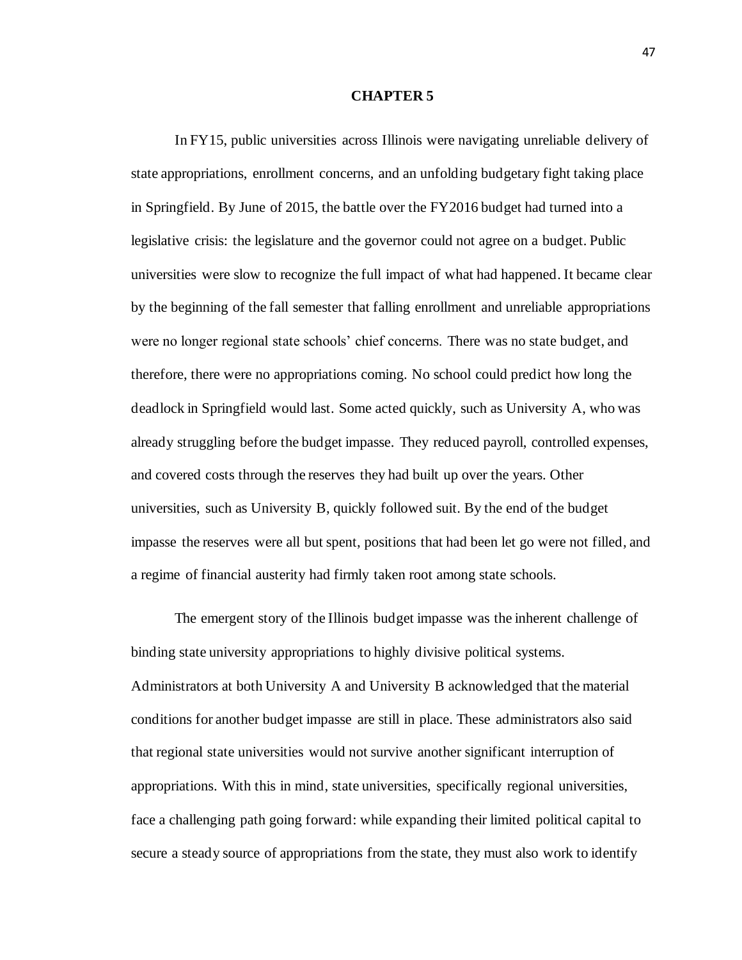#### **CHAPTER 5**

In FY15, public universities across Illinois were navigating unreliable delivery of state appropriations, enrollment concerns, and an unfolding budgetary fight taking place in Springfield. By June of 2015, the battle over the FY2016 budget had turned into a legislative crisis: the legislature and the governor could not agree on a budget. Public universities were slow to recognize the full impact of what had happened. It became clear by the beginning of the fall semester that falling enrollment and unreliable appropriations were no longer regional state schools' chief concerns. There was no state budget, and therefore, there were no appropriations coming. No school could predict how long the deadlock in Springfield would last. Some acted quickly, such as University A, who was already struggling before the budget impasse. They reduced payroll, controlled expenses, and covered costs through the reserves they had built up over the years. Other universities, such as University B, quickly followed suit. By the end of the budget impasse the reserves were all but spent, positions that had been let go were not filled, and a regime of financial austerity had firmly taken root among state schools.

The emergent story of the Illinois budget impasse was the inherent challenge of binding state university appropriations to highly divisive political systems. Administrators at both University A and University B acknowledged that the material conditions for another budget impasse are still in place. These administrators also said that regional state universities would not survive another significant interruption of appropriations. With this in mind, state universities, specifically regional universities, face a challenging path going forward: while expanding their limited political capital to secure a steady source of appropriations from the state, they must also work to identify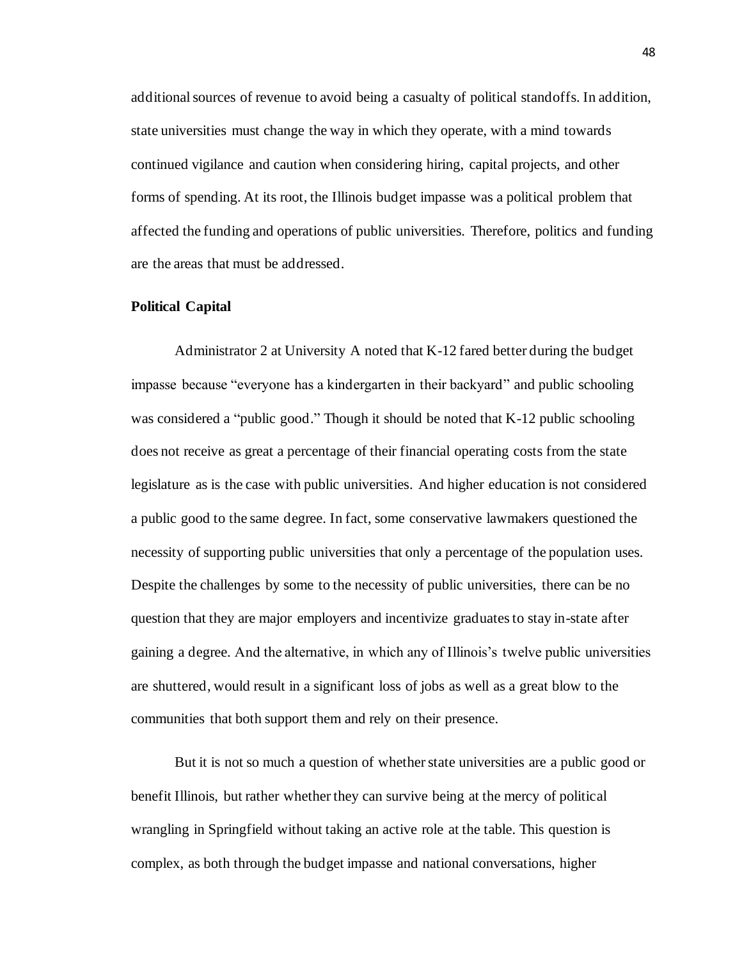additional sources of revenue to avoid being a casualty of political standoffs. In addition, state universities must change the way in which they operate, with a mind towards continued vigilance and caution when considering hiring, capital projects, and other forms of spending. At its root, the Illinois budget impasse was a political problem that affected the funding and operations of public universities. Therefore, politics and funding are the areas that must be addressed.

#### **Political Capital**

Administrator 2 at University A noted that K-12 fared better during the budget impasse because "everyone has a kindergarten in their backyard" and public schooling was considered a "public good." Though it should be noted that K-12 public schooling does not receive as great a percentage of their financial operating costs from the state legislature as is the case with public universities. And higher education is not considered a public good to the same degree. In fact, some conservative lawmakers questioned the necessity of supporting public universities that only a percentage of the population uses. Despite the challenges by some to the necessity of public universities, there can be no question that they are major employers and incentivize graduates to stay in-state after gaining a degree. And the alternative, in which any of Illinois's twelve public universities are shuttered, would result in a significant loss of jobs as well as a great blow to the communities that both support them and rely on their presence.

But it is not so much a question of whether state universities are a public good or benefit Illinois, but rather whether they can survive being at the mercy of political wrangling in Springfield without taking an active role at the table. This question is complex, as both through the budget impasse and national conversations, higher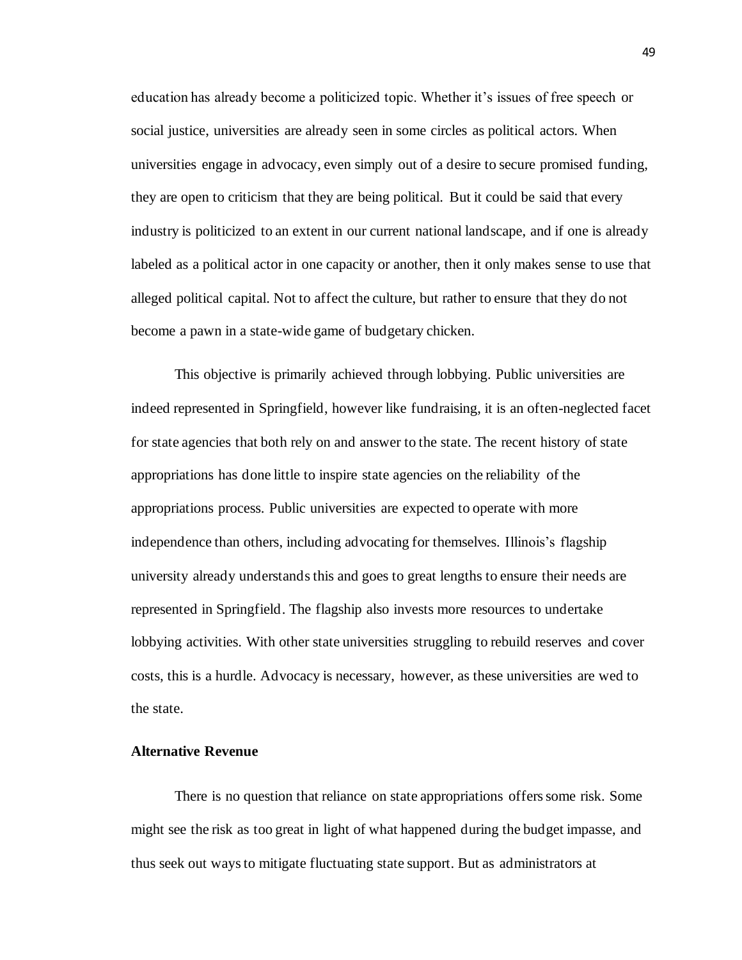education has already become a politicized topic. Whether it's issues of free speech or social justice, universities are already seen in some circles as political actors. When universities engage in advocacy, even simply out of a desire to secure promised funding, they are open to criticism that they are being political. But it could be said that every industry is politicized to an extent in our current national landscape, and if one is already labeled as a political actor in one capacity or another, then it only makes sense to use that alleged political capital. Not to affect the culture, but rather to ensure that they do not become a pawn in a state-wide game of budgetary chicken.

This objective is primarily achieved through lobbying. Public universities are indeed represented in Springfield, however like fundraising, it is an often-neglected facet for state agencies that both rely on and answer to the state. The recent history of state appropriations has done little to inspire state agencies on the reliability of the appropriations process. Public universities are expected to operate with more independence than others, including advocating for themselves. Illinois's flagship university already understandsthis and goes to great lengths to ensure their needs are represented in Springfield. The flagship also invests more resources to undertake lobbying activities. With other state universities struggling to rebuild reserves and cover costs, this is a hurdle. Advocacy is necessary, however, as these universities are wed to the state.

#### **Alternative Revenue**

There is no question that reliance on state appropriations offers some risk. Some might see the risk as too great in light of what happened during the budget impasse, and thus seek out ways to mitigate fluctuating state support. But as administrators at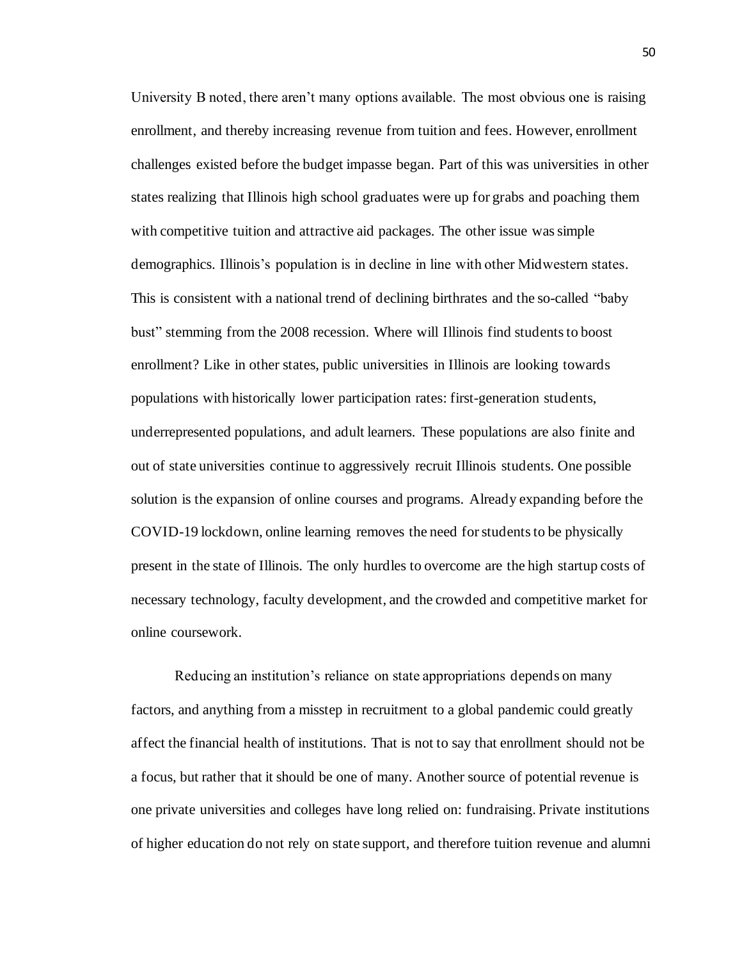University B noted, there aren't many options available. The most obvious one is raising enrollment, and thereby increasing revenue from tuition and fees. However, enrollment challenges existed before the budget impasse began. Part of this was universities in other states realizing that Illinois high school graduates were up for grabs and poaching them with competitive tuition and attractive aid packages. The other issue was simple demographics. Illinois's population is in decline in line with other Midwestern states. This is consistent with a national trend of declining birthrates and the so-called "baby bust" stemming from the 2008 recession. Where will Illinois find students to boost enrollment? Like in other states, public universities in Illinois are looking towards populations with historically lower participation rates: first-generation students, underrepresented populations, and adult learners. These populations are also finite and out of state universities continue to aggressively recruit Illinois students. One possible solution is the expansion of online courses and programs. Already expanding before the COVID-19 lockdown, online learning removes the need for students to be physically present in the state of Illinois. The only hurdles to overcome are the high startup costs of necessary technology, faculty development, and the crowded and competitive market for online coursework.

Reducing an institution's reliance on state appropriations depends on many factors, and anything from a misstep in recruitment to a global pandemic could greatly affect the financial health of institutions. That is not to say that enrollment should not be a focus, but rather that it should be one of many. Another source of potential revenue is one private universities and colleges have long relied on: fundraising. Private institutions of higher education do not rely on state support, and therefore tuition revenue and alumni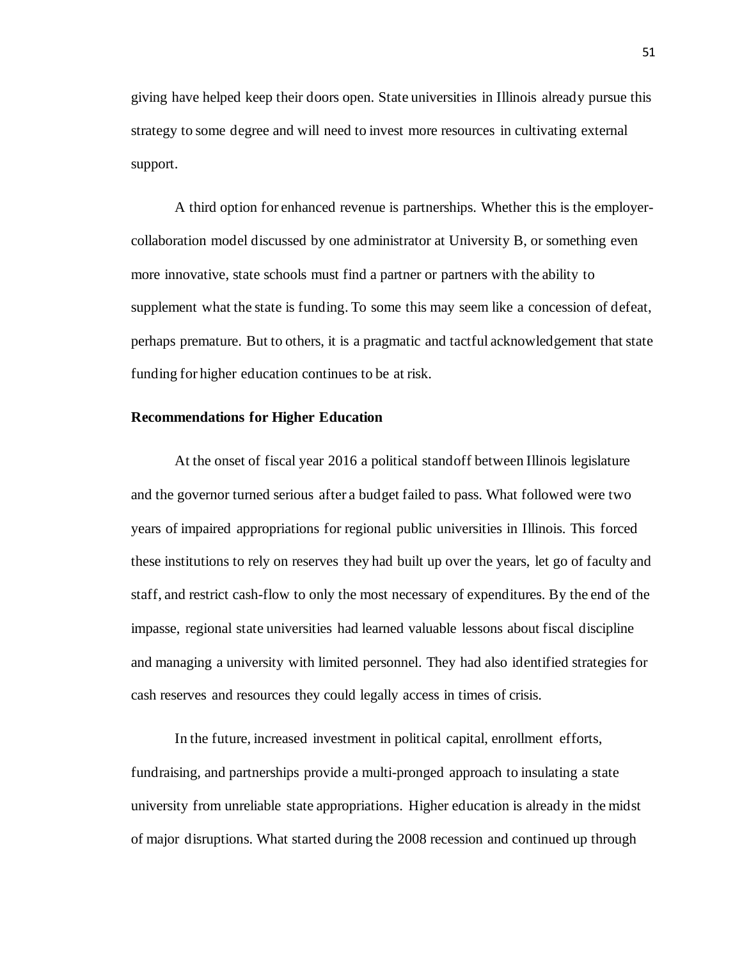giving have helped keep their doors open. State universities in Illinois already pursue this strategy to some degree and will need to invest more resources in cultivating external support.

A third option for enhanced revenue is partnerships. Whether this is the employercollaboration model discussed by one administrator at University B, or something even more innovative, state schools must find a partner or partners with the ability to supplement what the state is funding. To some this may seem like a concession of defeat, perhaps premature. But to others, it is a pragmatic and tactful acknowledgement that state funding for higher education continues to be at risk.

#### **Recommendations for Higher Education**

At the onset of fiscal year 2016 a political standoff between Illinois legislature and the governor turned serious after a budget failed to pass. What followed were two years of impaired appropriations for regional public universities in Illinois. This forced these institutions to rely on reserves they had built up over the years, let go of faculty and staff, and restrict cash-flow to only the most necessary of expenditures. By the end of the impasse, regional state universities had learned valuable lessons about fiscal discipline and managing a university with limited personnel. They had also identified strategies for cash reserves and resources they could legally access in times of crisis.

In the future, increased investment in political capital, enrollment efforts, fundraising, and partnerships provide a multi-pronged approach to insulating a state university from unreliable state appropriations. Higher education is already in the midst of major disruptions. What started during the 2008 recession and continued up through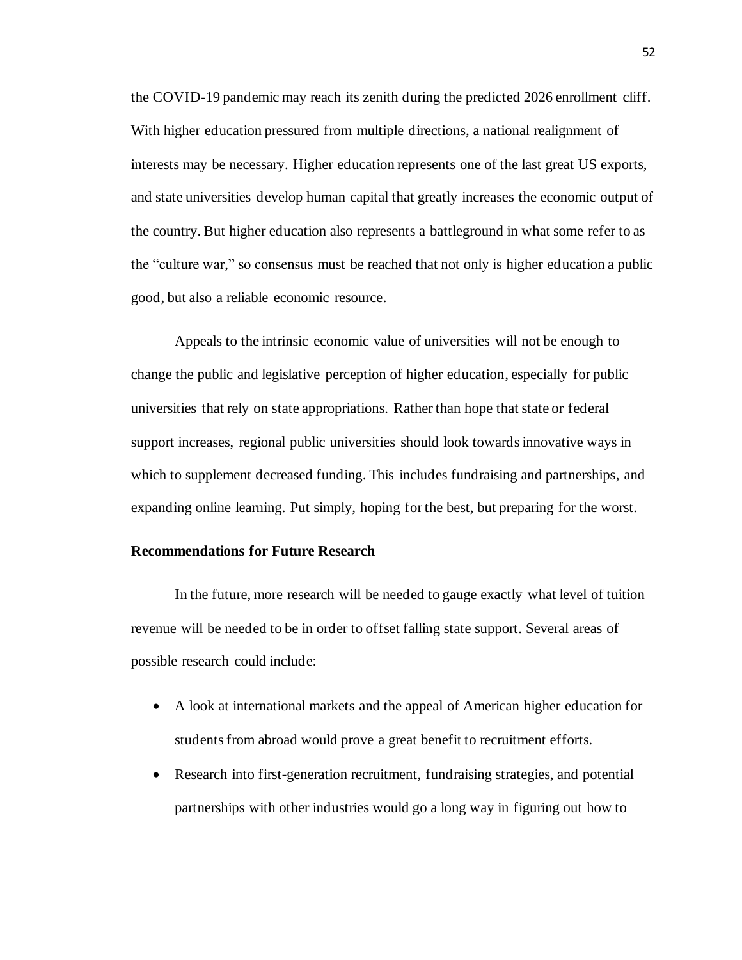the COVID-19 pandemic may reach its zenith during the predicted 2026 enrollment cliff. With higher education pressured from multiple directions, a national realignment of interests may be necessary. Higher education represents one of the last great US exports, and state universities develop human capital that greatly increases the economic output of the country. But higher education also represents a battleground in what some refer to as the "culture war," so consensus must be reached that not only is higher education a public good, but also a reliable economic resource.

Appeals to the intrinsic economic value of universities will not be enough to change the public and legislative perception of higher education, especially for public universities that rely on state appropriations. Rather than hope that state or federal support increases, regional public universities should look towards innovative ways in which to supplement decreased funding. This includes fundraising and partnerships, and expanding online learning. Put simply, hoping for the best, but preparing for the worst.

#### **Recommendations for Future Research**

In the future, more research will be needed to gauge exactly what level of tuition revenue will be needed to be in order to offset falling state support. Several areas of possible research could include:

- A look at international markets and the appeal of American higher education for students from abroad would prove a great benefit to recruitment efforts.
- Research into first-generation recruitment, fundraising strategies, and potential partnerships with other industries would go a long way in figuring out how to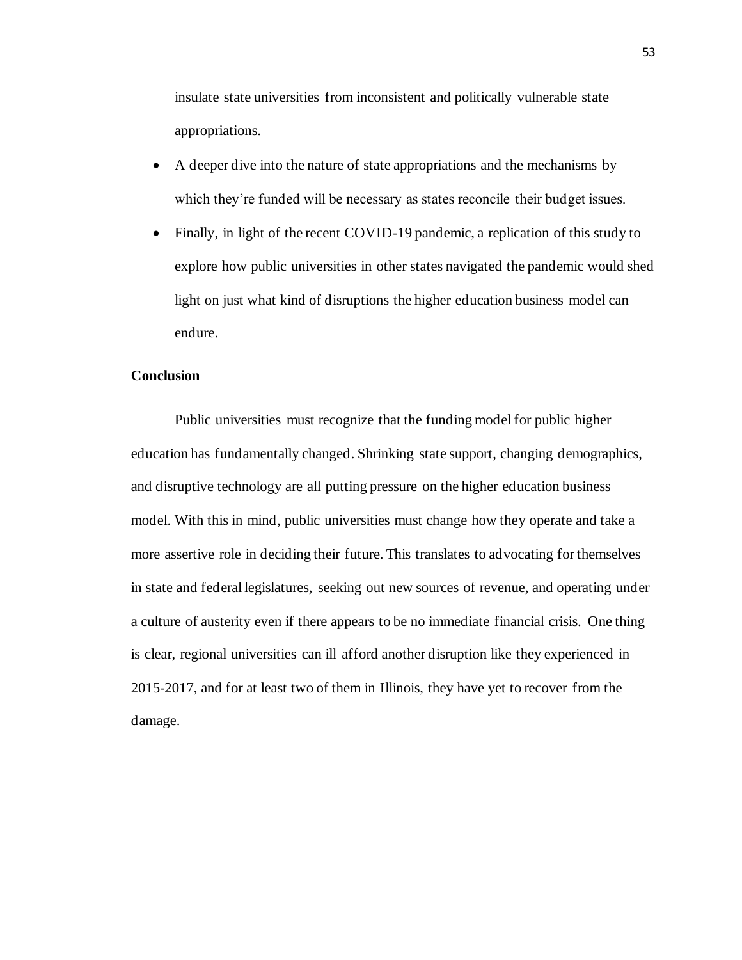insulate state universities from inconsistent and politically vulnerable state appropriations.

- A deeper dive into the nature of state appropriations and the mechanisms by which they're funded will be necessary as states reconcile their budget issues.
- Finally, in light of the recent COVID-19 pandemic, a replication of this study to explore how public universities in other states navigated the pandemic would shed light on just what kind of disruptions the higher education business model can endure.

#### **Conclusion**

Public universities must recognize that the funding model for public higher education has fundamentally changed. Shrinking state support, changing demographics, and disruptive technology are all putting pressure on the higher education business model. With this in mind, public universities must change how they operate and take a more assertive role in deciding their future. This translates to advocating for themselves in state and federal legislatures, seeking out new sources of revenue, and operating under a culture of austerity even if there appears to be no immediate financial crisis. One thing is clear, regional universities can ill afford another disruption like they experienced in 2015-2017, and for at least two of them in Illinois, they have yet to recover from the damage.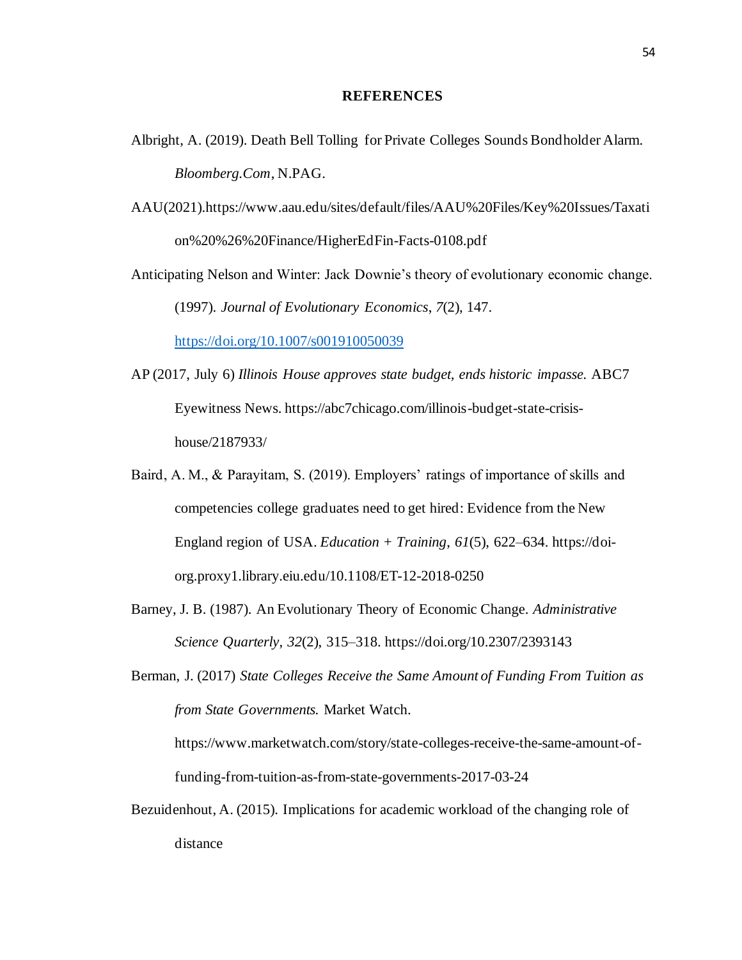#### **REFERENCES**

- Albright, A. (2019). Death Bell Tolling for Private Colleges Sounds Bondholder Alarm. *Bloomberg.Com*, N.PAG.
- AAU(2021).https://www.aau.edu/sites/default/files/AAU%20Files/Key%20Issues/Taxati on%20%26%20Finance/HigherEdFin-Facts-0108.pdf

Anticipating Nelson and Winter: Jack Downie's theory of evolutionary economic change. (1997). *Journal of Evolutionary Economics*, *7*(2), 147.

<https://doi.org/10.1007/s001910050039>

- AP (2017, July 6) *Illinois House approves state budget, ends historic impasse.* ABC7 Eyewitness News. https://abc7chicago.com/illinois-budget-state-crisishouse/2187933/
- Baird, A. M., & Parayitam, S. (2019). Employers' ratings of importance of skills and competencies college graduates need to get hired: Evidence from the New England region of USA. *Education + Training*, *61*(5), 622–634. https://doiorg.proxy1.library.eiu.edu/10.1108/ET-12-2018-0250
- Barney, J. B. (1987). An Evolutionary Theory of Economic Change. *Administrative Science Quarterly*, *32*(2), 315–318. https://doi.org/10.2307/2393143

Berman, J. (2017) *State Colleges Receive the Same Amount of Funding From Tuition as from State Governments.* Market Watch. https://www.marketwatch.com/story/state-colleges-receive-the-same-amount-of-

funding-from-tuition-as-from-state-governments-2017-03-24

Bezuidenhout, A. (2015). Implications for academic workload of the changing role of distance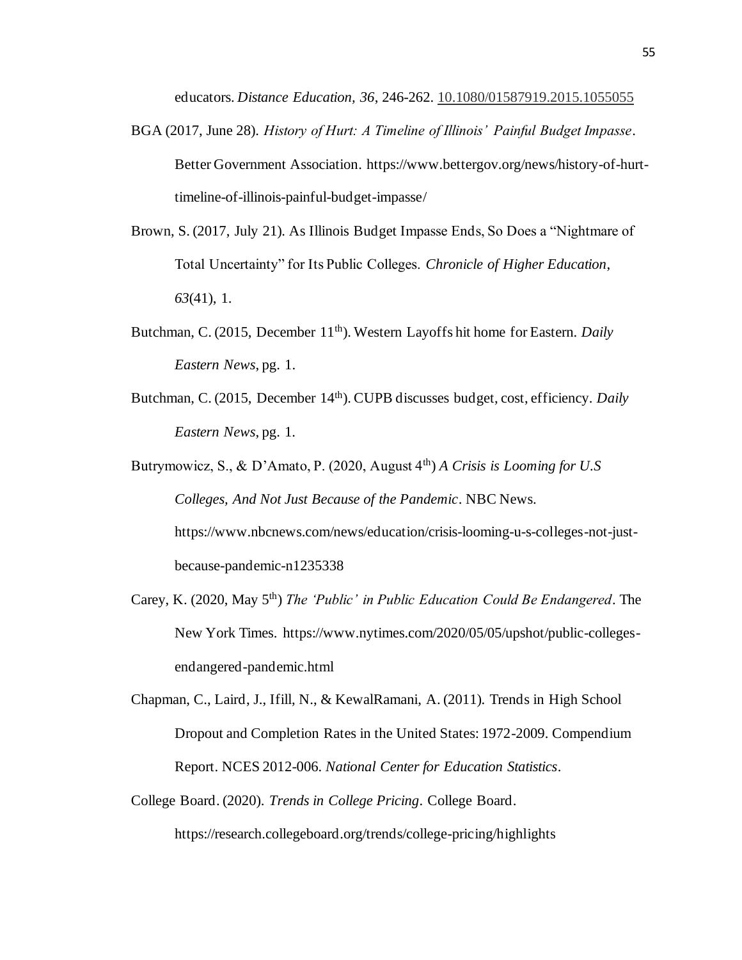educators. *Distance Education, 36*, 246-262. [10.1080/01587919.2015.1055055](https://doi.org/10.1080/01587919.2015.1055055)

- BGA (2017, June 28). *History of Hurt: A Timeline of Illinois' Painful Budget Impasse*. Better Government Association. https://www.bettergov.org/news/history-of-hurttimeline-of-illinois-painful-budget-impasse/
- Brown, S. (2017, July 21). As Illinois Budget Impasse Ends, So Does a "Nightmare of Total Uncertainty" for Its Public Colleges. *Chronicle of Higher Education*, *63*(41), 1.
- Butchman, C. (2015, December 11<sup>th</sup>). Western Layoffs hit home for Eastern. *Daily Eastern News*, pg. 1.
- Butchman, C. (2015, December 14<sup>th</sup>). CUPB discusses budget, cost, efficiency. *Daily Eastern News*, pg. 1.
- Butrymowicz, S., & D'Amato, P. (2020, August 4th) *A Crisis is Looming for U.S Colleges, And Not Just Because of the Pandemic*. NBC News. https://www.nbcnews.com/news/education/crisis-looming-u-s-colleges-not-justbecause-pandemic-n1235338
- Carey, K. (2020, May 5th) *The 'Public' in Public Education Could Be Endangered*. The New York Times. https://www.nytimes.com/2020/05/05/upshot/public-collegesendangered-pandemic.html
- Chapman, C., Laird, J., Ifill, N., & KewalRamani, A. (2011). Trends in High School Dropout and Completion Rates in the United States: 1972-2009. Compendium Report. NCES 2012-006. *National Center for Education Statistics*.
- College Board. (2020). *Trends in College Pricing*. College Board. https://research.collegeboard.org/trends/college-pricing/highlights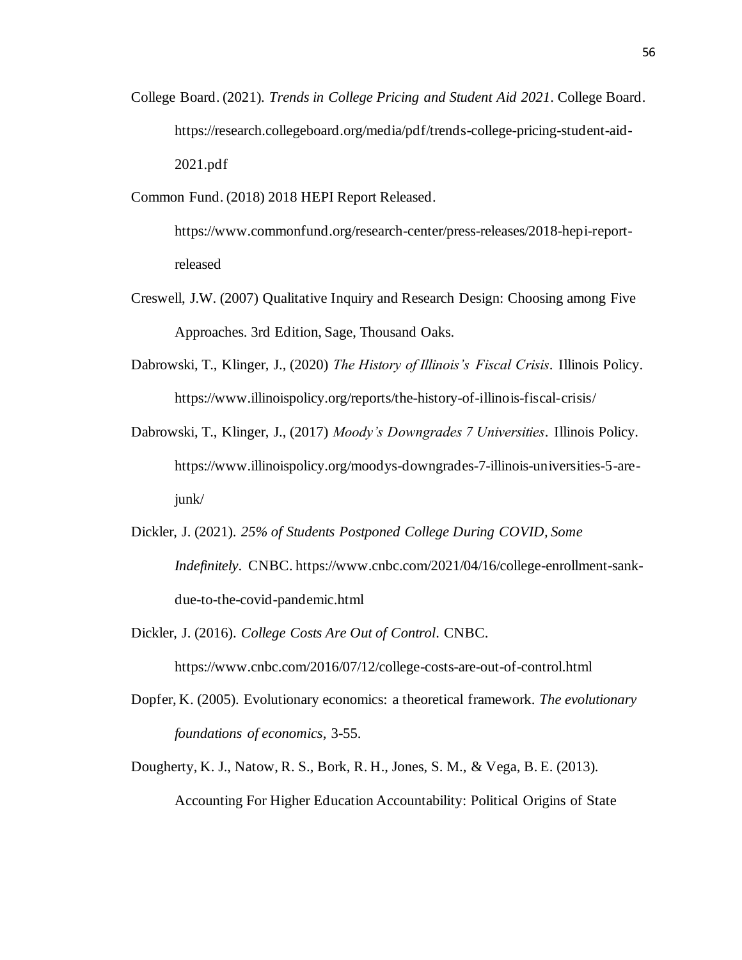- College Board. (2021). *Trends in College Pricing and Student Aid 2021*. College Board. https://research.collegeboard.org/media/pdf/trends-college-pricing-student-aid-2021.pdf
- Common Fund. (2018) 2018 HEPI Report Released.

https://www.commonfund.org/research-center/press-releases/2018-hepi-reportreleased

- Creswell, J.W. (2007) Qualitative Inquiry and Research Design: Choosing among Five Approaches. 3rd Edition, Sage, Thousand Oaks.
- Dabrowski, T., Klinger, J., (2020) *The History of Illinois's Fiscal Crisis*. Illinois Policy. https://www.illinoispolicy.org/reports/the-history-of-illinois-fiscal-crisis/
- Dabrowski, T., Klinger, J., (2017) *Moody's Downgrades 7 Universities*. Illinois Policy. https://www.illinoispolicy.org/moodys-downgrades-7-illinois-universities-5-arejunk/
- Dickler, J. (2021). *25% of Students Postponed College During COVID, Some Indefinitely*. CNBC. https://www.cnbc.com/2021/04/16/college-enrollment-sankdue-to-the-covid-pandemic.html
- Dickler, J. (2016). *College Costs Are Out of Control*. CNBC.

https://www.cnbc.com/2016/07/12/college-costs-are-out-of-control.html

- Dopfer, K. (2005). Evolutionary economics: a theoretical framework. *The evolutionary foundations of economics*, 3-55.
- Dougherty, K. J., Natow, R. S., Bork, R. H., Jones, S. M., & Vega, B. E. (2013). Accounting For Higher Education Accountability: Political Origins of State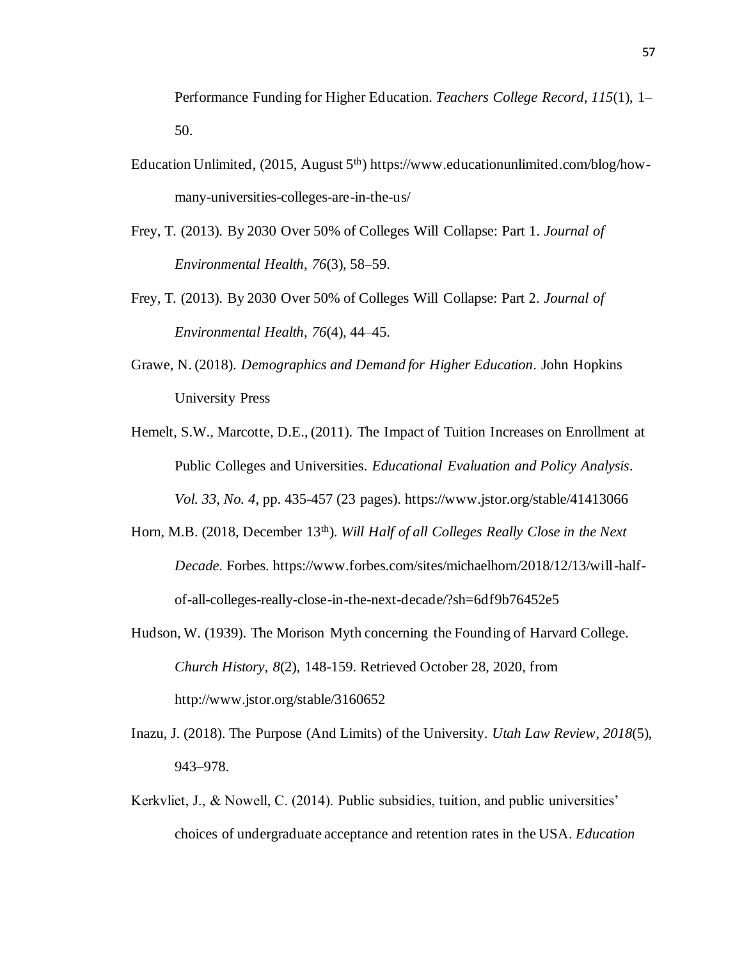Performance Funding for Higher Education. *Teachers College Record*, *115*(1), 1– 50.

- Education Unlimited,  $(2015, August 5<sup>th</sup>)$  https://www.educationunlimited.com/blog/howmany-universities-colleges-are-in-the-us/
- Frey, T. (2013). By 2030 Over 50% of Colleges Will Collapse: Part 1. *Journal of Environmental Health*, *76*(3), 58–59.
- Frey, T. (2013). By 2030 Over 50% of Colleges Will Collapse: Part 2. *Journal of Environmental Health*, *76*(4), 44–45.
- Grawe, N. (2018). *Demographics and Demand for Higher Education*. John Hopkins University Press
- Hemelt, S.W., Marcotte, D.E., (2011). The Impact of Tuition Increases on Enrollment at Public Colleges and Universities. *Educational Evaluation and Policy Analysis*. *Vol. 33, No. 4*, pp. 435-457 (23 pages). https://www.jstor.org/stable/41413066
- Horn, M.B. (2018, December 13<sup>th</sup>). *Will Half of all Colleges Really Close in the Next Decade.* Forbes. https://www.forbes.com/sites/michaelhorn/2018/12/13/will-halfof-all-colleges-really-close-in-the-next-decade/?sh=6df9b76452e5
- Hudson, W. (1939). The Morison Myth concerning the Founding of Harvard College. *Church History, 8*(2), 148-159. Retrieved October 28, 2020, from http://www.jstor.org/stable/3160652
- Inazu, J. (2018). The Purpose (And Limits) of the University. *Utah Law Review*, *2018*(5), 943–978.
- Kerkvliet, J., & Nowell, C. (2014). Public subsidies, tuition, and public universities' choices of undergraduate acceptance and retention rates in the USA. *Education*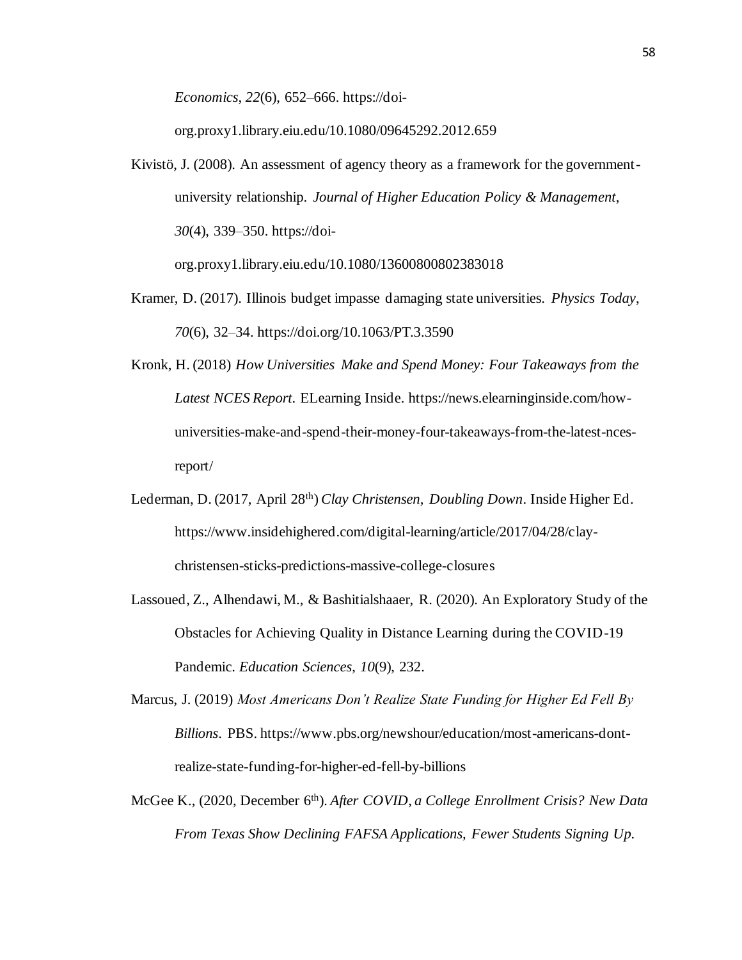*Economics*, *22*(6), 652–666. https://doi-

org.proxy1.library.eiu.edu/10.1080/09645292.2012.659

Kivistö, J. (2008). An assessment of agency theory as a framework for the governmentuniversity relationship. *Journal of Higher Education Policy & Management*, *30*(4), 339–350. https://doi-

org.proxy1.library.eiu.edu/10.1080/13600800802383018

- Kramer, D. (2017). Illinois budget impasse damaging state universities. *Physics Today*, *70*(6), 32–34. https://doi.org/10.1063/PT.3.3590
- Kronk, H. (2018) *How Universities Make and Spend Money: Four Takeaways from the Latest NCES Report*. ELearning Inside. https://news.elearninginside.com/howuniversities-make-and-spend-their-money-four-takeaways-from-the-latest-ncesreport/
- Lederman, D. (2017, April 28<sup>th</sup>) *Clay Christensen, Doubling Down*. Inside Higher Ed. https://www.insidehighered.com/digital-learning/article/2017/04/28/claychristensen-sticks-predictions-massive-college-closures
- Lassoued, Z., Alhendawi, M., & Bashitialshaaer, R. (2020). An Exploratory Study of the Obstacles for Achieving Quality in Distance Learning during the COVID-19 Pandemic. *Education Sciences*, *10*(9), 232.
- Marcus, J. (2019) *Most Americans Don't Realize State Funding for Higher Ed Fell By Billions*. PBS. https://www.pbs.org/newshour/education/most-americans-dontrealize-state-funding-for-higher-ed-fell-by-billions
- McGee K., (2020, December 6th). *After COVID, a College Enrollment Crisis? New Data From Texas Show Declining FAFSA Applications, Fewer Students Signing Up.*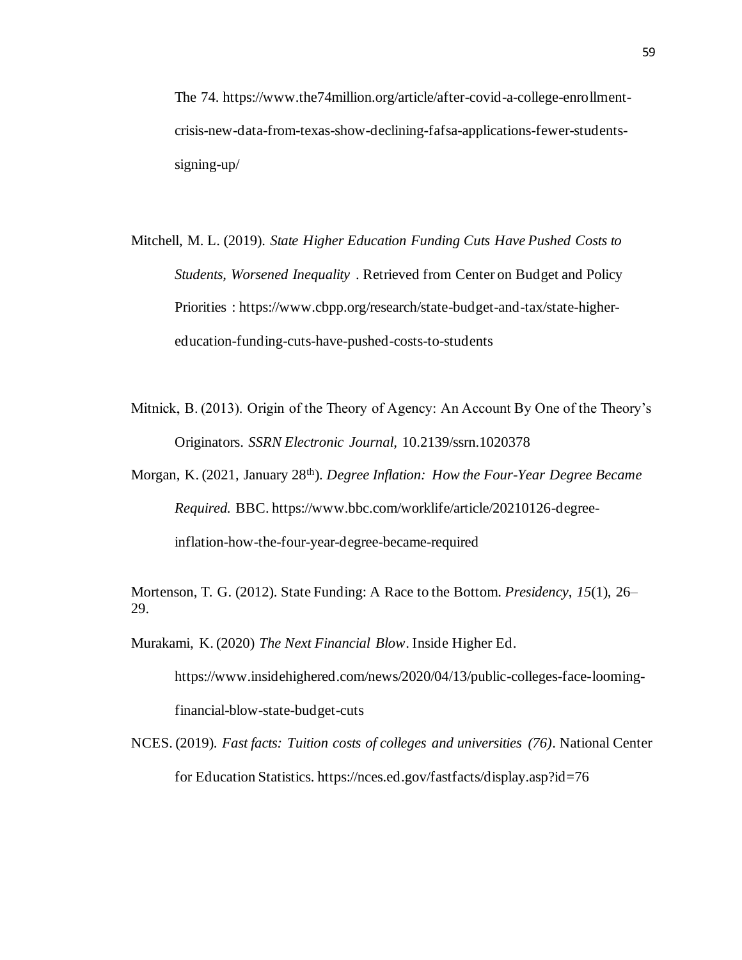The 74. https://www.the74million.org/article/after-covid-a-college-enrollmentcrisis-new-data-from-texas-show-declining-fafsa-applications-fewer-studentssigning-up/

- Mitchell, M. L. (2019). *State Higher Education Funding Cuts Have Pushed Costs to Students, Worsened Inequality* . Retrieved from Center on Budget and Policy Priorities : https://www.cbpp.org/research/state-budget-and-tax/state-highereducation-funding-cuts-have-pushed-costs-to-students
- Mitnick, B. (2013). Origin of the Theory of Agency: An Account By One of the Theory's Originators. *SSRN Electronic Journal,* 10.2139/ssrn.1020378

Morgan, K. (2021, January 28th). *Degree Inflation: How the Four-Year Degree Became Required.* BBC. https://www.bbc.com/worklife/article/20210126-degreeinflation-how-the-four-year-degree-became-required

Mortenson, T. G. (2012). State Funding: A Race to the Bottom. *Presidency*, *15*(1), 26– 29.

Murakami, K. (2020) *The Next Financial Blow*. Inside Higher Ed.

https://www.insidehighered.com/news/2020/04/13/public-colleges-face-loomingfinancial-blow-state-budget-cuts

NCES. (2019). *Fast facts: Tuition costs of colleges and universities (76)*. National Center for Education Statistics. https://nces.ed.gov/fastfacts/display.asp?id=76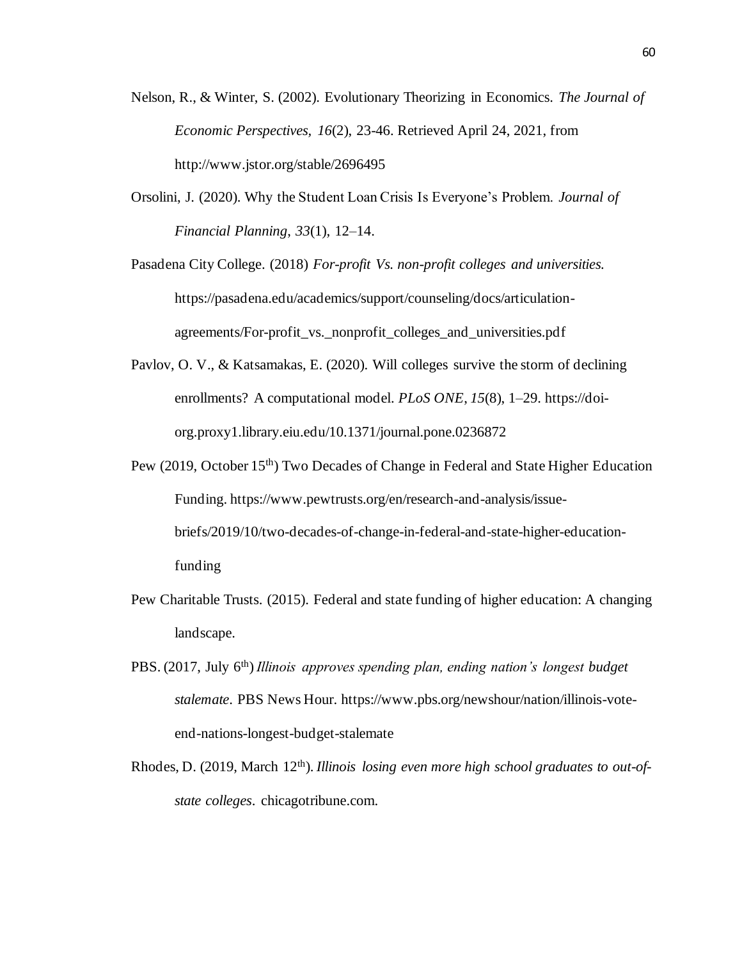- Nelson, R., & Winter, S. (2002). Evolutionary Theorizing in Economics. *The Journal of Economic Perspectives, 16*(2), 23-46. Retrieved April 24, 2021, from http://www.jstor.org/stable/2696495
- Orsolini, J. (2020). Why the Student Loan Crisis Is Everyone's Problem. *Journal of Financial Planning*, *33*(1), 12–14.

Pasadena City College. (2018) *For-profit Vs. non-profit colleges and universities.* https://pasadena.edu/academics/support/counseling/docs/articulationagreements/For-profit\_vs.\_nonprofit\_colleges\_and\_universities.pdf

- Pavlov, O. V., & Katsamakas, E. (2020). Will colleges survive the storm of declining enrollments? A computational model. *PLoS ONE*, *15*(8), 1–29. https://doiorg.proxy1.library.eiu.edu/10.1371/journal.pone.0236872
- Pew (2019, October 15<sup>th</sup>) Two Decades of Change in Federal and State Higher Education Funding. https://www.pewtrusts.org/en/research-and-analysis/issuebriefs/2019/10/two-decades-of-change-in-federal-and-state-higher-educationfunding
- Pew Charitable Trusts. (2015). Federal and state funding of higher education: A changing landscape.
- PBS. (2017, July 6<sup>th</sup>) *Illinois approves spending plan, ending nation's longest budget stalemate*. PBS News Hour. https://www.pbs.org/newshour/nation/illinois-voteend-nations-longest-budget-stalemate
- Rhodes, D. (2019, March 12<sup>th</sup>). *Illinois losing even more high school graduates to out-ofstate colleges*. chicagotribune.com.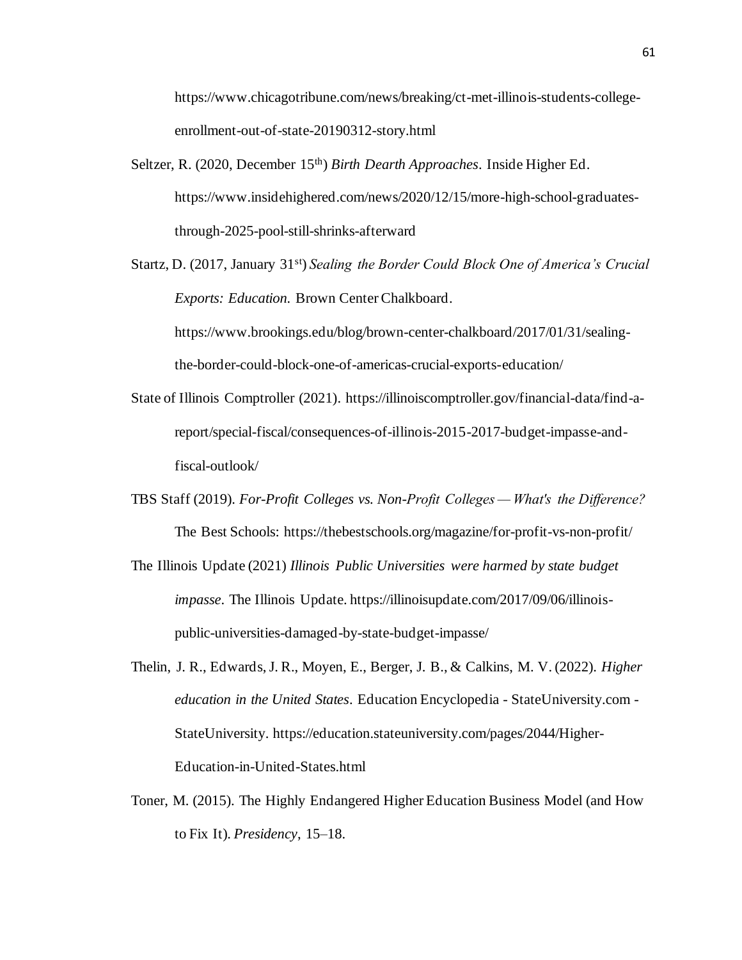https://www.chicagotribune.com/news/breaking/ct-met-illinois-students-collegeenrollment-out-of-state-20190312-story.html

Seltzer, R. (2020, December 15<sup>th</sup>) *Birth Dearth Approaches*. Inside Higher Ed. https://www.insidehighered.com/news/2020/12/15/more-high-school-graduatesthrough-2025-pool-still-shrinks-afterward

Startz, D. (2017, January 31st) *Sealing the Border Could Block One of America's Crucial Exports: Education.* Brown Center Chalkboard. https://www.brookings.edu/blog/brown-center-chalkboard/2017/01/31/sealing-

the-border-could-block-one-of-americas-crucial-exports-education/

- State of Illinois Comptroller (2021). https://illinoiscomptroller.gov/financial-data/find-areport/special-fiscal/consequences-of-illinois-2015-2017-budget-impasse-andfiscal-outlook/
- TBS Staff (2019). *For-Profit Colleges vs. Non-Profit Colleges — What's the Difference?* The Best Schools: https://thebestschools.org/magazine/for-profit-vs-non-profit/
- The Illinois Update (2021) *Illinois Public Universities were harmed by state budget impasse*. The Illinois Update. https://illinoisupdate.com/2017/09/06/illinoispublic-universities-damaged-by-state-budget-impasse/
- Thelin, J. R., Edwards, J. R., Moyen, E., Berger, J. B., & Calkins, M. V. (2022). *Higher education in the United States*. Education Encyclopedia - StateUniversity.com - StateUniversity. https://education.stateuniversity.com/pages/2044/Higher-Education-in-United-States.html
- Toner, M. (2015). The Highly Endangered Higher Education Business Model (and How to Fix It). *Presidency*, 15–18.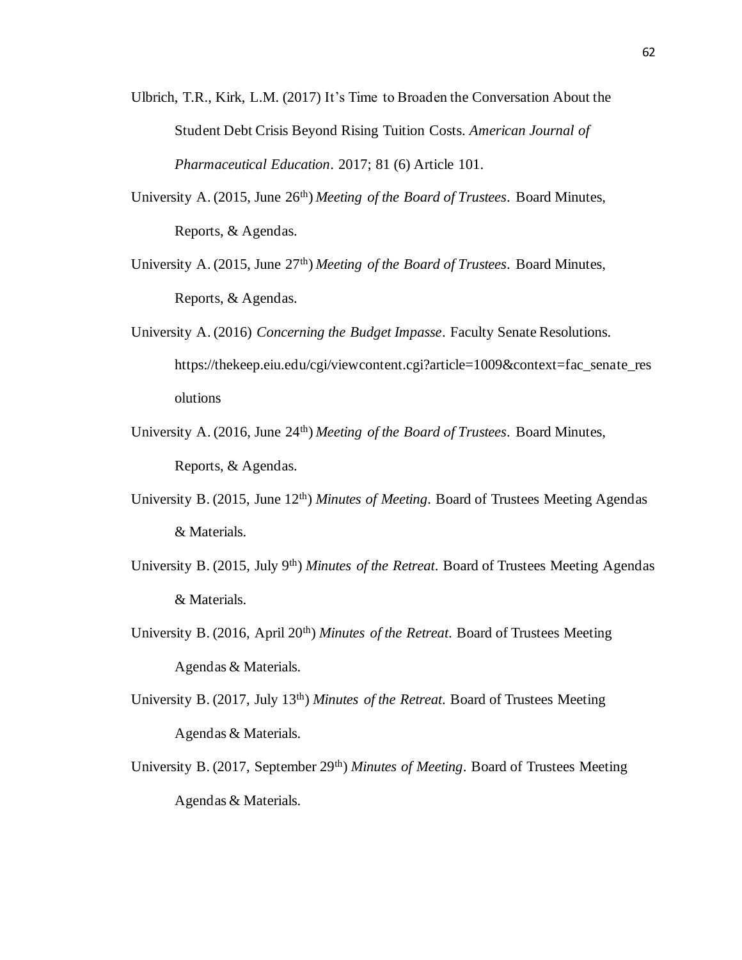- Ulbrich, T.R., Kirk, L.M. (2017) It's Time to Broaden the Conversation About the Student Debt Crisis Beyond Rising Tuition Costs. *American Journal of Pharmaceutical Education*. 2017; 81 (6) Article 101.
- University A. (2015, June 26th) *Meeting of the Board of Trustees*. Board Minutes, Reports, & Agendas.
- University A. (2015, June 27th) *Meeting of the Board of Trustees*. Board Minutes, Reports, & Agendas.
- University A. (2016) *Concerning the Budget Impasse*. Faculty Senate Resolutions. https://thekeep.eiu.edu/cgi/viewcontent.cgi?article=1009&context=fac\_senate\_res olutions
- University A. (2016, June 24th) *Meeting of the Board of Trustees*. Board Minutes, Reports, & Agendas.
- University B. (2015, June 12<sup>th</sup>) *Minutes of Meeting*. Board of Trustees Meeting Agendas & Materials.
- University B. (2015, July 9th) *Minutes of the Retreat*. Board of Trustees Meeting Agendas & Materials.
- University B. (2016, April 20<sup>th</sup>) *Minutes of the Retreat*. Board of Trustees Meeting Agendas & Materials.
- University B. (2017, July 13th) *Minutes of the Retreat*. Board of Trustees Meeting Agendas & Materials.
- University B. (2017, September 29<sup>th</sup>) *Minutes of Meeting*. Board of Trustees Meeting Agendas & Materials.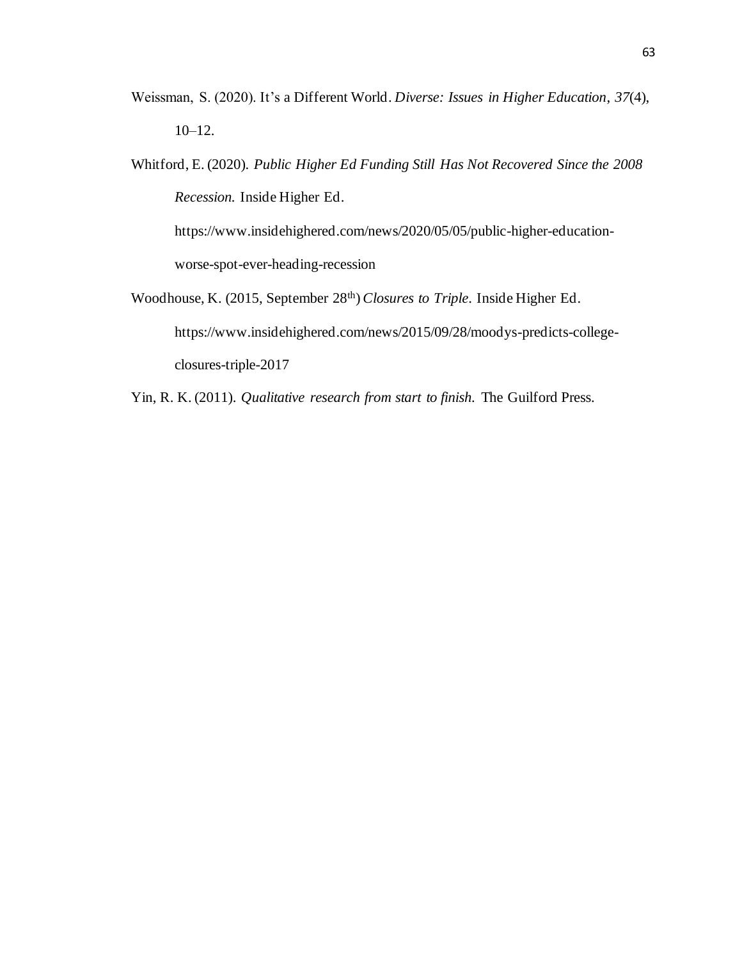- Weissman, S. (2020). It's a Different World. *Diverse: Issues in Higher Education*, *37*(4), 10–12.
- Whitford, E. (2020). *Public Higher Ed Funding Still Has Not Recovered Since the 2008 Recession.* Inside Higher Ed. https://www.insidehighered.com/news/2020/05/05/public-higher-education-

worse-spot-ever-heading-recession

- Woodhouse, K. (2015, September 28th) *Closures to Triple*. Inside Higher Ed. https://www.insidehighered.com/news/2015/09/28/moodys-predicts-collegeclosures-triple-2017
- Yin, R. K. (2011). *Qualitative research from start to finish.* The Guilford Press.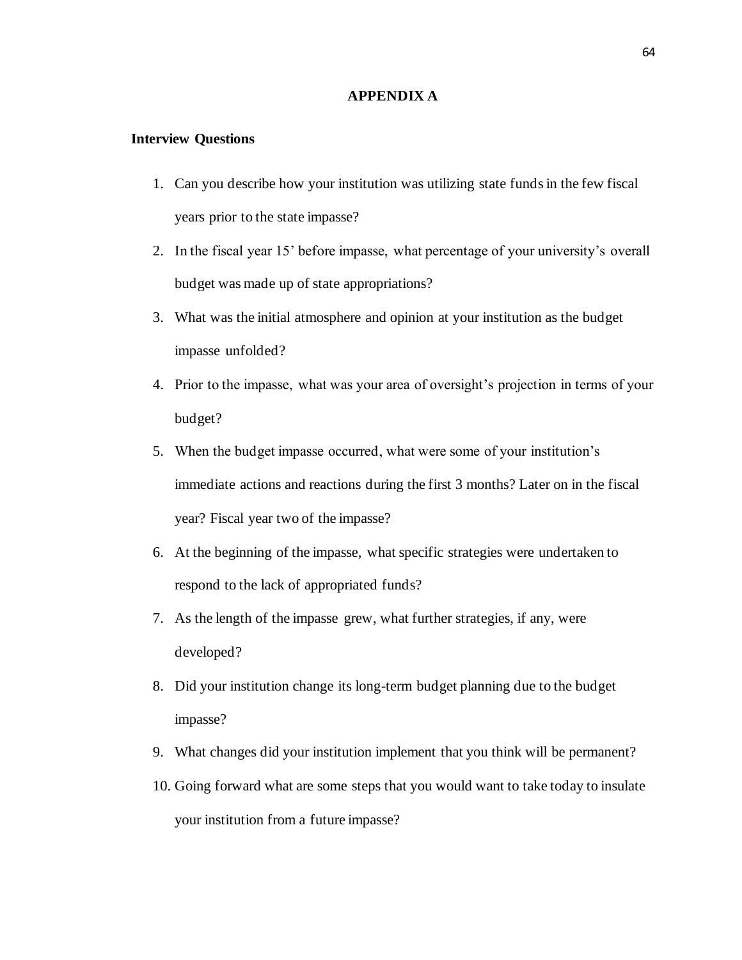#### **APPENDIX A**

#### **Interview Questions**

- 1. Can you describe how your institution was utilizing state funds in the few fiscal years prior to the state impasse?
- 2. In the fiscal year 15' before impasse, what percentage of your university's overall budget was made up of state appropriations?
- 3. What was the initial atmosphere and opinion at your institution as the budget impasse unfolded?
- 4. Prior to the impasse, what was your area of oversight's projection in terms of your budget?
- 5. When the budget impasse occurred, what were some of your institution's immediate actions and reactions during the first 3 months? Later on in the fiscal year? Fiscal year two of the impasse?
- 6. At the beginning of the impasse, what specific strategies were undertaken to respond to the lack of appropriated funds?
- 7. As the length of the impasse grew, what further strategies, if any, were developed?
- 8. Did your institution change its long-term budget planning due to the budget impasse?
- 9. What changes did your institution implement that you think will be permanent?
- 10. Going forward what are some steps that you would want to take today to insulate your institution from a future impasse?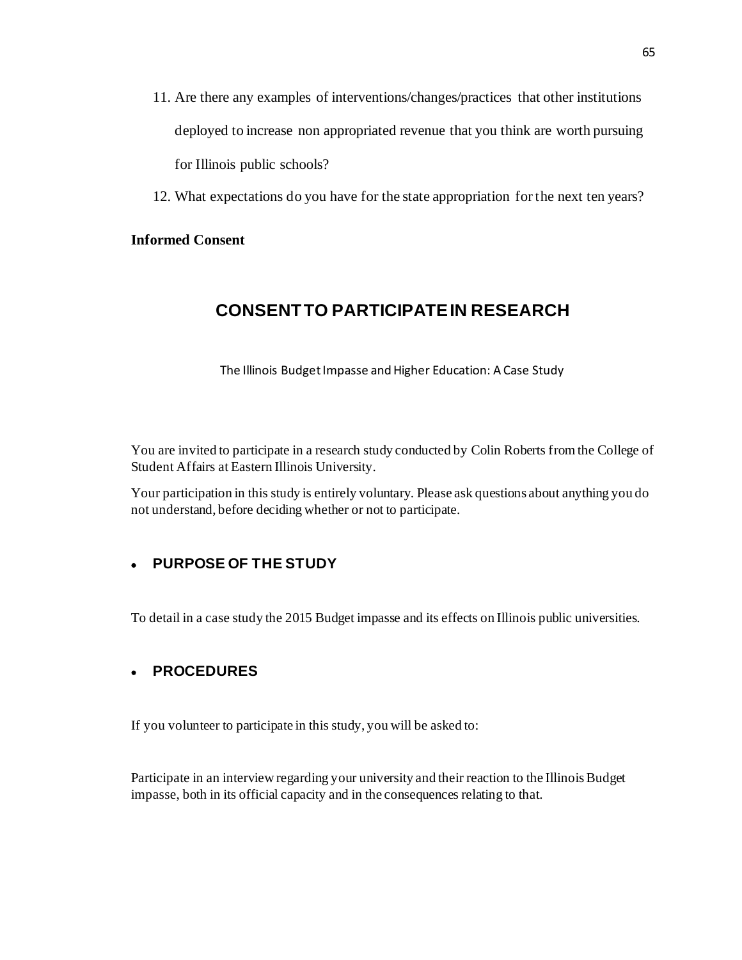- 11. Are there any examples of interventions/changes/practices that other institutions deployed to increase non appropriated revenue that you think are worth pursuing for Illinois public schools?
- 12. What expectations do you have for the state appropriation for the next ten years?

### **Informed Consent**

# **CONSENT TO PARTICIPATE IN RESEARCH**

The Illinois Budget Impasse and Higher Education: A Case Study

You are invited to participate in a research study conducted by Colin Roberts from the College of Student Affairs at Eastern Illinois University.

Your participation in this study is entirely voluntary. Please ask questions about anything you do not understand, before deciding whether or not to participate.

### • **PURPOSE OF THE STUDY**

To detail in a case study the 2015 Budget impasse and its effects on Illinois public universities.

### • **PROCEDURES**

If you volunteer to participate in this study, you will be asked to:

Participate in an interview regarding your university and their reaction to the Illinois Budget impasse, both in its official capacity and in the consequences relating to that.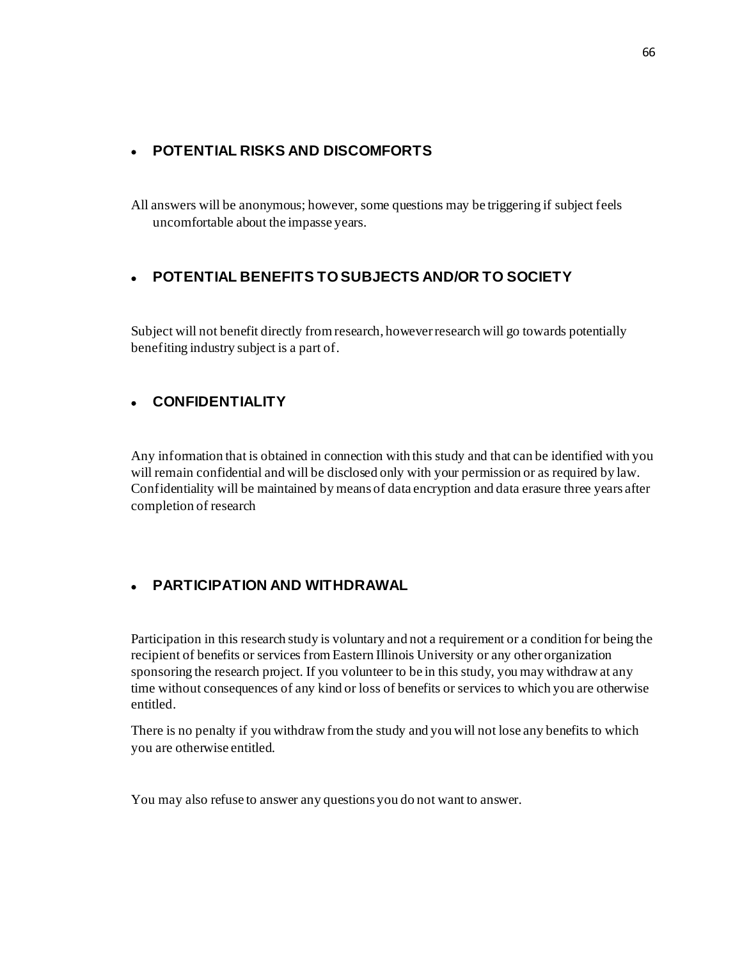### • **POTENTIAL RISKS AND DISCOMFORTS**

All answers will be anonymous; however, some questions may be triggering if subject feels uncomfortable about the impasse years.

# • **POTENTIAL BENEFITS TO SUBJECTS AND/OR TO SOCIETY**

Subject will not benefit directly from research, however research will go towards potentially benefiting industry subject is a part of.

## • **CONFIDENTIALITY**

Any information that is obtained in connection with this study and that can be identified with you will remain confidential and will be disclosed only with your permission or as required by law. Confidentiality will be maintained by means of data encryption and data erasure three years after completion of research

# • **PARTICIPATION AND WITHDRAWAL**

Participation in this research study is voluntary and not a requirement or a condition for being the recipient of benefits or services from Eastern Illinois University or any other organization sponsoring the research project. If you volunteer to be in this study, you may withdraw at any time without consequences of any kind or loss of benefits or services to which you are otherwise entitled.

There is no penalty if you withdraw from the study and you will not lose any benefits to which you are otherwise entitled.

You may also refuse to answer any questions you do not want to answer.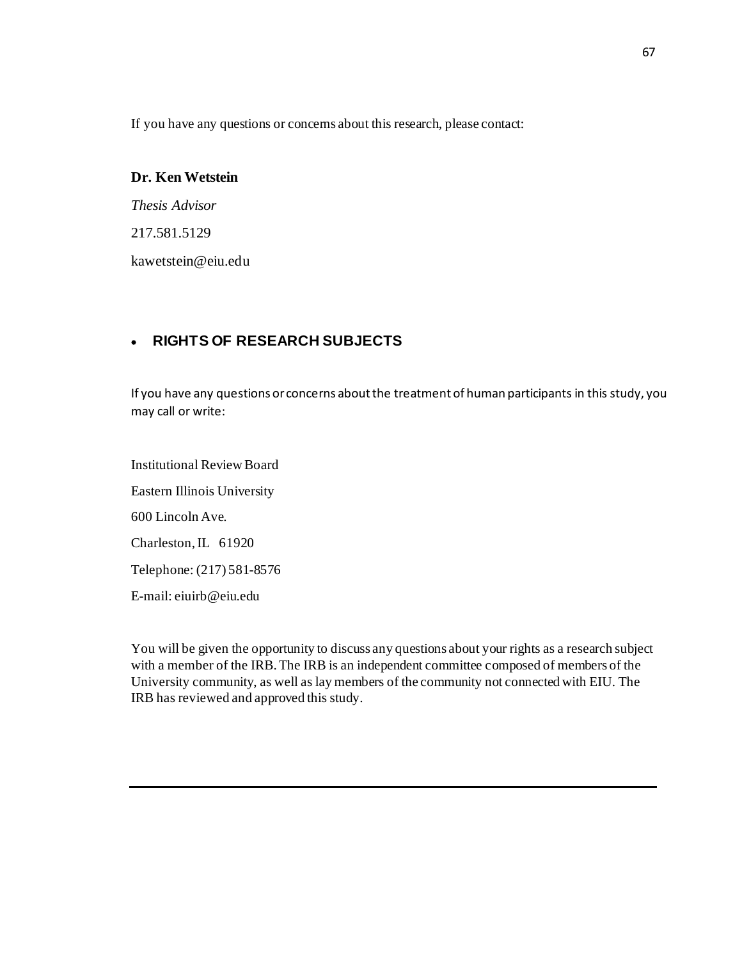If you have any questions or concerns about this research, please contact:

## **Dr. Ken Wetstein**

*Thesis Advisor* 217.581.5129 kawetstein@eiu.edu

## • **RIGHTS OF RESEARCH SUBJECTS**

If you have any questions or concerns about the treatment of human participants in this study, you may call or write:

Institutional Review Board Eastern Illinois University 600 Lincoln Ave. Charleston, IL 61920 Telephone: (217) 581-8576 E-mail: eiuirb@eiu.edu

You will be given the opportunity to discuss any questions about your rights as a research subject with a member of the IRB. The IRB is an independent committee composed of members of the University community, as well as lay members of the community not connected with EIU. The IRB has reviewed and approved this study.